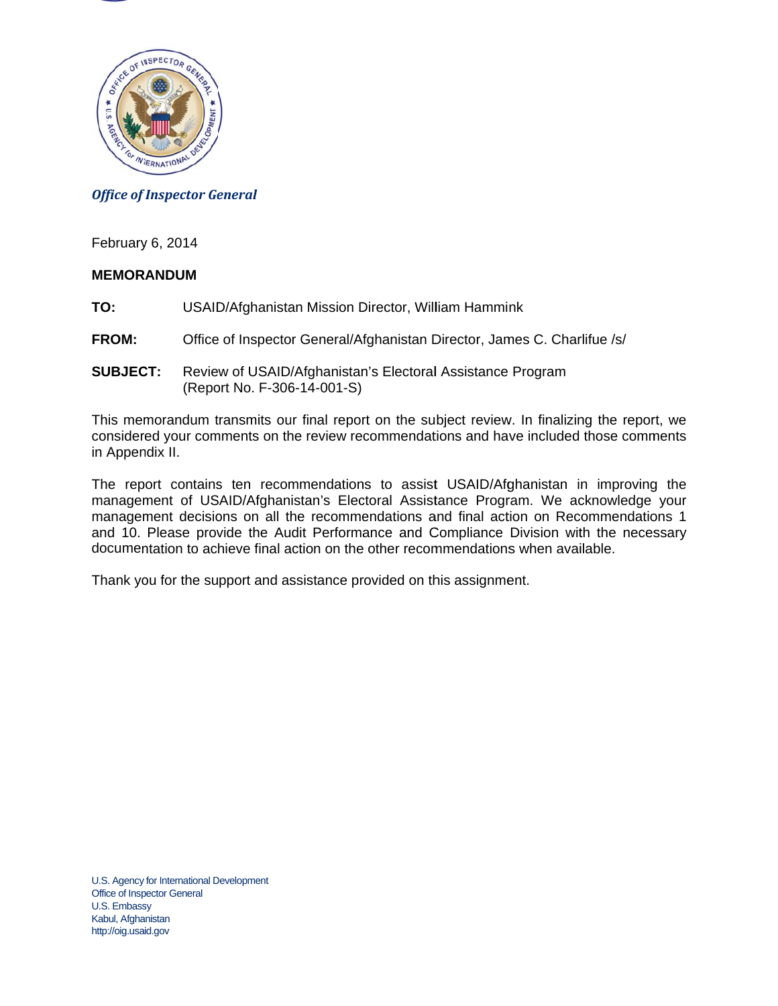

#### *Office of Inspector General*

February 6, 2014

#### **MEMORANDUM**

- **TO:** USAID/Afghanistan Mission Director, William Hammink
- **FROM:** Office of Inspector General/Afghanistan Director, James C. Charlifue /s/
- **SUBJECT:** Review of USAID/Afghanistan's Electoral Assistance Program (Report No. F-306-14-001-S)

This memorandum transmits our final report on the subject review. In finalizing the report, we considered your comments on the review recommendations and have included those comments in Appendix II.

The report contains ten recommendations to assist USAID/Afghanistan in improving the management of USAID/Afghanistan's Electoral Assistance Program. We acknowledge your management decisions on all the recommendations and final action on Recommendations 1 and 10. Please provide the Audit Performance and Compliance Division with the necessary documentation to achieve final action on the other recommendations when available.

Thank you for the support and assistance provided on this assignment.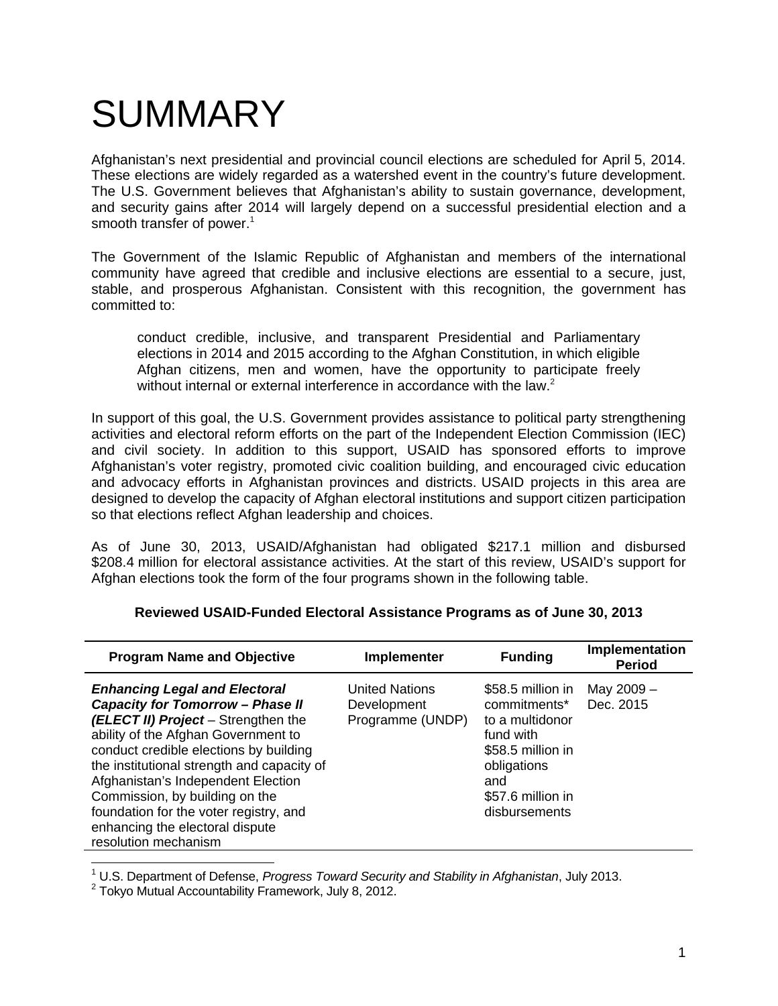# SUMMARY

Afghanistan's next presidential and provincial council elections are scheduled for April 5, 2014. These elections are widely regarded as a watershed event in the country's future development. The U.S. Government believes that Afghanistan's ability to sustain governance, development, and security gains after 2014 will largely depend on a successful presidential election and a smooth transfer of power.<sup>1</sup>

The Government of the Islamic Republic of Afghanistan and members of the international community have agreed that credible and inclusive elections are essential to a secure, just, stable, and prosperous Afghanistan. Consistent with this recognition, the government has committed to:

without internal or external interference in accordance with the law. $^2$ conduct credible, inclusive, and transparent Presidential and Parliamentary elections in 2014 and 2015 according to the Afghan Constitution, in which eligible Afghan citizens, men and women, have the opportunity to participate freely

In support of this goal, the U.S. Government provides assistance to political party strengthening activities and electoral reform efforts on the part of the Independent Election Commission (IEC) and civil society. In addition to this support, USAID has sponsored efforts to improve Afghanistan's voter registry, promoted civic coalition building, and encouraged civic education and advocacy efforts in Afghanistan provinces and districts. USAID projects in this area are designed to develop the capacity of Afghan electoral institutions and support citizen participation so that elections reflect Afghan leadership and choices.

As of June 30, 2013, USAID/Afghanistan had obligated \$217.1 million and disbursed \$208.4 million for electoral assistance activities. At the start of this review, USAID's support for Afghan elections took the form of the four programs shown in the following table.

| <b>Program Name and Objective</b>                                                                                                                                                                                                                                                                                                                                                                                                  | Implementer                                              | <b>Funding</b>                                                                                                                                     | Implementation<br><b>Period</b> |
|------------------------------------------------------------------------------------------------------------------------------------------------------------------------------------------------------------------------------------------------------------------------------------------------------------------------------------------------------------------------------------------------------------------------------------|----------------------------------------------------------|----------------------------------------------------------------------------------------------------------------------------------------------------|---------------------------------|
| <b>Enhancing Legal and Electoral</b><br><b>Capacity for Tomorrow - Phase II</b><br>(ELECT II) Project - Strengthen the<br>ability of the Afghan Government to<br>conduct credible elections by building<br>the institutional strength and capacity of<br>Afghanistan's Independent Election<br>Commission, by building on the<br>foundation for the voter registry, and<br>enhancing the electoral dispute<br>resolution mechanism | <b>United Nations</b><br>Development<br>Programme (UNDP) | \$58.5 million in<br>commitments*<br>to a multidonor<br>fund with<br>\$58.5 million in<br>obligations<br>and<br>\$57.6 million in<br>disbursements | May 2009 -<br>Dec. 2015         |
|                                                                                                                                                                                                                                                                                                                                                                                                                                    |                                                          |                                                                                                                                                    |                                 |

#### **Reviewed USAID-Funded Electoral Assistance Programs as of June 30, 2013**

<sup>1</sup> U.S. Department of Defense, *Progress Toward Security and Stability in Afghanistan*, July 2013.<br><sup>2</sup> Tokyo Mutual Acoguntability Framowork, July 8, 2012.

 $2$  Tokyo Mutual Accountability Framework, July 8, 2012.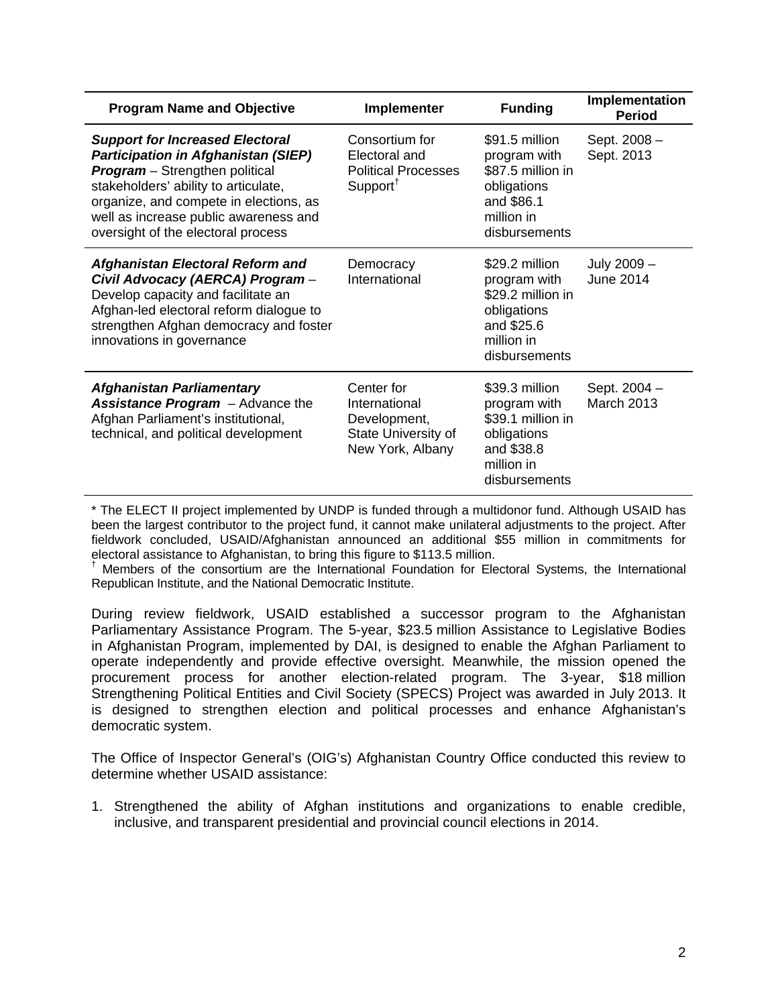| <b>Program Name and Objective</b>                                                                                                                                                                                                                                                       | Implementer                                                                            | <b>Funding</b>                                                                                                  | Implementation<br><b>Period</b>   |
|-----------------------------------------------------------------------------------------------------------------------------------------------------------------------------------------------------------------------------------------------------------------------------------------|----------------------------------------------------------------------------------------|-----------------------------------------------------------------------------------------------------------------|-----------------------------------|
| <b>Support for Increased Electoral</b><br>Participation in Afghanistan (SIEP)<br><b>Program</b> - Strengthen political<br>stakeholders' ability to articulate,<br>organize, and compete in elections, as<br>well as increase public awareness and<br>oversight of the electoral process | Consortium for<br>Electoral and<br><b>Political Processes</b><br>Support <sup>†</sup>  | \$91.5 million<br>program with<br>\$87.5 million in<br>obligations<br>and \$86.1<br>million in<br>disbursements | Sept. 2008 -<br>Sept. 2013        |
| Afghanistan Electoral Reform and<br>Civil Advocacy (AERCA) Program-<br>Develop capacity and facilitate an<br>Afghan-led electoral reform dialogue to<br>strengthen Afghan democracy and foster<br>innovations in governance                                                             | Democracy<br>International                                                             | \$29.2 million<br>program with<br>\$29.2 million in<br>obligations<br>and \$25.6<br>million in<br>disbursements | July 2009 -<br><b>June 2014</b>   |
| <b>Afghanistan Parliamentary</b><br><b>Assistance Program</b> - Advance the<br>Afghan Parliament's institutional,<br>technical, and political development                                                                                                                               | Center for<br>International<br>Development,<br>State University of<br>New York, Albany | \$39.3 million<br>program with<br>\$39.1 million in<br>obligations<br>and \$38.8<br>million in<br>disbursements | Sept. 2004 -<br><b>March 2013</b> |

\* The ELECT II project implemented by UNDP is funded through a multidonor fund. Although USAID has been the largest contributor to the project fund, it cannot make unilateral adjustments to the project. After fieldwork concluded, USAID/Afghanistan announced an additional \$55 million in commitments for electoral assistance to Afghanistan, to bring this figure to \$113.5 million.

† Members of the consortium are the International Foundation for Electoral Systems, the International Republican Institute, and the National Democratic Institute.

During review fieldwork, USAID established a successor program to the Afghanistan Parliamentary Assistance Program. The 5-year, \$23.5 million Assistance to Legislative Bodies in Afghanistan Program, implemented by DAI, is designed to enable the Afghan Parliament to operate independently and provide effective oversight. Meanwhile, the mission opened the procurement process for another election-related program. The 3-year, \$18 million Strengthening Political Entities and Civil Society (SPECS) Project was awarded in July 2013. It is designed to strengthen election and political processes and enhance Afghanistan's democratic system.

The Office of Inspector General's (OIG's) Afghanistan Country Office conducted this review to determine whether USAID assistance:

1. Strengthened the ability of Afghan institutions and organizations to enable credible, inclusive, and transparent presidential and provincial council elections in 2014.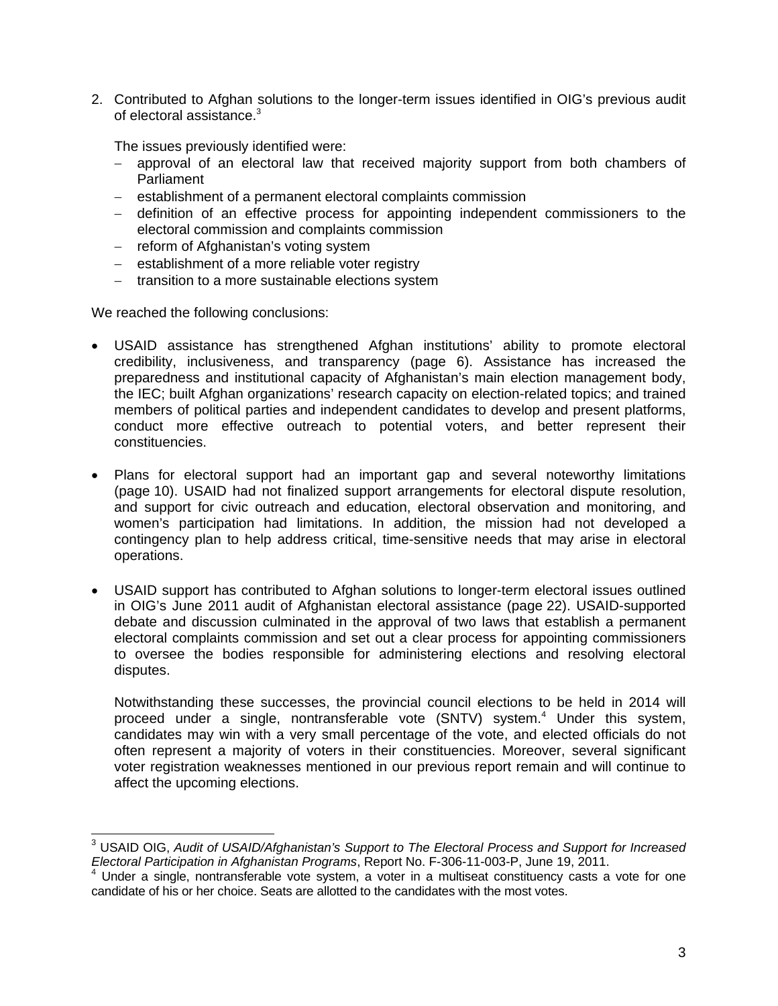of electoral assistance. $3$ 2. Contributed to Afghan solutions to the longer-term issues identified in OIG's previous audit

The issues previously identified were:

- approval of an electoral law that received majority support from both chambers of Parliament
- establishment of a permanent electoral complaints commission
- definition of an effective process for appointing independent commissioners to the electoral commission and complaints commission
- reform of Afghanistan's voting system
- establishment of a more reliable voter registry
- transition to a more sustainable elections system

We reached the following conclusions:

- USAID assistance has strengthened Afghan institutions' ability to promote electoral credibility, inclusiveness, and transparency (page 6). Assistance has increased the preparedness and institutional capacity of Afghanistan's main election management body, the IEC; built Afghan organizations' research capacity on election-related topics; and trained members of political parties and independent candidates to develop and present platforms, conduct more effective outreach to potential voters, and better represent their constituencies.
- Plans for electoral support had an important gap and several noteworthy limitations (page 10). USAID had not finalized support arrangements for electoral dispute resolution, and support for civic outreach and education, electoral observation and monitoring, and women's participation had limitations. In addition, the mission had not developed a contingency plan to help address critical, time-sensitive needs that may arise in electoral operations.
- USAID support has contributed to Afghan solutions to longer-term electoral issues outlined in OIG's June 2011 audit of Afghanistan electoral assistance (page 22). USAID-supported debate and discussion culminated in the approval of two laws that establish a permanent electoral complaints commission and set out a clear process for appointing commissioners to oversee the bodies responsible for administering elections and resolving electoral disputes.

Notwithstanding these successes, the provincial council elections to be held in 2014 will proceed under a single, nontransferable vote (SNTV) system.<sup>4</sup> Under this system, candidates may win with a very small percentage of the vote, and elected officials do not often represent a majority of voters in their constituencies. Moreover, several significant voter registration weaknesses mentioned in our previous report remain and will continue to affect the upcoming elections.

<sup>-</sup>3 USAID OIG, *Audit of USAID/Afghanistan's Support to The Electoral Process and Support for Increased Electoral Participation in Afghanistan Programs*, Report No. F-306-11-003-P, June 19, 2011. 4

Under a single, nontransferable vote system, a voter in a multiseat constituency casts a vote for one candidate of his or her choice. Seats are allotted to the candidates with the most votes.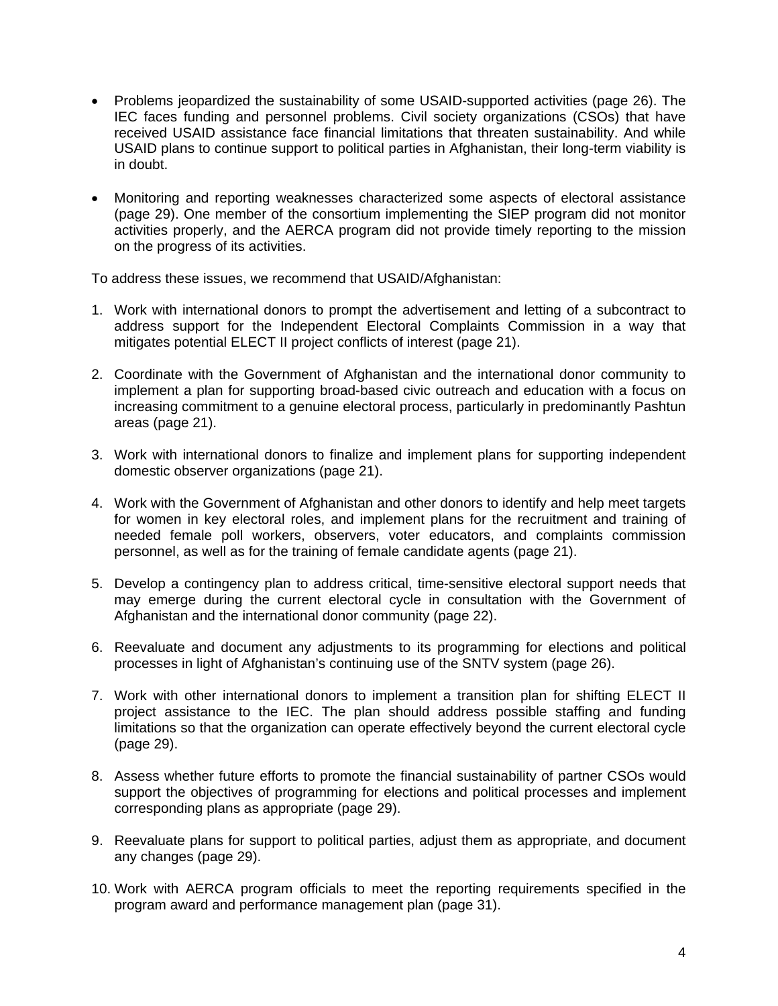- Problems jeopardized the sustainability of some USAID-supported activities (page 26). The IEC faces funding and personnel problems. Civil society organizations (CSOs) that have received USAID assistance face financial limitations that threaten sustainability. And while USAID plans to continue support to political parties in Afghanistan, their long-term viability is in doubt.
- Monitoring and reporting weaknesses characterized some aspects of electoral assistance (page 29). One member of the consortium implementing the SIEP program did not monitor activities properly, and the AERCA program did not provide timely reporting to the mission on the progress of its activities.

To address these issues, we recommend that USAID/Afghanistan:

- 1. Work with international donors to prompt the advertisement and letting of a subcontract to address support for the Independent Electoral Complaints Commission in a way that mitigates potential ELECT II project conflicts of interest (page 21).
- 2. Coordinate with the Government of Afghanistan and the international donor community to implement a plan for supporting broad-based civic outreach and education with a focus on increasing commitment to a genuine electoral process, particularly in predominantly Pashtun areas (page 21).
- 3. Work with international donors to finalize and implement plans for supporting independent domestic observer organizations (page 21).
- 4. Work with the Government of Afghanistan and other donors to identify and help meet targets for women in key electoral roles, and implement plans for the recruitment and training of needed female poll workers, observers, voter educators, and complaints commission personnel, as well as for the training of female candidate agents (page 21).
- 5. Develop a contingency plan to address critical, time-sensitive electoral support needs that may emerge during the current electoral cycle in consultation with the Government of Afghanistan and the international donor community (page 22).
- 6. Reevaluate and document any adjustments to its programming for elections and political processes in light of Afghanistan's continuing use of the SNTV system (page 26).
- 7. Work with other international donors to implement a transition plan for shifting ELECT II project assistance to the IEC. The plan should address possible staffing and funding limitations so that the organization can operate effectively beyond the current electoral cycle (page 29).
- 8. Assess whether future efforts to promote the financial sustainability of partner CSOs would support the objectives of programming for elections and political processes and implement corresponding plans as appropriate (page 29).
- 9. Reevaluate plans for support to political parties, adjust them as appropriate, and document any changes (page 29).
- 10. Work with AERCA program officials to meet the reporting requirements specified in the program award and performance management plan (page 31).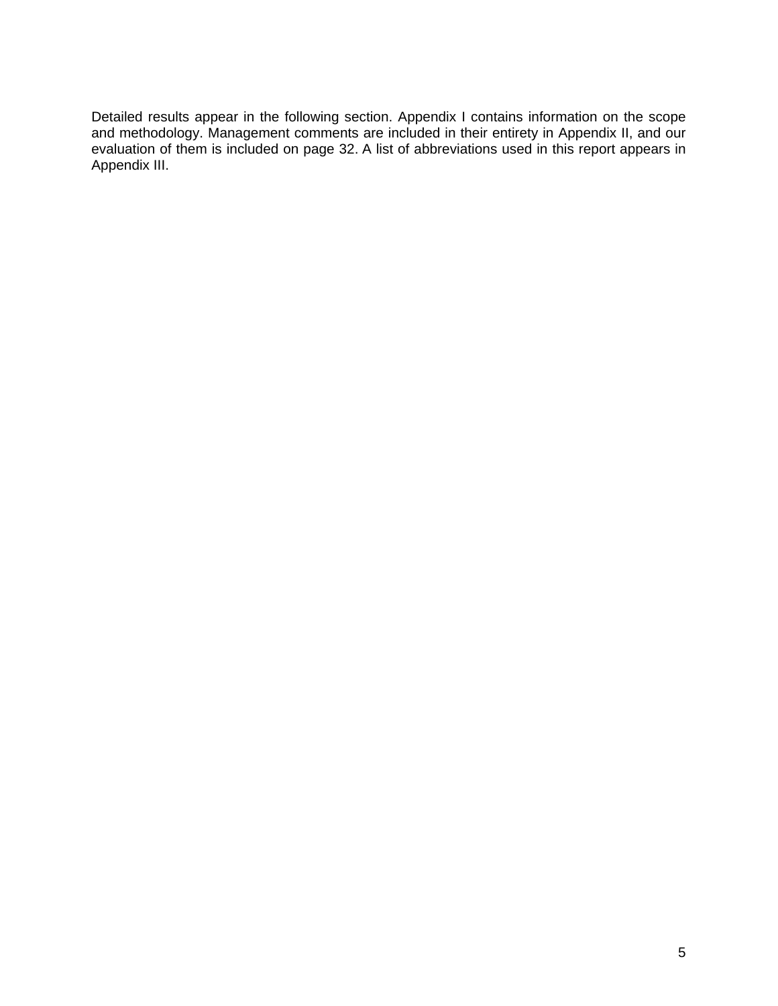Detailed results appear in the following section. Appendix I contains information on the scope and methodology. Management comments are included in their entirety in Appendix II, and our evaluation of them is included on page 32. A list of abbreviations used in this report appears in Appendix III.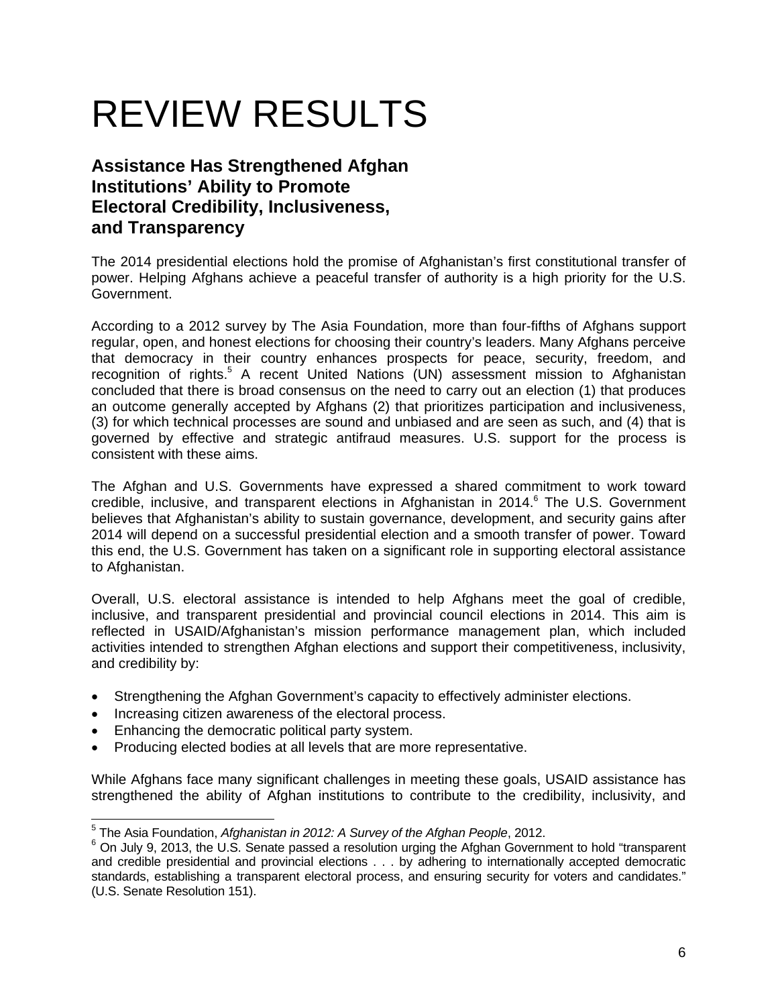# REVIEW RESULTS

# **Assistance Has Strengthened Afghan Institutions' Ability to Promote Electoral Credibility, Inclusiveness, and Transparency**

The 2014 presidential elections hold the promise of Afghanistan's first constitutional transfer of power. Helping Afghans achieve a peaceful transfer of authority is a high priority for the U.S. Government.

According to a 2012 survey by The Asia Foundation, more than four-fifths of Afghans support regular, open, and honest elections for choosing their country's leaders. Many Afghans perceive that democracy in their country enhances prospects for peace, security, freedom, and recognition of rights.<sup>5</sup> A recent United Nations (UN) assessment mission to Afghanistan concluded that there is broad consensus on the need to carry out an election (1) that produces an outcome generally accepted by Afghans (2) that prioritizes participation and inclusiveness, (3) for which technical processes are sound and unbiased and are seen as such, and (4) that is governed by effective and strategic antifraud measures. U.S. support for the process is consistent with these aims.

The Afghan and U.S. Governments have expressed a shared commitment to work toward credible, inclusive, and transparent elections in Afghanistan in 2014.<sup>6</sup> The U.S. Government believes that Afghanistan's ability to sustain governance, development, and security gains after 2014 will depend on a successful presidential election and a smooth transfer of power. Toward this end, the U.S. Government has taken on a significant role in supporting electoral assistance to Afghanistan.

Overall, U.S. electoral assistance is intended to help Afghans meet the goal of credible, inclusive, and transparent presidential and provincial council elections in 2014. This aim is reflected in USAID/Afghanistan's mission performance management plan, which included activities intended to strengthen Afghan elections and support their competitiveness, inclusivity, and credibility by:

- Strengthening the Afghan Government's capacity to effectively administer elections.
- Increasing citizen awareness of the electoral process.
- Enhancing the democratic political party system.
- Producing elected bodies at all levels that are more representative.

While Afghans face many significant challenges in meeting these goals, USAID assistance has strengthened the ability of Afghan institutions to contribute to the credibility, inclusivity, and

 5 The Asia Foundation, *Afghanistan in 2012: A Survey of the Afghan People*, 2012.

<sup>&</sup>lt;sup>6</sup> On July 9, 2013, the U.S. Senate passed a resolution urging the Afghan Government to hold "transparent and credible presidential and provincial elections . . . by adhering to internationally accepted democratic standards, establishing a transparent electoral process, and ensuring security for voters and candidates." (U.S. Senate Resolution 151).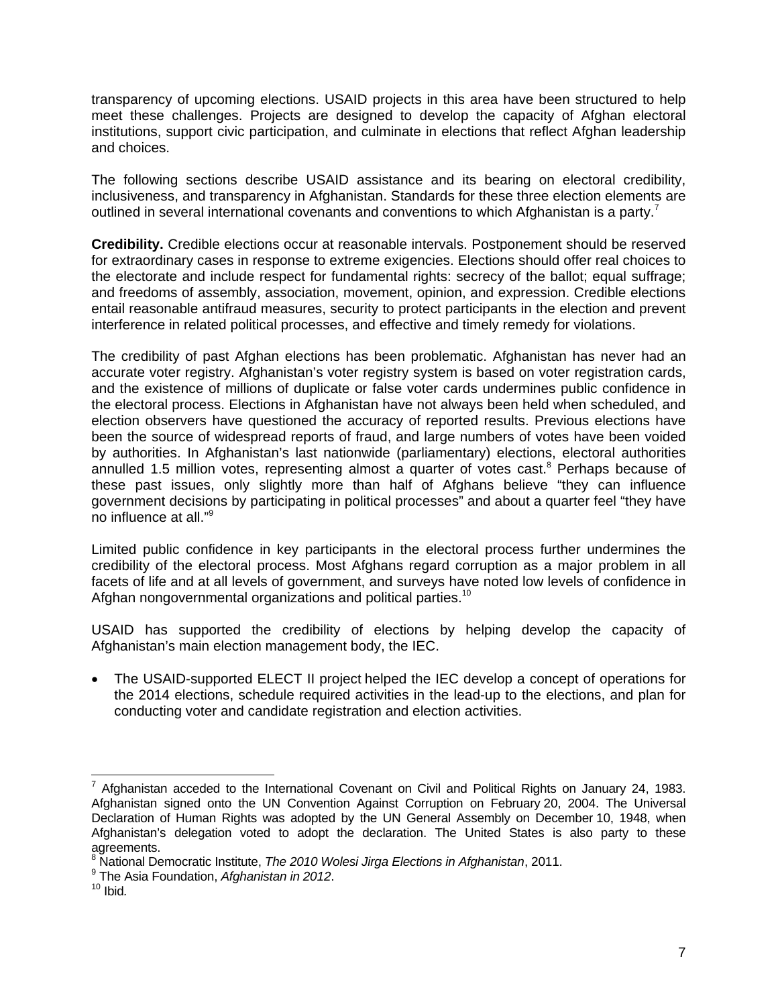transparency of upcoming elections. USAID projects in this area have been structured to help meet these challenges. Projects are designed to develop the capacity of Afghan electoral institutions, support civic participation, and culminate in elections that reflect Afghan leadership and choices.

The following sections describe USAID assistance and its bearing on electoral credibility, inclusiveness, and transparency in Afghanistan. Standards for these three election elements are outlined in several international covenants and conventions to which Afghanistan is a party.<sup>7</sup>

**Credibility.** Credible elections occur at reasonable intervals. Postponement should be reserved for extraordinary cases in response to extreme exigencies. Elections should offer real choices to the electorate and include respect for fundamental rights: secrecy of the ballot; equal suffrage; and freedoms of assembly, association, movement, opinion, and expression. Credible elections entail reasonable antifraud measures, security to protect participants in the election and prevent interference in related political processes, and effective and timely remedy for violations.

The credibility of past Afghan elections has been problematic. Afghanistan has never had an accurate voter registry. Afghanistan's voter registry system is based on voter registration cards, and the existence of millions of duplicate or false voter cards undermines public confidence in the electoral process. Elections in Afghanistan have not always been held when scheduled, and election observers have questioned the accuracy of reported results. Previous elections have been the source of widespread reports of fraud, and large numbers of votes have been voided by authorities. In Afghanistan's last nationwide (parliamentary) elections, electoral authorities annulled 1.5 million votes, representing almost a quarter of votes cast. $8$  Perhaps because of these past issues, only slightly more than half of Afghans believe "they can influence government decisions by participating in political processes" and about a quarter feel "they have no influence at all."9

Limited public confidence in key participants in the electoral process further undermines the credibility of the electoral process. Most Afghans regard corruption as a major problem in all facets of life and at all levels of government, and surveys have noted low levels of confidence in Afghan nongovernmental organizations and political parties.<sup>10</sup>

USAID has supported the credibility of elections by helping develop the capacity of Afghanistan's main election management body, the IEC.

• The USAID-supported ELECT II project helped the IEC develop a concept of operations for the 2014 elections, schedule required activities in the lead-up to the elections, and plan for conducting voter and candidate registration and election activities.

  $^7$  Afghanistan acceded to the International Covenant on Civil and Political Rights on January 24, 1983. Afghanistan signed onto the UN Convention Against Corruption on February 20, 2004. The Universal Declaration of Human Rights was adopted by the UN General Assembly on December 10, 1948, when Afghanistan's delegation voted to adopt the declaration. The United States is also party to these agreements.

<sup>8</sup> National Democratic Institute, *The 2010 Wolesi Jirga Elections in Afghanistan*, 2011.

<sup>&</sup>lt;sup>9</sup> The Asia Foundation, *Afghanistan in 2012*.<br><sup>10</sup> Ibid*.*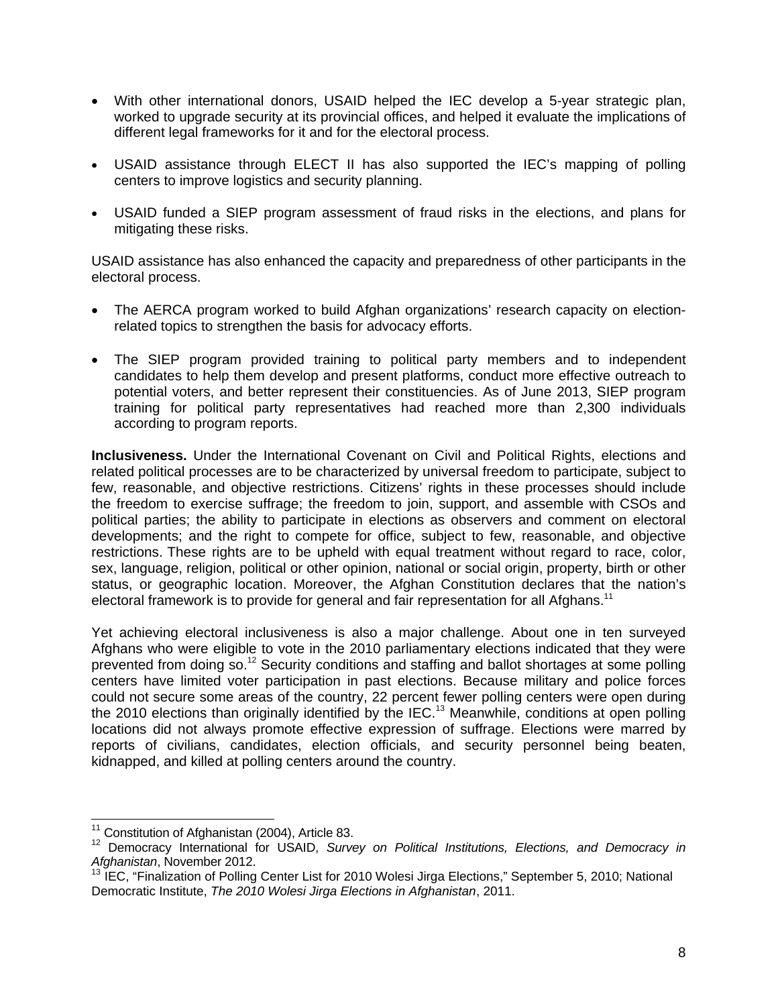- With other international donors, USAID helped the IEC develop a 5-year strategic plan, worked to upgrade security at its provincial offices, and helped it evaluate the implications of different legal frameworks for it and for the electoral process.
- USAID assistance through ELECT II has also supported the IEC's mapping of polling centers to improve logistics and security planning.
- USAID funded a SIEP program assessment of fraud risks in the elections, and plans for mitigating these risks.

USAID assistance has also enhanced the capacity and preparedness of other participants in the electoral process.

- The AERCA program worked to build Afghan organizations' research capacity on electionrelated topics to strengthen the basis for advocacy efforts.
- The SIEP program provided training to political party members and to independent candidates to help them develop and present platforms, conduct more effective outreach to potential voters, and better represent their constituencies. As of June 2013, SIEP program training for political party representatives had reached more than 2,300 individuals according to program reports.

**Inclusiveness.** Under the International Covenant on Civil and Political Rights, elections and related political processes are to be characterized by universal freedom to participate, subject to few, reasonable, and objective restrictions. Citizens' rights in these processes should include the freedom to exercise suffrage; the freedom to join, support, and assemble with CSOs and political parties; the ability to participate in elections as observers and comment on electoral developments; and the right to compete for office, subject to few, reasonable, and objective restrictions. These rights are to be upheld with equal treatment without regard to race, color, sex, language, religion, political or other opinion, national or social origin, property, birth or other status, or geographic location. Moreover, the Afghan Constitution declares that the nation's electoral framework is to provide for general and fair representation for all Afghans.<sup>11</sup>

Yet achieving electoral inclusiveness is also a major challenge. About one in ten surveyed Afghans who were eligible to vote in the 2010 parliamentary elections indicated that they were prevented from doing so.12 Security conditions and staffing and ballot shortages at some polling centers have limited voter participation in past elections. Because military and police forces could not secure some areas of the country, 22 percent fewer polling centers were open during the 2010 elections than originally identified by the IEC.<sup>13</sup> Meanwhile, conditions at open polling locations did not always promote effective expression of suffrage. Elections were marred by reports of civilians, candidates, election officials, and security personnel being beaten, kidnapped, and killed at polling centers around the country.

<sup>&</sup>lt;sup>11</sup> Constitution of Afghanistan (2004), Article 83.

<sup>&</sup>lt;sup>11</sup> Constitution of Afghanistan (2004), Article 83.<br><sup>12</sup> Democracy International for USAID, *Survey on Political Institutions, Elections, and Democracy in Afghanistan*, November 2012.

<sup>13</sup> IEC, "Finalization of Polling Center List for 2010 Wolesi Jirga Elections," September 5, 2010; National Democratic Institute, *The 2010 Wolesi Jirga Elections in Afghanistan*, 2011.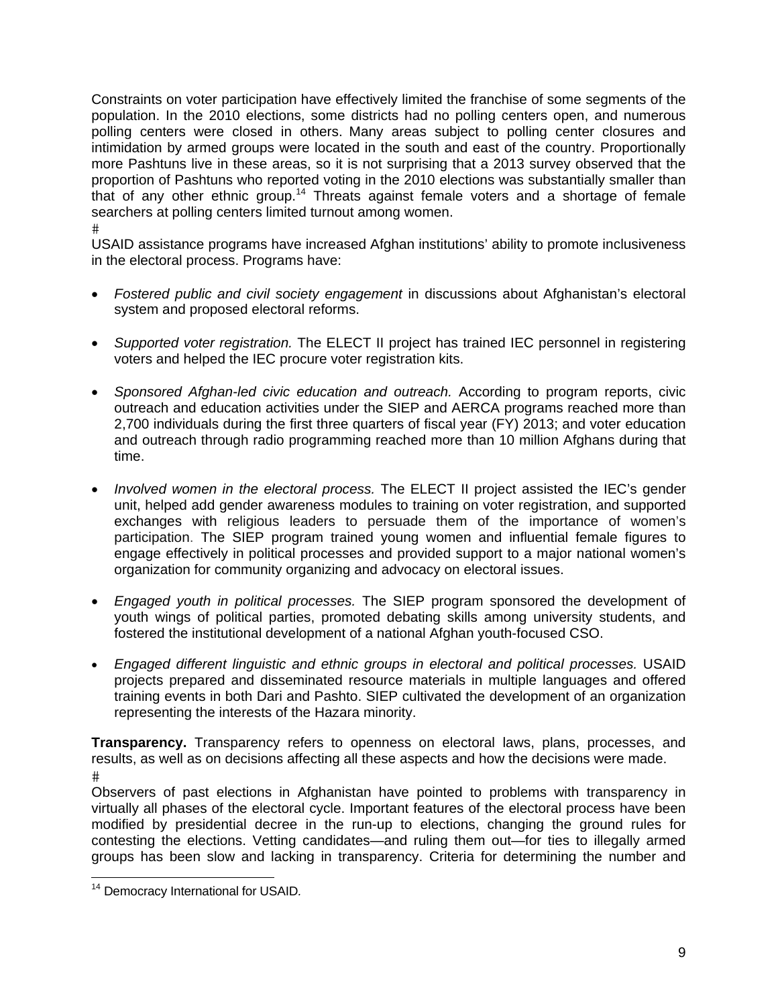Constraints on voter participation have effectively limited the franchise of some segments of the population. In the 2010 elections, some districts had no polling centers open, and numerous polling centers were closed in others. Many areas subject to polling center closures and intimidation by armed groups were located in the south and east of the country. Proportionally more Pashtuns live in these areas, so it is not surprising that a 2013 survey observed that the proportion of Pashtuns who reported voting in the 2010 elections was substantially smaller than that of any other ethnic group.<sup>14</sup> Threats against female voters and a shortage of female searchers at polling centers limited turnout among women. #

USAID assistance programs have increased Afghan institutions' ability to promote inclusiveness in the electoral process. Programs have:

- *Fostered public and civil society engagement* in discussions about Afghanistan's electoral system and proposed electoral reforms.
- *Supported voter registration.* The ELECT II project has trained IEC personnel in registering voters and helped the IEC procure voter registration kits.
- *Sponsored Afghan-led civic education and outreach.* According to program reports, civic outreach and education activities under the SIEP and AERCA programs reached more than 2,700 individuals during the first three quarters of fiscal year (FY) 2013; and voter education and outreach through radio programming reached more than 10 million Afghans during that time.
- *Involved women in the electoral process.* The ELECT II project assisted the IEC's gender unit, helped add gender awareness modules to training on voter registration, and supported exchanges with religious leaders to persuade them of the importance of women's participation. The SIEP program trained young women and influential female figures to engage effectively in political processes and provided support to a major national women's organization for community organizing and advocacy on electoral issues.
- *Engaged youth in political processes.* The SIEP program sponsored the development of youth wings of political parties, promoted debating skills among university students, and fostered the institutional development of a national Afghan youth-focused CSO.
- *Engaged different linguistic and ethnic groups in electoral and political processes.* USAID projects prepared and disseminated resource materials in multiple languages and offered training events in both Dari and Pashto. SIEP cultivated the development of an organization representing the interests of the Hazara minority.

**Transparency.** Transparency refers to openness on electoral laws, plans, processes, and results, as well as on decisions affecting all these aspects and how the decisions were made. #

Observers of past elections in Afghanistan have pointed to problems with transparency in virtually all phases of the electoral cycle. Important features of the electoral process have been modified by presidential decree in the run-up to elections, changing the ground rules for contesting the elections. Vetting candidates—and ruling them out—for ties to illegally armed groups has been slow and lacking in transparency. Criteria for determining the number and

 14 Democracy International for USAID*.*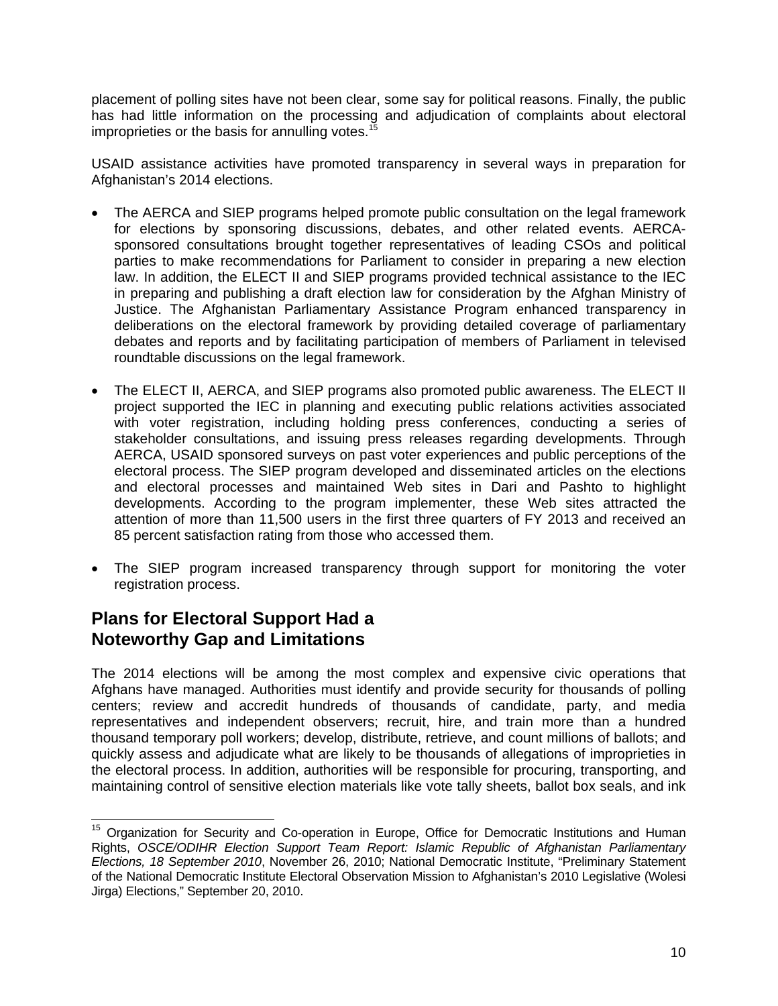placement of polling sites have not been clear, some say for political reasons. Finally, the public has had little information on the processing and adjudication of complaints about electoral improprieties or the basis for annulling votes.<sup>15</sup>

USAID assistance activities have promoted transparency in several ways in preparation for Afghanistan's 2014 elections.

- The AERCA and SIEP programs helped promote public consultation on the legal framework for elections by sponsoring discussions, debates, and other related events. AERCAsponsored consultations brought together representatives of leading CSOs and political parties to make recommendations for Parliament to consider in preparing a new election law. In addition, the ELECT II and SIEP programs provided technical assistance to the IEC in preparing and publishing a draft election law for consideration by the Afghan Ministry of Justice. The Afghanistan Parliamentary Assistance Program enhanced transparency in deliberations on the electoral framework by providing detailed coverage of parliamentary debates and reports and by facilitating participation of members of Parliament in televised roundtable discussions on the legal framework.
- The ELECT II, AERCA, and SIEP programs also promoted public awareness. The ELECT II project supported the IEC in planning and executing public relations activities associated with voter registration, including holding press conferences, conducting a series of stakeholder consultations, and issuing press releases regarding developments. Through AERCA, USAID sponsored surveys on past voter experiences and public perceptions of the electoral process. The SIEP program developed and disseminated articles on the elections and electoral processes and maintained Web sites in Dari and Pashto to highlight developments. According to the program implementer, these Web sites attracted the attention of more than 11,500 users in the first three quarters of FY 2013 and received an 85 percent satisfaction rating from those who accessed them.
- The SIEP program increased transparency through support for monitoring the voter registration process.

## **Plans for Electoral Support Had a Noteworthy Gap and Limitations**

The 2014 elections will be among the most complex and expensive civic operations that Afghans have managed. Authorities must identify and provide security for thousands of polling centers; review and accredit hundreds of thousands of candidate, party, and media representatives and independent observers; recruit, hire, and train more than a hundred thousand temporary poll workers; develop, distribute, retrieve, and count millions of ballots; and quickly assess and adjudicate what are likely to be thousands of allegations of improprieties in the electoral process. In addition, authorities will be responsible for procuring, transporting, and maintaining control of sensitive election materials like vote tally sheets, ballot box seals, and ink

 <sup>15</sup> Organization for Security and Co-operation in Europe, Office for Democratic Institutions and Human Rights, *OSCE/ODIHR Election Support Team Report: Islamic Republic of Afghanistan Parliamentary Elections, 18 September 2010*, November 26, 2010; National Democratic Institute, "Preliminary Statement of the National Democratic Institute Electoral Observation Mission to Afghanistan's 2010 Legislative (Wolesi Jirga) Elections," September 20, 2010.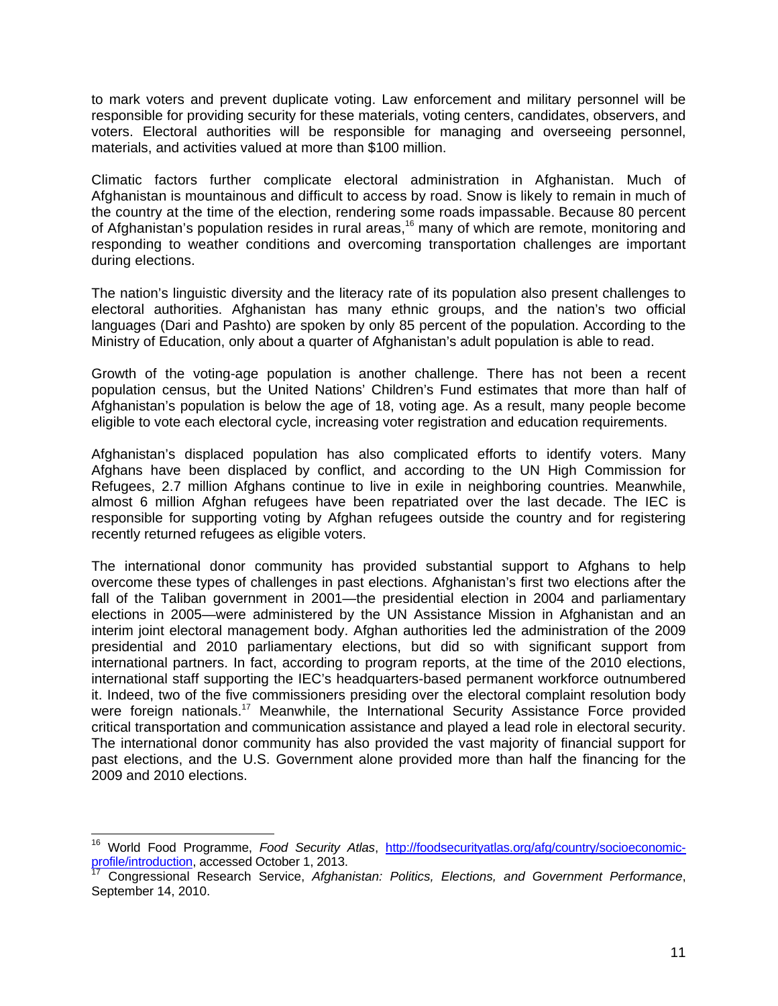to mark voters and prevent duplicate voting. Law enforcement and military personnel will be responsible for providing security for these materials, voting centers, candidates, observers, and voters. Electoral authorities will be responsible for managing and overseeing personnel, materials, and activities valued at more than \$100 million.

during elections. Climatic factors further complicate electoral administration in Afghanistan. Much of Afghanistan is mountainous and difficult to access by road. Snow is likely to remain in much of the country at the time of the election, rendering some roads impassable. Because 80 percent of Afghanistan's population resides in rural areas,<sup>16</sup> many of which are remote, monitoring and responding to weather conditions and overcoming transportation challenges are important

The nation's linguistic diversity and the literacy rate of its population also present challenges to electoral authorities. Afghanistan has many ethnic groups, and the nation's two official languages (Dari and Pashto) are spoken by only 85 percent of the population. According to the Ministry of Education, only about a quarter of Afghanistan's adult population is able to read.

Growth of the voting-age population is another challenge. There has not been a recent population census, but the United Nations' Children's Fund estimates that more than half of Afghanistan's population is below the age of 18, voting age. As a result, many people become eligible to vote each electoral cycle, increasing voter registration and education requirements.

Afghanistan's displaced population has also complicated efforts to identify voters. Many Afghans have been displaced by conflict, and according to the UN High Commission for Refugees, 2.7 million Afghans continue to live in exile in neighboring countries. Meanwhile, almost 6 million Afghan refugees have been repatriated over the last decade. The IEC is responsible for supporting voting by Afghan refugees outside the country and for registering recently returned refugees as eligible voters.

The international donor community has provided substantial support to Afghans to help overcome these types of challenges in past elections. Afghanistan's first two elections after the fall of the Taliban government in 2001—the presidential election in 2004 and parliamentary elections in 2005—were administered by the UN Assistance Mission in Afghanistan and an interim joint electoral management body. Afghan authorities led the administration of the 2009 presidential and 2010 parliamentary elections, but did so with significant support from international partners. In fact, according to program reports, at the time of the 2010 elections, international staff supporting the IEC's headquarters-based permanent workforce outnumbered it. Indeed, two of the five commissioners presiding over the electoral complaint resolution body were foreign nationals.<sup>17</sup> Meanwhile, the International Security Assistance Force provided critical transportation and communication assistance and played a lead role in electoral security. The international donor community has also provided the vast majority of financial support for past elections, and the U.S. Government alone provided more than half the financing for the 2009 and 2010 elections.

<sup>-</sup><sup>16</sup> World Food Programme, *Food Security Atlas*, http://foodsecurityatlas.org/afg/country/socioeconomicprofile/introduction, accessed October 1, 2013.

<sup>17</sup> Congressional Research Service, *Afghanistan: Politics, Elections, and Government Performance*, September 14, 2010.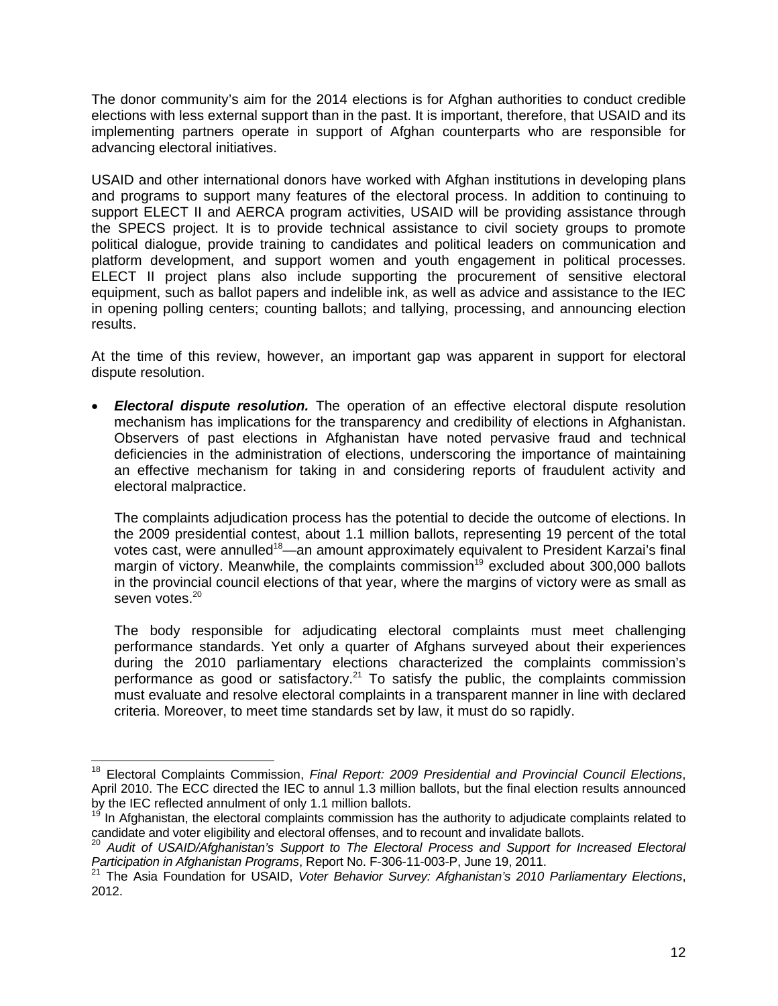The donor community's aim for the 2014 elections is for Afghan authorities to conduct credible elections with less external support than in the past. It is important, therefore, that USAID and its implementing partners operate in support of Afghan counterparts who are responsible for advancing electoral initiatives.

USAID and other international donors have worked with Afghan institutions in developing plans and programs to support many features of the electoral process. In addition to continuing to support ELECT II and AERCA program activities, USAID will be providing assistance through the SPECS project. It is to provide technical assistance to civil society groups to promote political dialogue, provide training to candidates and political leaders on communication and platform development, and support women and youth engagement in political processes. ELECT II project plans also include supporting the procurement of sensitive electoral equipment, such as ballot papers and indelible ink, as well as advice and assistance to the IEC in opening polling centers; counting ballots; and tallying, processing, and announcing election results.

At the time of this review, however, an important gap was apparent in support for electoral dispute resolution.

 *Electoral dispute resolution.* The operation of an effective electoral dispute resolution mechanism has implications for the transparency and credibility of elections in Afghanistan. Observers of past elections in Afghanistan have noted pervasive fraud and technical deficiencies in the administration of elections, underscoring the importance of maintaining an effective mechanism for taking in and considering reports of fraudulent activity and electoral malpractice.

The complaints adjudication process has the potential to decide the outcome of elections. In the 2009 presidential contest, about 1.1 million ballots, representing 19 percent of the total votes cast, were annulled<sup>18</sup>—an amount approximately equivalent to President Karzai's final margin of victory. Meanwhile, the complaints commission<sup>19</sup> excluded about 300,000 ballots in the provincial council elections of that year, where the margins of victory were as small as seven votes.<sup>20</sup>

The body responsible for adjudicating electoral complaints must meet challenging performance standards. Yet only a quarter of Afghans surveyed about their experiences during the 2010 parliamentary elections characterized the complaints commission's performance as good or satisfactory.<sup>21</sup> To satisfy the public, the complaints commission must evaluate and resolve electoral complaints in a transparent manner in line with declared criteria. Moreover, to meet time standards set by law, it must do so rapidly.

<sup>-</sup>18 Electoral Complaints Commission, *Final Report: 2009 Presidential and Provincial Council Elections*, April 2010. The ECC directed the IEC to annul 1.3 million ballots, but the final election results announced by the IEC reflected annulment of only 1.1 million ballots.

<sup>&</sup>lt;sup>19</sup> In Afghanistan, the electoral complaints commission has the authority to adjudicate complaints related to candidate and voter eligibility and electoral offenses, and to recount and invalidate ballots.

<sup>20</sup>*Audit of USAID/Afghanistan's Support to The Electoral Process and Support for Increased Electoral*

*Participation in Afghanistan Programs*, Report No. F-306-11-003-P, June 19, 2011.<br><sup>21</sup> The Asia Foundation for USAID, *Voter Behavior Survey: Afghanistan's 2010 Parliamentary Elections*, 2012.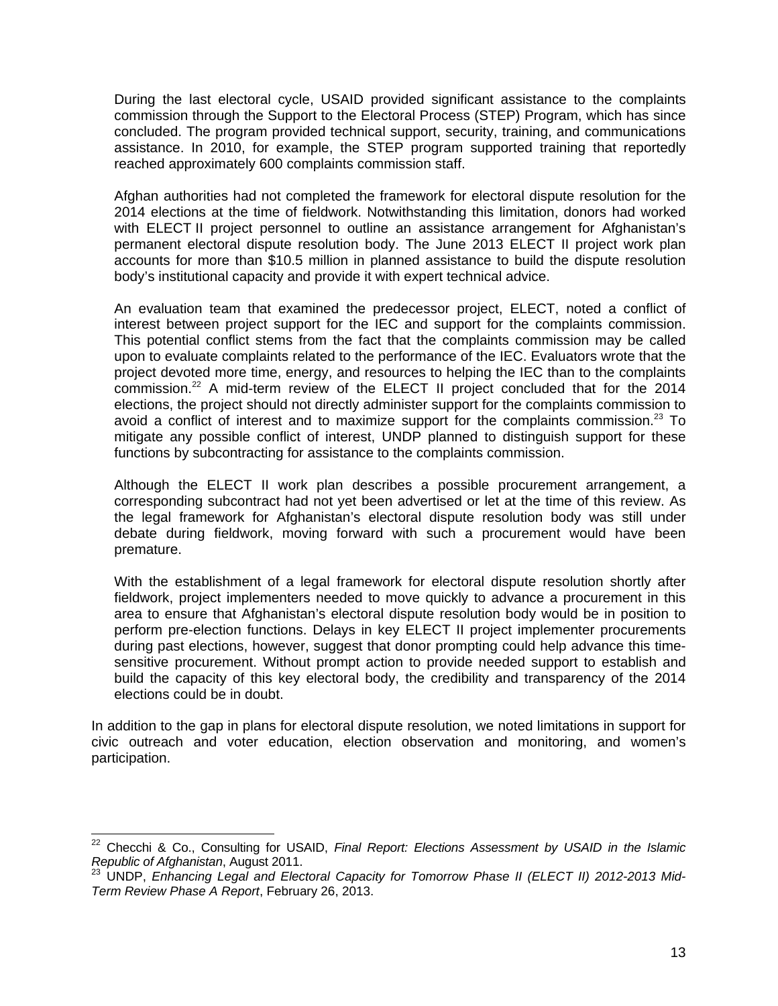During the last electoral cycle, USAID provided significant assistance to the complaints commission through the Support to the Electoral Process (STEP) Program, which has since concluded. The program provided technical support, security, training, and communications assistance. In 2010, for example, the STEP program supported training that reportedly reached approximately 600 complaints commission staff.

Afghan authorities had not completed the framework for electoral dispute resolution for the 2014 elections at the time of fieldwork. Notwithstanding this limitation, donors had worked with ELECT II project personnel to outline an assistance arrangement for Afghanistan's permanent electoral dispute resolution body. The June 2013 ELECT II project work plan accounts for more than \$10.5 million in planned assistance to build the dispute resolution body's institutional capacity and provide it with expert technical advice.

An evaluation team that examined the predecessor project, ELECT, noted a conflict of interest between project support for the IEC and support for the complaints commission. This potential conflict stems from the fact that the complaints commission may be called upon to evaluate complaints related to the performance of the IEC. Evaluators wrote that the project devoted more time, energy, and resources to helping the IEC than to the complaints  $c$ ommission.<sup>22</sup> A mid-term review of the ELECT II project concluded that for the 2014 elections, the project should not directly administer support for the complaints commission to avoid a conflict of interest and to maximize support for the complaints commission.<sup>23</sup> To mitigate any possible conflict of interest, UNDP planned to distinguish support for these functions by subcontracting for assistance to the complaints commission.

Although the ELECT II work plan describes a possible procurement arrangement, a corresponding subcontract had not yet been advertised or let at the time of this review. As the legal framework for Afghanistan's electoral dispute resolution body was still under debate during fieldwork, moving forward with such a procurement would have been premature.

With the establishment of a legal framework for electoral dispute resolution shortly after fieldwork, project implementers needed to move quickly to advance a procurement in this area to ensure that Afghanistan's electoral dispute resolution body would be in position to perform pre-election functions. Delays in key ELECT II project implementer procurements during past elections, however, suggest that donor prompting could help advance this timesensitive procurement. Without prompt action to provide needed support to establish and build the capacity of this key electoral body, the credibility and transparency of the 2014 elections could be in doubt.

participation. In addition to the gap in plans for electoral dispute resolution, we noted limitations in support for civic outreach and voter education, election observation and monitoring, and women's

participation. 22 Checchi & Co., Consulting for USAID, *Final Report: Elections Assessment by USAID in the Islamic Republic of Afghanistan, August 2011.*<br><sup>23</sup> UNDP, *Enhancing Legal and Electoral Capacity for Tomorrow Phase II (ELECT II) 2012-2013 Mid-*

*Term Review Phase A Report*, February 26, 2013.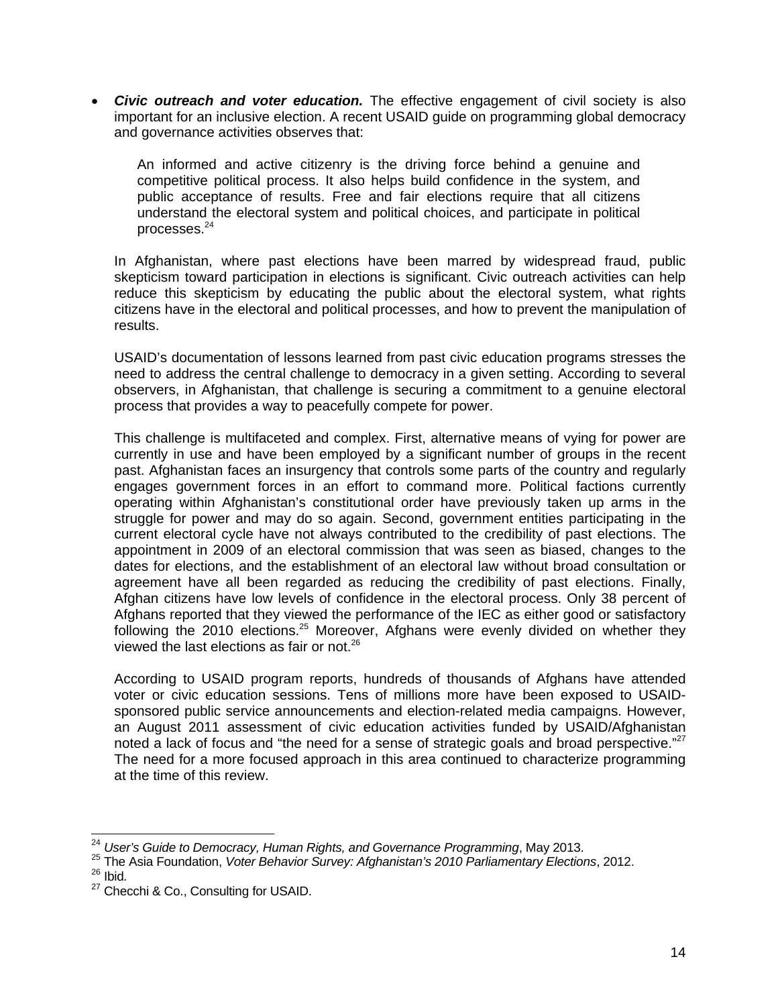*Civic outreach and voter education.* The effective engagement of civil society is also important for an inclusive election. A recent USAID guide on programming global democracy and governance activities observes that:

An informed and active citizenry is the driving force behind a genuine and competitive political process. It also helps build confidence in the system, and public acceptance of results. Free and fair elections require that all citizens understand the electoral system and political choices, and participate in political processes.<sup>24</sup>

In Afghanistan, where past elections have been marred by widespread fraud, public skepticism toward participation in elections is significant. Civic outreach activities can help reduce this skepticism by educating the public about the electoral system, what rights citizens have in the electoral and political processes, and how to prevent the manipulation of results.

USAID's documentation of lessons learned from past civic education programs stresses the need to address the central challenge to democracy in a given setting. According to several observers, in Afghanistan, that challenge is securing a commitment to a genuine electoral process that provides a way to peacefully compete for power.

This challenge is multifaceted and complex. First, alternative means of vying for power are currently in use and have been employed by a significant number of groups in the recent past. Afghanistan faces an insurgency that controls some parts of the country and regularly engages government forces in an effort to command more. Political factions currently operating within Afghanistan's constitutional order have previously taken up arms in the struggle for power and may do so again. Second, government entities participating in the current electoral cycle have not always contributed to the credibility of past elections. The appointment in 2009 of an electoral commission that was seen as biased, changes to the dates for elections, and the establishment of an electoral law without broad consultation or agreement have all been regarded as reducing the credibility of past elections. Finally, Afghan citizens have low levels of confidence in the electoral process. Only 38 percent of Afghans reported that they viewed the performance of the IEC as either good or satisfactory following the 2010 elections.<sup>25</sup> Moreover, Afghans were evenly divided on whether they viewed the last elections as fair or not. $26$ 

According to USAID program reports, hundreds of thousands of Afghans have attended voter or civic education sessions. Tens of millions more have been exposed to USAIDsponsored public service announcements and election-related media campaigns. However, an August 2011 assessment of civic education activities funded by USAID/Afghanistan noted a lack of focus and "the need for a sense of strategic goals and broad perspective." $27$ The need for a more focused approach in this area continued to characterize programming at the time of this review.

<sup>&</sup>lt;sup>24</sup> User's Guide to Democracy, Human Rights, and Governance Programming, May 2013.

<sup>&</sup>lt;sup>25</sup> The Asia Foundation, Voter Behavior Survey: Afghanistan's 2010 Parliamentary Elections, 2012. 26 Ibid*.*

<sup>&</sup>lt;sup>27</sup> Checchi & Co., Consulting for USAID.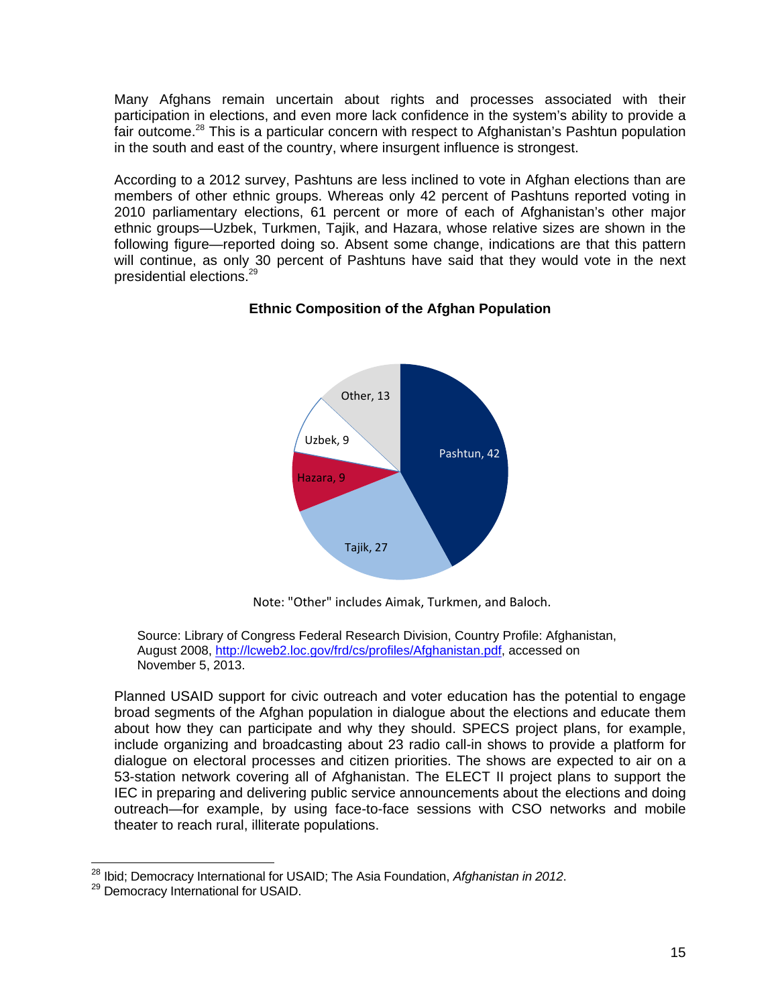Many Afghans remain uncertain about rights and processes associated with their participation in elections, and even more lack confidence in the system's ability to provide a fair outcome.<sup>28</sup> This is a particular concern with respect to Afghanistan's Pashtun population in the south and east of the country, where insurgent influence is strongest.

presidential elections.<sup>29</sup> According to a 2012 survey, Pashtuns are less inclined to vote in Afghan elections than are members of other ethnic groups. Whereas only 42 percent of Pashtuns reported voting in 2010 parliamentary elections, 61 percent or more of each of Afghanistan's other major ethnic groups—Uzbek, Turkmen, Tajik, and Hazara, whose relative sizes are shown in the following figure—reported doing so. Absent some change, indications are that this pattern will continue, as only 30 percent of Pashtuns have said that they would vote in the next



#### **Ethnic Composition of the Afghan Population**

Note: "Other" includes Aimak, Turkmen, and Baloch.

Source: Library of Congress Federal Research Division, Country Profile: Afghanistan, August 2008, http://lcweb2.loc.gov/frd/cs/profiles/Afghanistan.pdf, accessed on November 5, 2013.

Planned USAID support for civic outreach and voter education has the potential to engage broad segments of the Afghan population in dialogue about the elections and educate them about how they can participate and why they should. SPECS project plans, for example, include organizing and broadcasting about 23 radio call-in shows to provide a platform for dialogue on electoral processes and citizen priorities. The shows are expected to air on a 53-station network covering all of Afghanistan. The ELECT II project plans to support the IEC in preparing and delivering public service announcements about the elections and doing outreach—for example, by using face-to-face sessions with CSO networks and mobile theater to reach rural, illiterate populations.

<sup>&</sup>lt;sup>28</sup> Ibid; Democracy International for USAID; The Asia Foundation, *Afghanistan in* 2012.<br><sup>29</sup> Democracy International for USAID.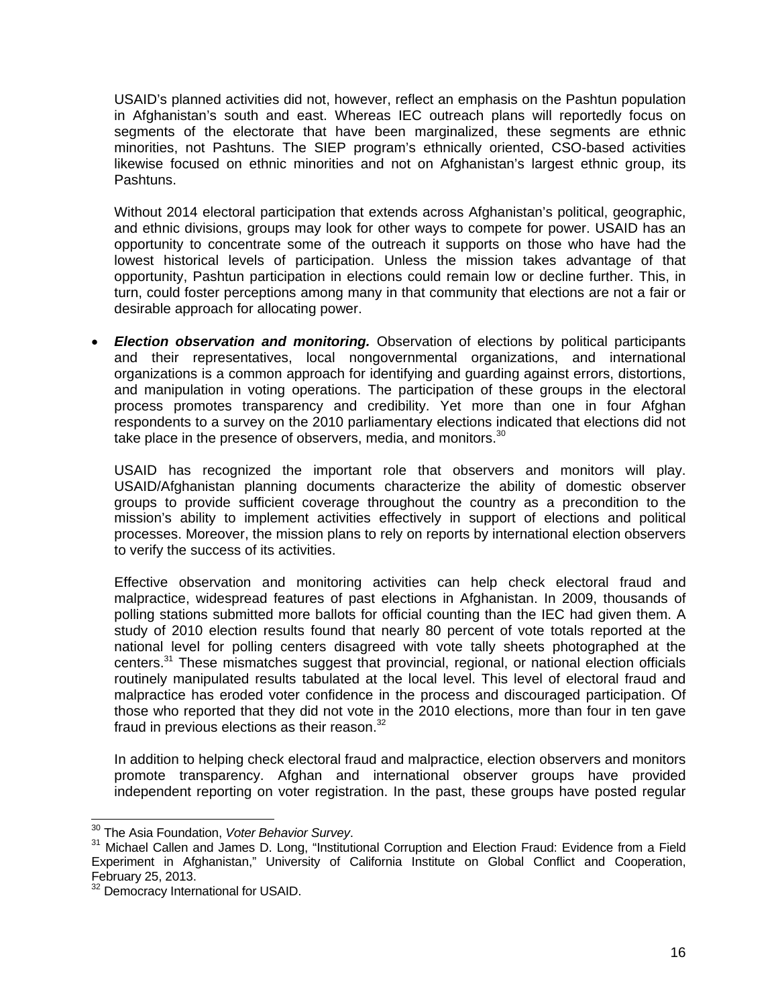USAID's planned activities did not, however, reflect an emphasis on the Pashtun population in Afghanistan's south and east. Whereas IEC outreach plans will reportedly focus on segments of the electorate that have been marginalized, these segments are ethnic minorities, not Pashtuns. The SIEP program's ethnically oriented, CSO-based activities likewise focused on ethnic minorities and not on Afghanistan's largest ethnic group, its Pashtuns.

Without 2014 electoral participation that extends across Afghanistan's political, geographic, and ethnic divisions, groups may look for other ways to compete for power. USAID has an opportunity to concentrate some of the outreach it supports on those who have had the lowest historical levels of participation. Unless the mission takes advantage of that opportunity, Pashtun participation in elections could remain low or decline further. This, in turn, could foster perceptions among many in that community that elections are not a fair or desirable approach for allocating power.

 *Election observation and monitoring.* Observation of elections by political participants and their representatives, local nongovernmental organizations, and international organizations is a common approach for identifying and guarding against errors, distortions, and manipulation in voting operations. The participation of these groups in the electoral process promotes transparency and credibility. Yet more than one in four Afghan respondents to a survey on the 2010 parliamentary elections indicated that elections did not take place in the presence of observers, media, and monitors. $30$ 

USAID has recognized the important role that observers and monitors will play. USAID/Afghanistan planning documents characterize the ability of domestic observer groups to provide sufficient coverage throughout the country as a precondition to the mission's ability to implement activities effectively in support of elections and political processes. Moreover, the mission plans to rely on reports by international election observers to verify the success of its activities.

fraud in previous elections as their reason. $32$ Effective observation and monitoring activities can help check electoral fraud and malpractice, widespread features of past elections in Afghanistan. In 2009, thousands of polling stations submitted more ballots for official counting than the IEC had given them. A study of 2010 election results found that nearly 80 percent of vote totals reported at the national level for polling centers disagreed with vote tally sheets photographed at the centers.31 These mismatches suggest that provincial, regional, or national election officials routinely manipulated results tabulated at the local level. This level of electoral fraud and malpractice has eroded voter confidence in the process and discouraged participation. Of those who reported that they did not vote in the 2010 elections, more than four in ten gave

In addition to helping check electoral fraud and malpractice, election observers and monitors promote transparency. Afghan and international observer groups have provided independent reporting on voter registration. In the past, these groups have posted regular

<sup>&</sup>lt;sup>30</sup> The Asia Foundation, Voter Behavior Survey.

<sup>&</sup>lt;sup>30</sup> The Asia Foundation, *Voter Behavior Survey.*<br><sup>31</sup> Michael Callen and James D. Long, "Institutional Corruption and Election Fraud: Evidence from a Field Experiment in Afghanistan," University of California Institute on Global Conflict and Cooperation, February 25, 2013.

<sup>&</sup>lt;sup>32</sup> Democracy International for USAID.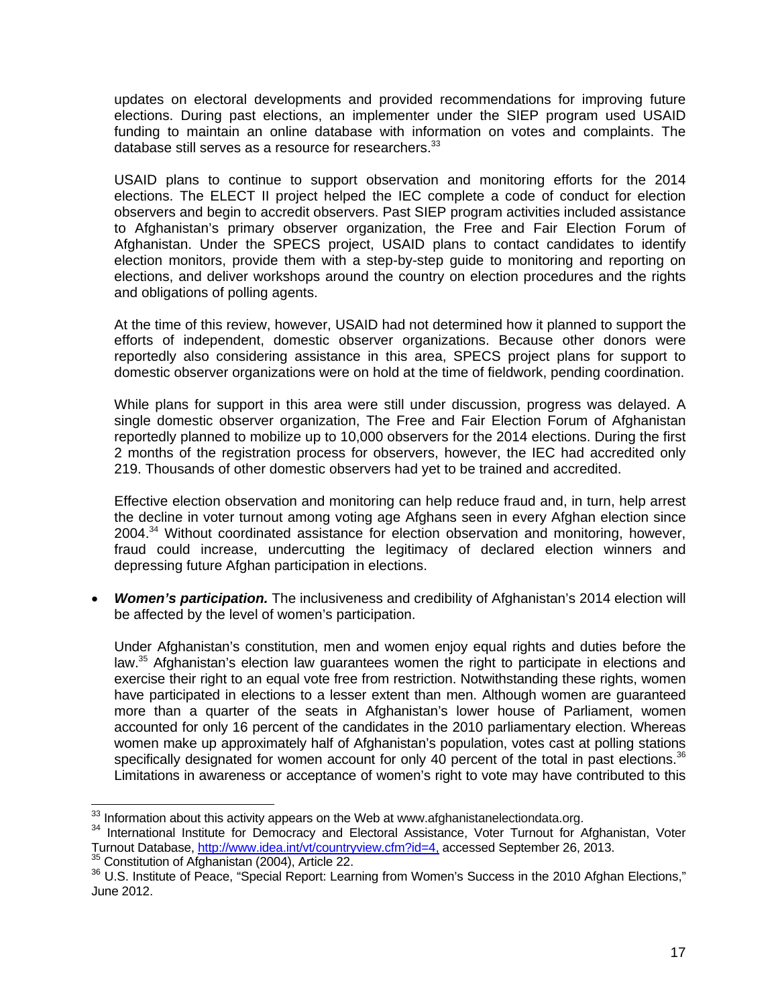updates on electoral developments and provided recommendations for improving future elections. During past elections, an implementer under the SIEP program used USAID funding to maintain an online database with information on votes and complaints. The database still serves as a resource for researchers. $33$ 

USAID plans to continue to support observation and monitoring efforts for the 2014 elections. The ELECT II project helped the IEC complete a code of conduct for election observers and begin to accredit observers. Past SIEP program activities included assistance to Afghanistan's primary observer organization, the Free and Fair Election Forum of Afghanistan. Under the SPECS project, USAID plans to contact candidates to identify election monitors, provide them with a step-by-step guide to monitoring and reporting on elections, and deliver workshops around the country on election procedures and the rights and obligations of polling agents.

At the time of this review, however, USAID had not determined how it planned to support the efforts of independent, domestic observer organizations. Because other donors were reportedly also considering assistance in this area, SPECS project plans for support to domestic observer organizations were on hold at the time of fieldwork, pending coordination.

While plans for support in this area were still under discussion, progress was delayed. A single domestic observer organization, The Free and Fair Election Forum of Afghanistan reportedly planned to mobilize up to 10,000 observers for the 2014 elections. During the first 2 months of the registration process for observers, however, the IEC had accredited only 219. Thousands of other domestic observers had yet to be trained and accredited.

Effective election observation and monitoring can help reduce fraud and, in turn, help arrest the decline in voter turnout among voting age Afghans seen in every Afghan election since 2004.34 Without coordinated assistance for election observation and monitoring, however, fraud could increase, undercutting the legitimacy of declared election winners and depressing future Afghan participation in elections.

be affected by the level of women's participation. *Women's participation.* The inclusiveness and credibility of Afghanistan's 2014 election will

be affected by the level of women's participation.<br>Under Afghanistan's constitution, men and women enjoy equal rights and duties before the have participated in elections to a lesser extent than men. Although women are guaranteed women make up approximately half of Afghanistan's population, votes cast at polling stations law.<sup>35</sup> Afghanistan's election law guarantees women the right to participate in elections and exercise their right to an equal vote free from restriction. Notwithstanding these rights, women more than a quarter of the seats in Afghanistan's lower house of Parliament, women accounted for only 16 percent of the candidates in the 2010 parliamentary election. Whereas specifically designated for women account for only 40 percent of the total in past elections.<sup>36</sup> Limitations in awareness or acceptance of women's right to vote may have contributed to this

 $\overline{a}$  $33$  Information about this activity appears on the Web at www.afghanistanelectiondata.org.

<sup>&</sup>lt;sup>33</sup> Information about this activity appears on the Web at www.afghanistanelectiondata.org.<br><sup>34</sup> International Institute for Democracy and Electoral Assistance, Voter Turnout for Afghanistan, Voter Turnout Database, http://www.idea.int/vt/countryview.cfm?id=4, accessed September 26, 2013.<br><sup>35</sup> Constitution of Afghanistan (2004), Article 22.<br><sup>36</sup> U.S. Institute of Peace, "Special Report: Learning from Women's Success

June 2012.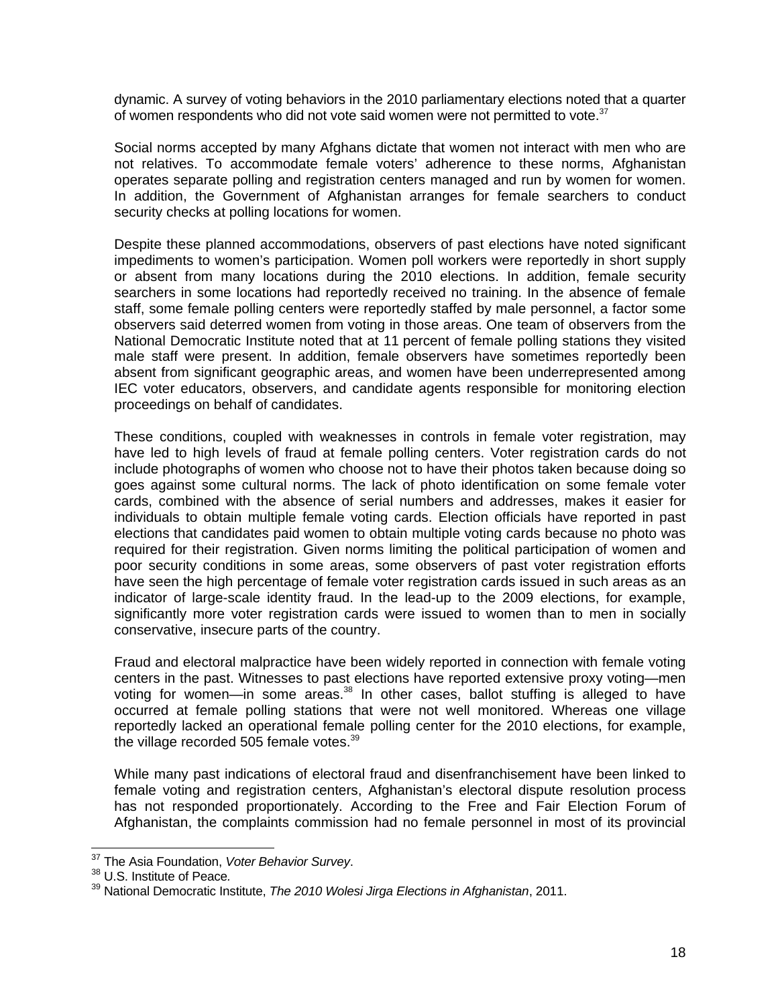dynamic. A survey of voting behaviors in the 2010 parliamentary elections noted that a quarter of women respondents who did not vote said women were not permitted to vote. $37$ 

Social norms accepted by many Afghans dictate that women not interact with men who are not relatives. To accommodate female voters' adherence to these norms, Afghanistan operates separate polling and registration centers managed and run by women for women. In addition, the Government of Afghanistan arranges for female searchers to conduct security checks at polling locations for women.

proceedings on behalf of candidates. Despite these planned accommodations, observers of past elections have noted significant impediments to women's participation. Women poll workers were reportedly in short supply or absent from many locations during the 2010 elections. In addition, female security searchers in some locations had reportedly received no training. In the absence of female staff, some female polling centers were reportedly staffed by male personnel, a factor some observers said deterred women from voting in those areas. One team of observers from the National Democratic Institute noted that at 11 percent of female polling stations they visited male staff were present. In addition, female observers have sometimes reportedly been absent from significant geographic areas, and women have been underrepresented among IEC voter educators, observers, and candidate agents responsible for monitoring election

 indicator of large-scale identity fraud. In the lead-up to the 2009 elections, for example, These conditions, coupled with weaknesses in controls in female voter registration, may have led to high levels of fraud at female polling centers. Voter registration cards do not include photographs of women who choose not to have their photos taken because doing so goes against some cultural norms. The lack of photo identification on some female voter cards, combined with the absence of serial numbers and addresses, makes it easier for individuals to obtain multiple female voting cards. Election officials have reported in past elections that candidates paid women to obtain multiple voting cards because no photo was required for their registration. Given norms limiting the political participation of women and poor security conditions in some areas, some observers of past voter registration efforts have seen the high percentage of female voter registration cards issued in such areas as an significantly more voter registration cards were issued to women than to men in socially conservative, insecure parts of the country.

the village recorded 505 female votes. $^{39}$ Fraud and electoral malpractice have been widely reported in connection with female voting centers in the past. Witnesses to past elections have reported extensive proxy voting—men voting for women—in some areas. $38$  In other cases, ballot stuffing is alleged to have occurred at female polling stations that were not well monitored. Whereas one village reportedly lacked an operational female polling center for the 2010 elections, for example,

While many past indications of electoral fraud and disenfranchisement have been linked to female voting and registration centers, Afghanistan's electoral dispute resolution process has not responded proportionately. According to the Free and Fair Election Forum of Afghanistan, the complaints commission had no female personnel in most of its provincial

-

<sup>&</sup>lt;sup>37</sup> The Asia Foundation, *Voter Behavior Survey.*<br><sup>38</sup> U.S. Institute of Peace*.* 

<sup>&</sup>lt;sup>38</sup> U.S. Institute of Peace.<br><sup>39</sup> National Democratic Institute, *The 2010 Wolesi Jirga Elections in Afghanistan*, 2011.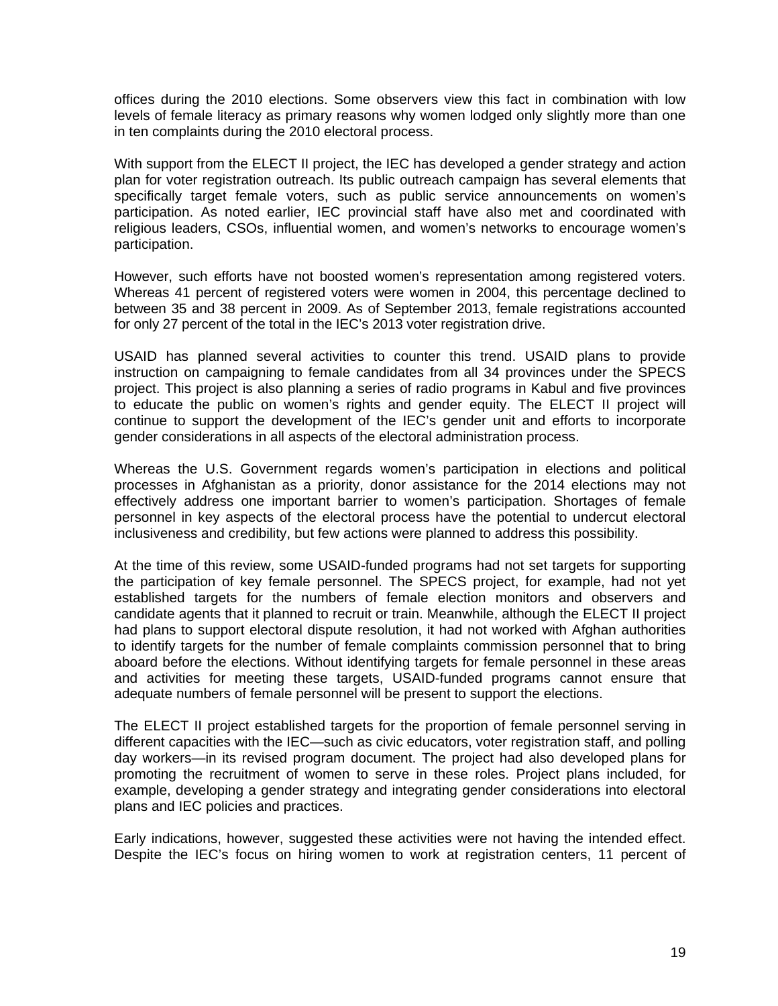offices during the 2010 elections. Some observers view this fact in combination with low levels of female literacy as primary reasons why women lodged only slightly more than one in ten complaints during the 2010 electoral process.

participation. With support from the ELECT II project, the IEC has developed a gender strategy and action plan for voter registration outreach. Its public outreach campaign has several elements that specifically target female voters, such as public service announcements on women's participation. As noted earlier, IEC provincial staff have also met and coordinated with religious leaders, CSOs, influential women, and women's networks to encourage women's

However, such efforts have not boosted women's representation among registered voters. Whereas 41 percent of registered voters were women in 2004, this percentage declined to between 35 and 38 percent in 2009. As of September 2013, female registrations accounted for only 27 percent of the total in the IEC's 2013 voter registration drive.

USAID has planned several activities to counter this trend. USAID plans to provide instruction on campaigning to female candidates from all 34 provinces under the SPECS project. This project is also planning a series of radio programs in Kabul and five provinces to educate the public on women's rights and gender equity. The ELECT II project will continue to support the development of the IEC's gender unit and efforts to incorporate gender considerations in all aspects of the electoral administration process.

inclusiveness and credibility, but few actions were planned to address this possibility. Whereas the U.S. Government regards women's participation in elections and political processes in Afghanistan as a priority, donor assistance for the 2014 elections may not effectively address one important barrier to women's participation. Shortages of female personnel in key aspects of the electoral process have the potential to undercut electoral

At the time of this review, some USAID-funded programs had not set targets for supporting the participation of key female personnel. The SPECS project, for example, had not yet established targets for the numbers of female election monitors and observers and candidate agents that it planned to recruit or train. Meanwhile, although the ELECT II project had plans to support electoral dispute resolution, it had not worked with Afghan authorities to identify targets for the number of female complaints commission personnel that to bring aboard before the elections. Without identifying targets for female personnel in these areas and activities for meeting these targets, USAID-funded programs cannot ensure that adequate numbers of female personnel will be present to support the elections.

The ELECT II project established targets for the proportion of female personnel serving in different capacities with the IEC—such as civic educators, voter registration staff, and polling day workers—in its revised program document. The project had also developed plans for promoting the recruitment of women to serve in these roles. Project plans included, for example, developing a gender strategy and integrating gender considerations into electoral plans and IEC policies and practices.

Early indications, however, suggested these activities were not having the intended effect. Despite the IEC's focus on hiring women to work at registration centers, 11 percent of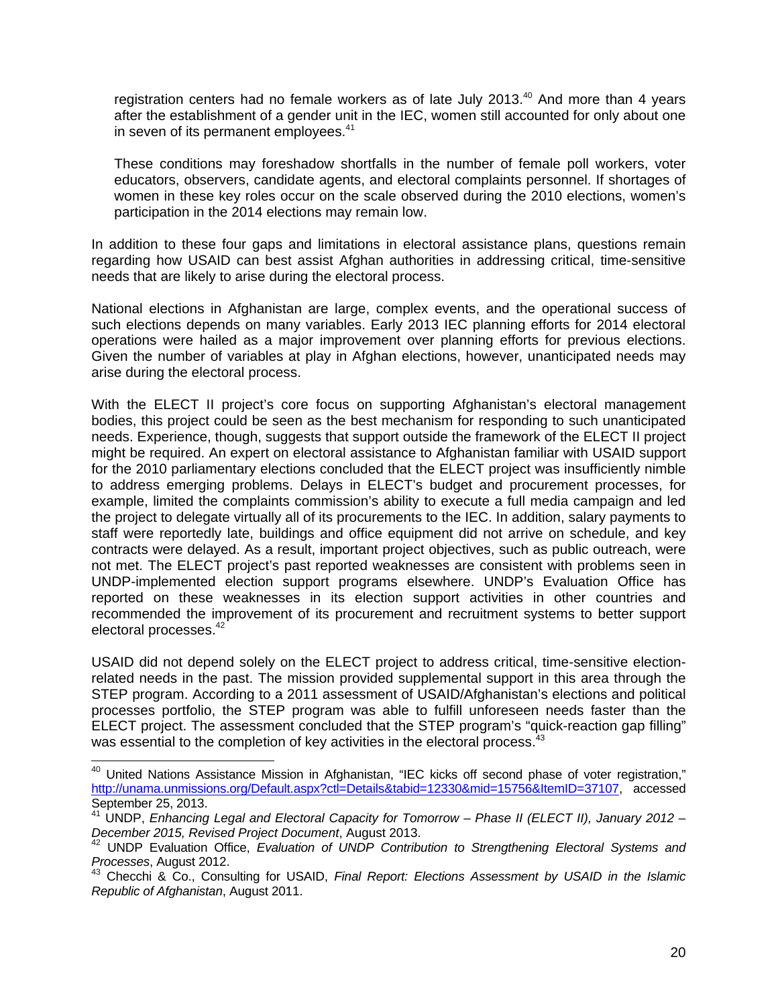in seven of its permanent employees.<sup>41</sup> registration centers had no female workers as of late July 2013. $40$  And more than 4 years after the establishment of a gender unit in the IEC, women still accounted for only about one

These conditions may foreshadow shortfalls in the number of female poll workers, voter educators, observers, candidate agents, and electoral complaints personnel. If shortages of women in these key roles occur on the scale observed during the 2010 elections, women's participation in the 2014 elections may remain low.

In addition to these four gaps and limitations in electoral assistance plans, questions remain regarding how USAID can best assist Afghan authorities in addressing critical, time-sensitive needs that are likely to arise during the electoral process.

National elections in Afghanistan are large, complex events, and the operational success of such elections depends on many variables. Early 2013 IEC planning efforts for 2014 electoral operations were hailed as a major improvement over planning efforts for previous elections. Given the number of variables at play in Afghan elections, however, unanticipated needs may arise during the electoral process.

electoral processes.<sup>42</sup> With the ELECT II project's core focus on supporting Afghanistan's electoral management bodies, this project could be seen as the best mechanism for responding to such unanticipated needs. Experience, though, suggests that support outside the framework of the ELECT II project might be required. An expert on electoral assistance to Afghanistan familiar with USAID support for the 2010 parliamentary elections concluded that the ELECT project was insufficiently nimble to address emerging problems. Delays in ELECT's budget and procurement processes, for example, limited the complaints commission's ability to execute a full media campaign and led the project to delegate virtually all of its procurements to the IEC. In addition, salary payments to staff were reportedly late, buildings and office equipment did not arrive on schedule, and key contracts were delayed. As a result, important project objectives, such as public outreach, were not met. The ELECT project's past reported weaknesses are consistent with problems seen in UNDP-implemented election support programs elsewhere. UNDP's Evaluation Office has reported on these weaknesses in its election support activities in other countries and recommended the improvement of its procurement and recruitment systems to better support

was essential to the completion of key activities in the electoral process. $43$ USAID did not depend solely on the ELECT project to address critical, time-sensitive electionrelated needs in the past. The mission provided supplemental support in this area through the STEP program. According to a 2011 assessment of USAID/Afghanistan's elections and political processes portfolio, the STEP program was able to fulfill unforeseen needs faster than the ELECT project. The assessment concluded that the STEP program's "quick-reaction gap filling"

-

 $40$  United Nations Assistance Mission in Afghanistan, "IEC kicks off second phase of voter registration," http://unama.unmissions.org/Default.aspx?ctl=Details&tabid=12330&mid=15756&ItemID=37107, accessed September 25, 2013.

<sup>41</sup> UNDP, *Enhancing Legal and Electoral Capacity for Tomorrow – Phase II (ELECT II), January 2012 – December 2015, Revised Project Document*, August 2013.<br><sup>42</sup> UNDP Evaluation Office, *Evaluation of UNDP Contribution to Strengthening Electoral Systems and* 

*Processes*, August 2012.<br><sup>43</sup> Checchi & Co., Consulting for USAID, *Final Report: Elections Assessment by USAID in the Islamic* 

*Republic of Afghanistan*, August 2011.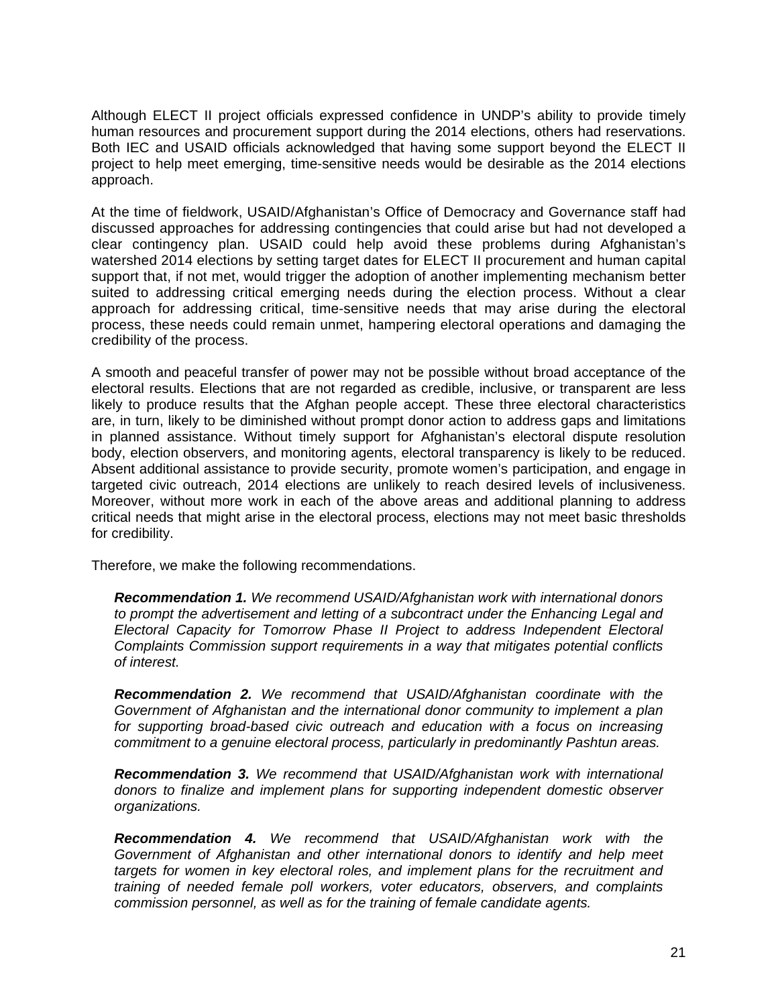Although ELECT II project officials expressed confidence in UNDP's ability to provide timely human resources and procurement support during the 2014 elections, others had reservations. Both IEC and USAID officials acknowledged that having some support beyond the ELECT II project to help meet emerging, time-sensitive needs would be desirable as the 2014 elections approach.

At the time of fieldwork, USAID/Afghanistan's Office of Democracy and Governance staff had discussed approaches for addressing contingencies that could arise but had not developed a clear contingency plan. USAID could help avoid these problems during Afghanistan's watershed 2014 elections by setting target dates for ELECT II procurement and human capital support that, if not met, would trigger the adoption of another implementing mechanism better suited to addressing critical emerging needs during the election process. Without a clear approach for addressing critical, time-sensitive needs that may arise during the electoral process, these needs could remain unmet, hampering electoral operations and damaging the credibility of the process.

A smooth and peaceful transfer of power may not be possible without broad acceptance of the electoral results. Elections that are not regarded as credible, inclusive, or transparent are less likely to produce results that the Afghan people accept. These three electoral characteristics are, in turn, likely to be diminished without prompt donor action to address gaps and limitations in planned assistance. Without timely support for Afghanistan's electoral dispute resolution body, election observers, and monitoring agents, electoral transparency is likely to be reduced. Absent additional assistance to provide security, promote women's participation, and engage in targeted civic outreach, 2014 elections are unlikely to reach desired levels of inclusiveness. Moreover, without more work in each of the above areas and additional planning to address critical needs that might arise in the electoral process, elections may not meet basic thresholds for credibility.

Therefore, we make the following recommendations.

*Recommendation 1. We recommend USAID/Afghanistan work with international donors to prompt the advertisement and letting of a subcontract under the Enhancing Legal and Electoral Capacity for Tomorrow Phase II Project to address Independent Electoral Complaints Commission support requirements in a way that mitigates potential conflicts of interest.* 

*Recommendation 2. We recommend that USAID/Afghanistan coordinate with the Government of Afghanistan and the international donor community to implement a plan*  for supporting broad-based civic outreach and education with a focus on increasing *commitment to a genuine electoral process, particularly in predominantly Pashtun areas.* 

*Recommendation 3. We recommend that USAID/Afghanistan work with international donors to finalize and implement plans for supporting independent domestic observer organizations.* 

*Recommendation 4. We recommend that USAID/Afghanistan work with the Government of Afghanistan and other international donors to identify and help meet targets for women in key electoral roles, and implement plans for the recruitment and training of needed female poll workers, voter educators, observers, and complaints commission personnel, as well as for the training of female candidate agents.*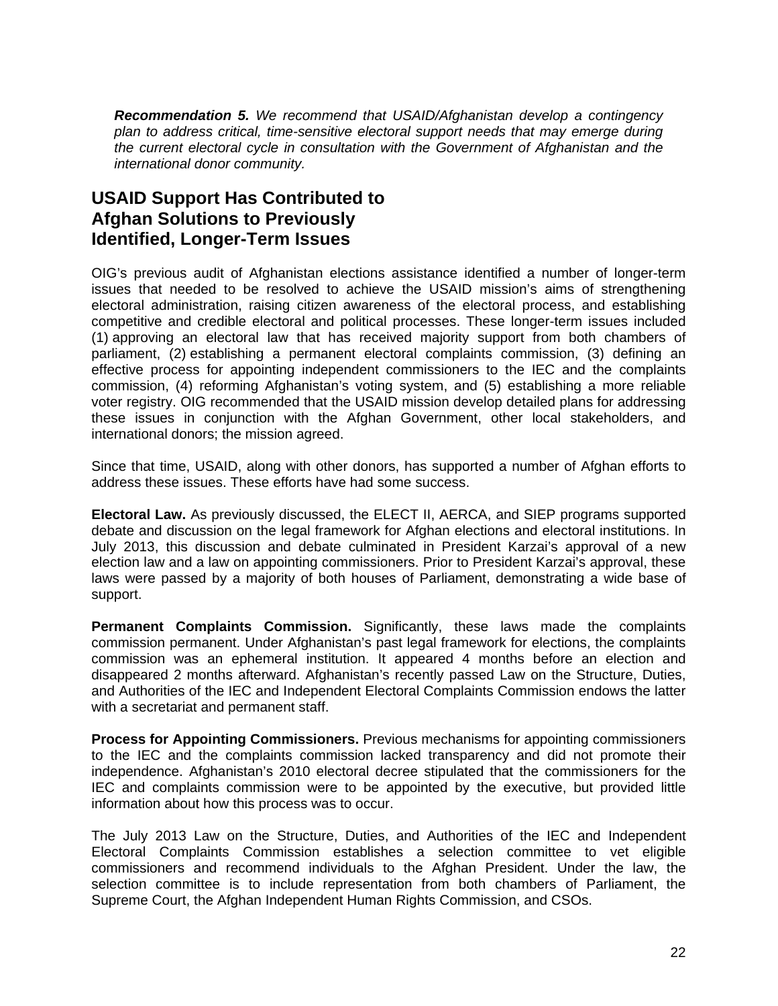*Recommendation 5. We recommend that USAID/Afghanistan develop a contingency plan to address critical, time-sensitive electoral support needs that may emerge during the current electoral cycle in consultation with the Government of Afghanistan and the international donor community.* 

# **USAID Support Has Contributed to Afghan Solutions to Previously Identified, Longer-Term Issues**

OIG's previous audit of Afghanistan elections assistance identified a number of longer-term issues that needed to be resolved to achieve the USAID mission's aims of strengthening electoral administration, raising citizen awareness of the electoral process, and establishing competitive and credible electoral and political processes. These longer-term issues included (1) approving an electoral law that has received majority support from both chambers of parliament, (2) establishing a permanent electoral complaints commission, (3) defining an effective process for appointing independent commissioners to the IEC and the complaints commission, (4) reforming Afghanistan's voting system, and (5) establishing a more reliable voter registry. OIG recommended that the USAID mission develop detailed plans for addressing these issues in conjunction with the Afghan Government, other local stakeholders, and international donors; the mission agreed.

 address these issues. These efforts have had some success. Since that time, USAID, along with other donors, has supported a number of Afghan efforts to

**Electoral Law.** As previously discussed, the ELECT II, AERCA, and SIEP programs supported debate and discussion on the legal framework for Afghan elections and electoral institutions. In July 2013, this discussion and debate culminated in President Karzai's approval of a new election law and a law on appointing commissioners. Prior to President Karzai's approval, these laws were passed by a majority of both houses of Parliament, demonstrating a wide base of support.

**Permanent Complaints Commission.** Significantly, these laws made the complaints commission permanent. Under Afghanistan's past legal framework for elections, the complaints commission was an ephemeral institution. It appeared 4 months before an election and disappeared 2 months afterward. Afghanistan's recently passed Law on the Structure, Duties, and Authorities of the IEC and Independent Electoral Complaints Commission endows the latter with a secretariat and permanent staff.

**Process for Appointing Commissioners.** Previous mechanisms for appointing commissioners to the IEC and the complaints commission lacked transparency and did not promote their independence. Afghanistan's 2010 electoral decree stipulated that the commissioners for the IEC and complaints commission were to be appointed by the executive, but provided little information about how this process was to occur.

The July 2013 Law on the Structure, Duties, and Authorities of the IEC and Independent Electoral Complaints Commission establishes a selection committee to vet eligible commissioners and recommend individuals to the Afghan President. Under the law, the selection committee is to include representation from both chambers of Parliament, the Supreme Court, the Afghan Independent Human Rights Commission, and CSOs.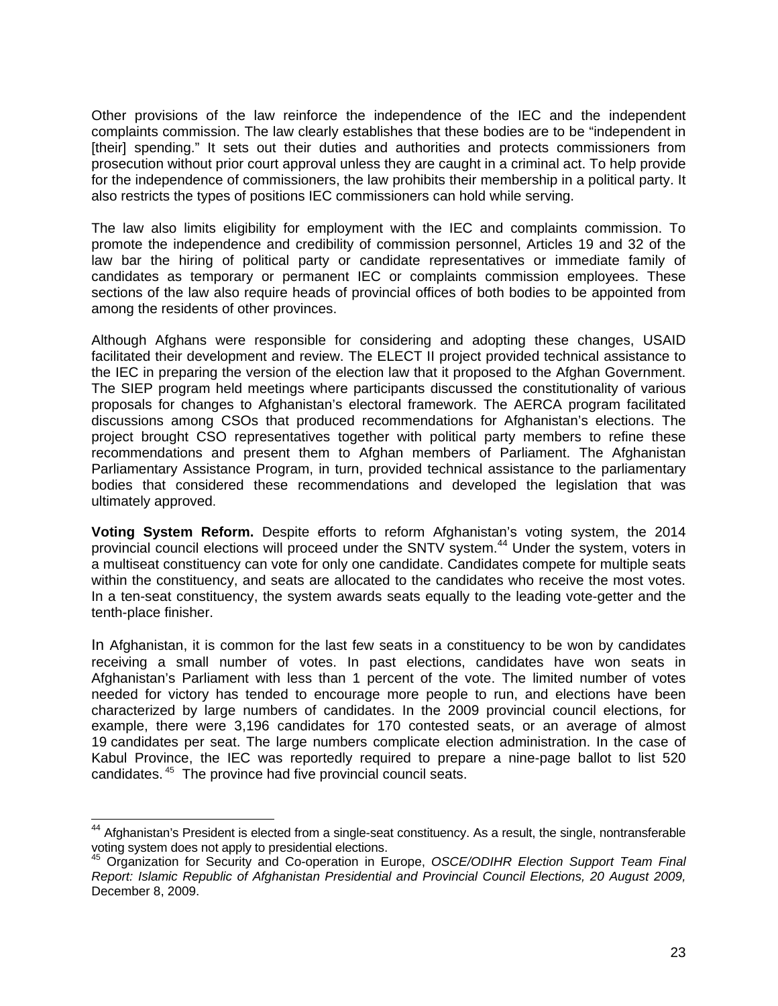Other provisions of the law reinforce the independence of the IEC and the independent complaints commission. The law clearly establishes that these bodies are to be "independent in [their] spending." It sets out their duties and authorities and protects commissioners from prosecution without prior court approval unless they are caught in a criminal act. To help provide for the independence of commissioners, the law prohibits their membership in a political party. It also restricts the types of positions IEC commissioners can hold while serving.

The law also limits eligibility for employment with the IEC and complaints commission. To promote the independence and credibility of commission personnel, Articles 19 and 32 of the law bar the hiring of political party or candidate representatives or immediate family of candidates as temporary or permanent IEC or complaints commission employees. These sections of the law also require heads of provincial offices of both bodies to be appointed from among the residents of other provinces.

Although Afghans were responsible for considering and adopting these changes, USAID facilitated their development and review. The ELECT II project provided technical assistance to the IEC in preparing the version of the election law that it proposed to the Afghan Government. The SIEP program held meetings where participants discussed the constitutionality of various proposals for changes to Afghanistan's electoral framework. The AERCA program facilitated discussions among CSOs that produced recommendations for Afghanistan's elections. The project brought CSO representatives together with political party members to refine these recommendations and present them to Afghan members of Parliament. The Afghanistan Parliamentary Assistance Program, in turn, provided technical assistance to the parliamentary bodies that considered these recommendations and developed the legislation that was ultimately approved.

**Voting System Reform.** Despite efforts to reform Afghanistan's voting system, the 2014 provincial council elections will proceed under the SNTV system.<sup>44</sup> Under the system, voters in a multiseat constituency can vote for only one candidate. Candidates compete for multiple seats within the constituency, and seats are allocated to the candidates who receive the most votes. In a ten-seat constituency, the system awards seats equally to the leading vote-getter and the tenth-place finisher.

In Afghanistan, it is common for the last few seats in a constituency to be won by candidates receiving a small number of votes. In past elections, candidates have won seats in Afghanistan's Parliament with less than 1 percent of the vote. The limited number of votes needed for victory has tended to encourage more people to run, and elections have been characterized by large numbers of candidates. In the 2009 provincial council elections, for example, there were 3,196 candidates for 170 contested seats, or an average of almost 19 candidates per seat. The large numbers complicate election administration. In the case of Kabul Province, the IEC was reportedly required to prepare a nine-page ballot to list 520 candidates. 45 The province had five provincial council seats.

 $\overline{a}$ 

 $44$  Afghanistan's President is elected from a single-seat constituency. As a result, the single, nontransferable voting system does not apply to presidential elections.

<sup>45</sup> Organization for Security and Co-operation in Europe, *OSCE/ODIHR Election Support Team Final Report: Islamic Republic of Afghanistan Presidential and Provincial Council Elections, 20 August 2009,* December 8, 2009.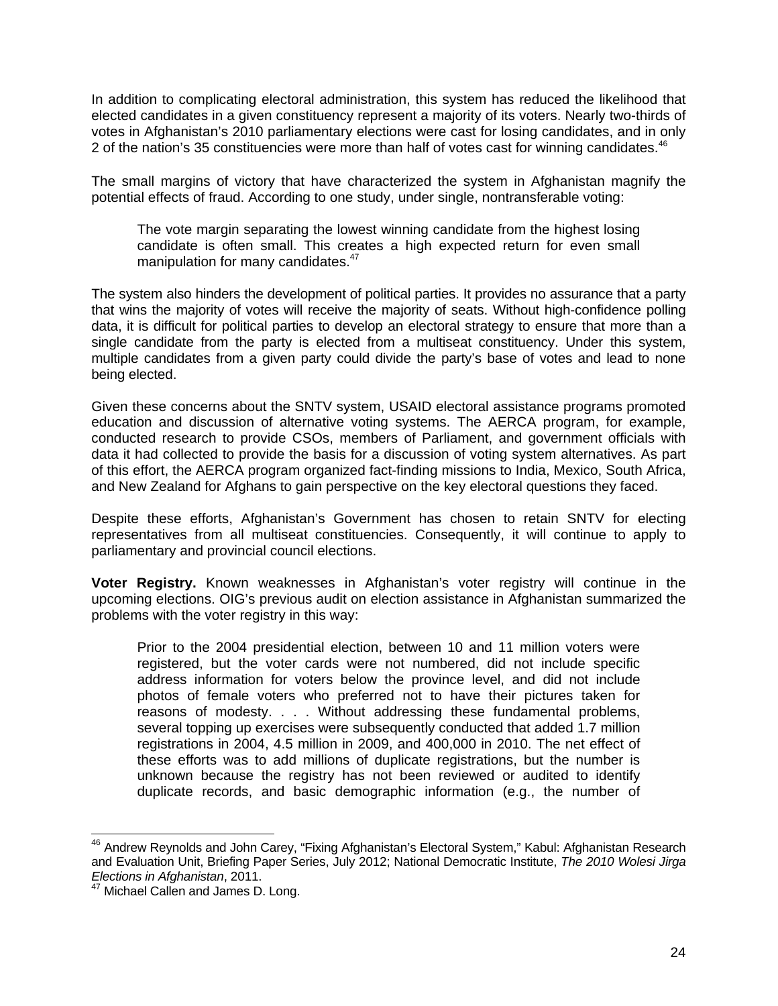In addition to complicating electoral administration, this system has reduced the likelihood that elected candidates in a given constituency represent a majority of its voters. Nearly two-thirds of votes in Afghanistan's 2010 parliamentary elections were cast for losing candidates, and in only 2 of the nation's 35 constituencies were more than half of votes cast for winning candidates.<sup>46</sup>

The small margins of victory that have characterized the system in Afghanistan magnify the potential effects of fraud. According to one study, under single, nontransferable voting:

The vote margin separating the lowest winning candidate from the highest losing candidate is often small. This creates a high expected return for even small manipulation for many candidates.<sup>47</sup>

The system also hinders the development of political parties. It provides no assurance that a party that wins the majority of votes will receive the majority of seats. Without high-confidence polling data, it is difficult for political parties to develop an electoral strategy to ensure that more than a single candidate from the party is elected from a multiseat constituency. Under this system, multiple candidates from a given party could divide the party's base of votes and lead to none being elected.

Given these concerns about the SNTV system, USAID electoral assistance programs promoted education and discussion of alternative voting systems. The AERCA program, for example, conducted research to provide CSOs, members of Parliament, and government officials with data it had collected to provide the basis for a discussion of voting system alternatives. As part of this effort, the AERCA program organized fact-finding missions to India, Mexico, South Africa, and New Zealand for Afghans to gain perspective on the key electoral questions they faced.

Despite these efforts, Afghanistan's Government has chosen to retain SNTV for electing representatives from all multiseat constituencies. Consequently, it will continue to apply to parliamentary and provincial council elections.

**Voter Registry.** Known weaknesses in Afghanistan's voter registry will continue in the upcoming elections. OIG's previous audit on election assistance in Afghanistan summarized the problems with the voter registry in this way:

Prior to the 2004 presidential election, between 10 and 11 million voters were registered, but the voter cards were not numbered, did not include specific address information for voters below the province level, and did not include photos of female voters who preferred not to have their pictures taken for reasons of modesty. . . . Without addressing these fundamental problems, several topping up exercises were subsequently conducted that added 1.7 million registrations in 2004, 4.5 million in 2009, and 400,000 in 2010. The net effect of these efforts was to add millions of duplicate registrations, but the number is unknown because the registry has not been reviewed or audited to identify duplicate records, and basic demographic information (e.g., the number of

<sup>-</sup> $^{46}$  Andrew Reynolds and John Carey, "Fixing Afghanistan's Electoral System," Kabul: Afghanistan Research and Evaluation Unit, Briefing Paper Series, July 2012; National Democratic Institute, *The 2010 Wolesi Jirga Elections in Afghanistan*, 2011.

<sup>&</sup>lt;sup>47</sup> Michael Callen and James D. Long.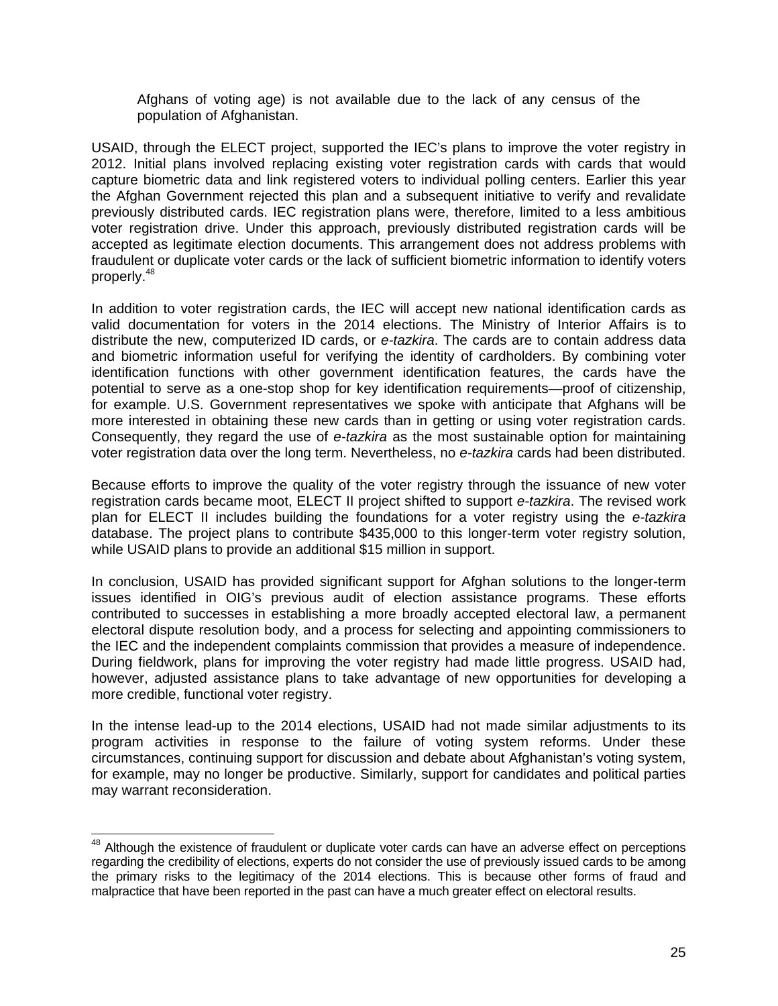Afghans of voting age) is not available due to the lack of any census of the population of Afghanistan.

USAID, through the ELECT project, supported the IEC's plans to improve the voter registry in 2012. Initial plans involved replacing existing voter registration cards with cards that would capture biometric data and link registered voters to individual polling centers. Earlier this year the Afghan Government rejected this plan and a subsequent initiative to verify and revalidate previously distributed cards. IEC registration plans were, therefore, limited to a less ambitious voter registration drive. Under this approach, previously distributed registration cards will be accepted as legitimate election documents. This arrangement does not address problems with fraudulent or duplicate voter cards or the lack of sufficient biometric information to identify voters properly.<sup>48</sup>

In addition to voter registration cards, the IEC will accept new national identification cards as valid documentation for voters in the 2014 elections. The Ministry of Interior Affairs is to distribute the new, computerized ID cards, or *e-tazkira*. The cards are to contain address data and biometric information useful for verifying the identity of cardholders. By combining voter identification functions with other government identification features, the cards have the potential to serve as a one-stop shop for key identification requirements—proof of citizenship, for example. U.S. Government representatives we spoke with anticipate that Afghans will be more interested in obtaining these new cards than in getting or using voter registration cards. Consequently, they regard the use of *e-tazkira* as the most sustainable option for maintaining voter registration data over the long term. Nevertheless, no *e-tazkira* cards had been distributed.

Because efforts to improve the quality of the voter registry through the issuance of new voter registration cards became moot, ELECT II project shifted to support *e-tazkira*. The revised work plan for ELECT II includes building the foundations for a voter registry using the *e-tazkira*  database. The project plans to contribute \$435,000 to this longer-term voter registry solution, while USAID plans to provide an additional \$15 million in support.

In conclusion, USAID has provided significant support for Afghan solutions to the longer-term issues identified in OIG's previous audit of election assistance programs. These efforts contributed to successes in establishing a more broadly accepted electoral law, a permanent electoral dispute resolution body, and a process for selecting and appointing commissioners to the IEC and the independent complaints commission that provides a measure of independence. During fieldwork, plans for improving the voter registry had made little progress. USAID had, however, adjusted assistance plans to take advantage of new opportunities for developing a more credible, functional voter registry.

In the intense lead-up to the 2014 elections, USAID had not made similar adjustments to its program activities in response to the failure of voting system reforms. Under these circumstances, continuing support for discussion and debate about Afghanistan's voting system, for example, may no longer be productive. Similarly, support for candidates and political parties may warrant reconsideration.

 $48$  Although the existence of fraudulent or duplicate voter cards can have an adverse effect on perceptions regarding the credibility of elections, experts do not consider the use of previously issued cards to be among the primary risks to the legitimacy of the 2014 elections. This is because other forms of fraud and malpractice that have been reported in the past can have a much greater effect on electoral results.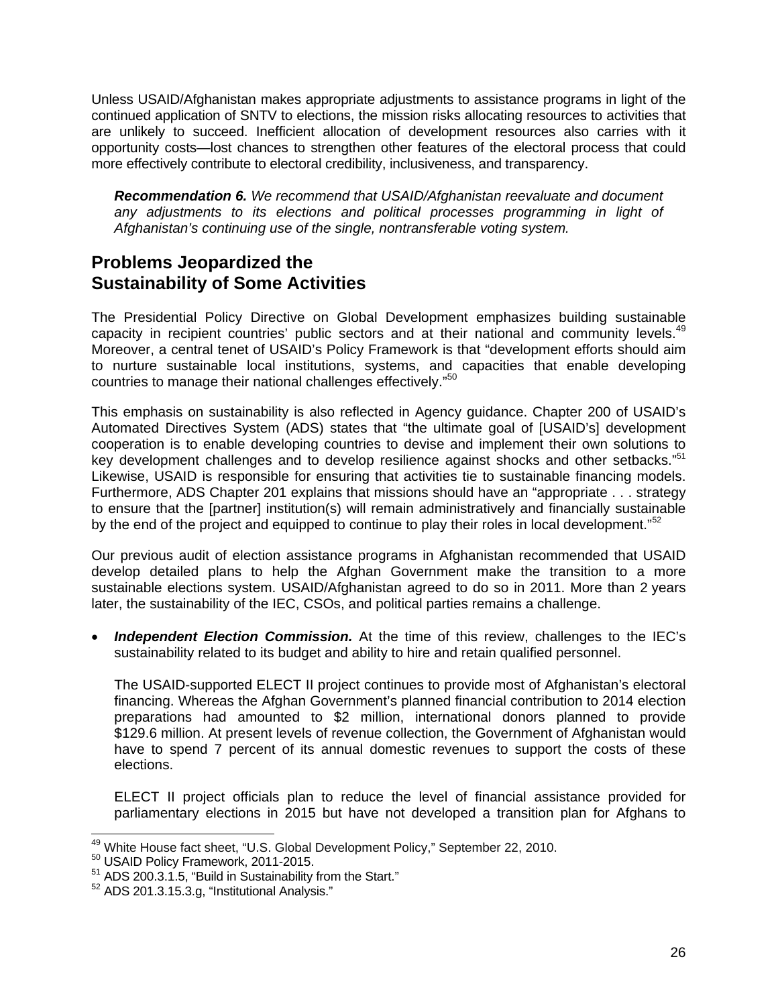Unless USAID/Afghanistan makes appropriate adjustments to assistance programs in light of the continued application of SNTV to elections, the mission risks allocating resources to activities that are unlikely to succeed. Inefficient allocation of development resources also carries with it opportunity costs—lost chances to strengthen other features of the electoral process that could more effectively contribute to electoral credibility, inclusiveness, and transparency.

 *Afghanistan's continuing use of the single, nontransferable voting system. Recommendation 6. We recommend that USAID/Afghanistan reevaluate and document*  any adjustments to its elections and political processes programming in light of

# **Problems Jeopardized the Sustainability of Some Activities**

The Presidential Policy Directive on Global Development emphasizes building sustainable capacity in recipient countries' public sectors and at their national and community levels.<sup>49</sup> Moreover, a central tenet of USAID's Policy Framework is that "development efforts should aim to nurture sustainable local institutions, systems, and capacities that enable developing countries to manage their national challenges effectively."<sup>50</sup>

This emphasis on sustainability is also reflected in Agency guidance. Chapter 200 of USAID's Automated Directives System (ADS) states that "the ultimate goal of [USAID's] development cooperation is to enable developing countries to devise and implement their own solutions to key development challenges and to develop resilience against shocks and other setbacks."<sup>51</sup> Likewise, USAID is responsible for ensuring that activities tie to sustainable financing models. Furthermore, ADS Chapter 201 explains that missions should have an "appropriate . . . strategy to ensure that the [partner] institution(s) will remain administratively and financially sustainable by the end of the project and equipped to continue to play their roles in local development."<sup>52</sup>

Our previous audit of election assistance programs in Afghanistan recommended that USAID develop detailed plans to help the Afghan Government make the transition to a more sustainable elections system. USAID/Afghanistan agreed to do so in 2011. More than 2 years later, the sustainability of the IEC, CSOs, and political parties remains a challenge.

 *Independent Election Commission.* At the time of this review, challenges to the IEC's sustainability related to its budget and ability to hire and retain qualified personnel.

The USAID-supported ELECT II project continues to provide most of Afghanistan's electoral financing. Whereas the Afghan Government's planned financial contribution to 2014 election preparations had amounted to \$2 million, international donors planned to provide \$129.6 million. At present levels of revenue collection, the Government of Afghanistan would have to spend 7 percent of its annual domestic revenues to support the costs of these elections.

ELECT II project officials plan to reduce the level of financial assistance provided for parliamentary elections in 2015 but have not developed a transition plan for Afghans to

 <sup>49</sup> White House fact sheet, "U.S. Global Development Policy," September 22, 2010.<br><sup>50</sup> USAID Policy Framework, 2011-2015.<br><sup>51</sup> ADS 200.3.1.5, "Build in Sustainability from the Start."

<sup>&</sup>lt;sup>51</sup> ADS 200.3.1.5, "Build in Sustainability from the Start."<br><sup>52</sup> ADS 201.3.15.3.g, "Institutional Analysis."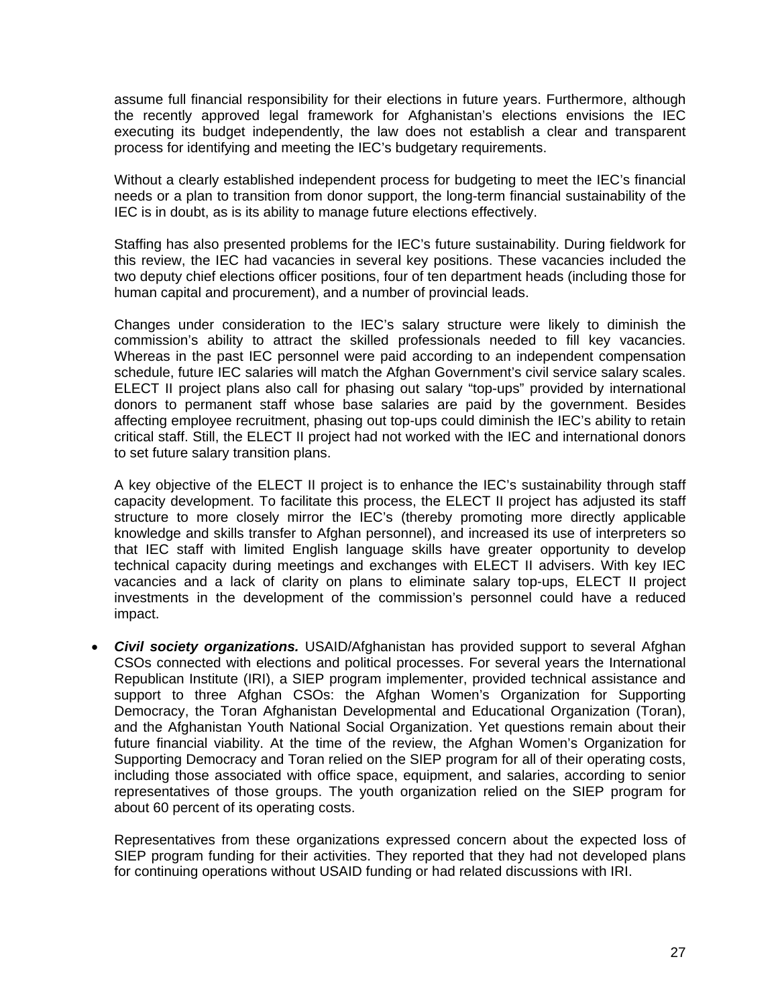assume full financial responsibility for their elections in future years. Furthermore, although the recently approved legal framework for Afghanistan's elections envisions the IEC executing its budget independently, the law does not establish a clear and transparent process for identifying and meeting the IEC's budgetary requirements.

Without a clearly established independent process for budgeting to meet the IEC's financial needs or a plan to transition from donor support, the long-term financial sustainability of the IEC is in doubt, as is its ability to manage future elections effectively.

Staffing has also presented problems for the IEC's future sustainability. During fieldwork for this review, the IEC had vacancies in several key positions. These vacancies included the two deputy chief elections officer positions, four of ten department heads (including those for human capital and procurement), and a number of provincial leads.

Changes under consideration to the IEC's salary structure were likely to diminish the commission's ability to attract the skilled professionals needed to fill key vacancies. Whereas in the past IEC personnel were paid according to an independent compensation schedule, future IEC salaries will match the Afghan Government's civil service salary scales. ELECT II project plans also call for phasing out salary "top-ups" provided by international donors to permanent staff whose base salaries are paid by the government. Besides affecting employee recruitment, phasing out top-ups could diminish the IEC's ability to retain critical staff. Still, the ELECT II project had not worked with the IEC and international donors to set future salary transition plans.

A key objective of the ELECT II project is to enhance the IEC's sustainability through staff capacity development. To facilitate this process, the ELECT II project has adjusted its staff structure to more closely mirror the IEC's (thereby promoting more directly applicable knowledge and skills transfer to Afghan personnel), and increased its use of interpreters so that IEC staff with limited English language skills have greater opportunity to develop technical capacity during meetings and exchanges with ELECT II advisers. With key IEC vacancies and a lack of clarity on plans to eliminate salary top-ups, ELECT II project investments in the development of the commission's personnel could have a reduced impact.

 *Civil society organizations.* USAID/Afghanistan has provided support to several Afghan CSOs connected with elections and political processes. For several years the International Republican Institute (IRI), a SIEP program implementer, provided technical assistance and support to three Afghan CSOs: the Afghan Women's Organization for Supporting Democracy, the Toran Afghanistan Developmental and Educational Organization (Toran), and the Afghanistan Youth National Social Organization. Yet questions remain about their future financial viability. At the time of the review, the Afghan Women's Organization for Supporting Democracy and Toran relied on the SIEP program for all of their operating costs, including those associated with office space, equipment, and salaries, according to senior representatives of those groups. The youth organization relied on the SIEP program for about 60 percent of its operating costs.

Representatives from these organizations expressed concern about the expected loss of SIEP program funding for their activities. They reported that they had not developed plans for continuing operations without USAID funding or had related discussions with IRI.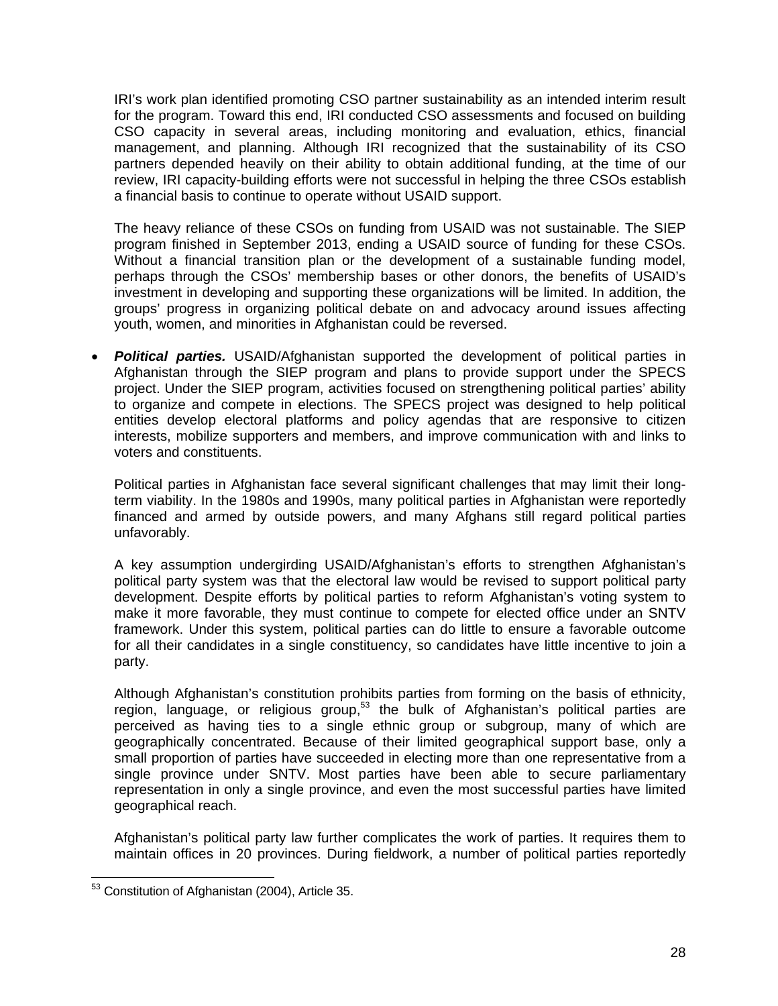IRI's work plan identified promoting CSO partner sustainability as an intended interim result for the program. Toward this end, IRI conducted CSO assessments and focused on building CSO capacity in several areas, including monitoring and evaluation, ethics, financial management, and planning. Although IRI recognized that the sustainability of its CSO partners depended heavily on their ability to obtain additional funding, at the time of our review, IRI capacity-building efforts were not successful in helping the three CSOs establish a financial basis to continue to operate without USAID support.

 groups' progress in organizing political debate on and advocacy around issues affecting The heavy reliance of these CSOs on funding from USAID was not sustainable. The SIEP program finished in September 2013, ending a USAID source of funding for these CSOs. Without a financial transition plan or the development of a sustainable funding model, perhaps through the CSOs' membership bases or other donors, the benefits of USAID's investment in developing and supporting these organizations will be limited. In addition, the youth, women, and minorities in Afghanistan could be reversed.

 *Political parties.* USAID/Afghanistan supported the development of political parties in Afghanistan through the SIEP program and plans to provide support under the SPECS project. Under the SIEP program, activities focused on strengthening political parties' ability to organize and compete in elections. The SPECS project was designed to help political entities develop electoral platforms and policy agendas that are responsive to citizen interests, mobilize supporters and members, and improve communication with and links to voters and constituents.

Political parties in Afghanistan face several significant challenges that may limit their longterm viability. In the 1980s and 1990s, many political parties in Afghanistan were reportedly financed and armed by outside powers, and many Afghans still regard political parties unfavorably.

A key assumption undergirding USAID/Afghanistan's efforts to strengthen Afghanistan's political party system was that the electoral law would be revised to support political party development. Despite efforts by political parties to reform Afghanistan's voting system to make it more favorable, they must continue to compete for elected office under an SNTV framework. Under this system, political parties can do little to ensure a favorable outcome for all their candidates in a single constituency, so candidates have little incentive to join a party.

Although Afghanistan's constitution prohibits parties from forming on the basis of ethnicity, region, language, or religious group, $53$  the bulk of Afghanistan's political parties are perceived as having ties to a single ethnic group or subgroup, many of which are geographically concentrated. Because of their limited geographical support base, only a small proportion of parties have succeeded in electing more than one representative from a single province under SNTV. Most parties have been able to secure parliamentary representation in only a single province, and even the most successful parties have limited geographical reach.

Afghanistan's political party law further complicates the work of parties. It requires them to maintain offices in 20 provinces. During fieldwork, a number of political parties reportedly

<sup>-</sup> $53$  Constitution of Afghanistan (2004), Article 35.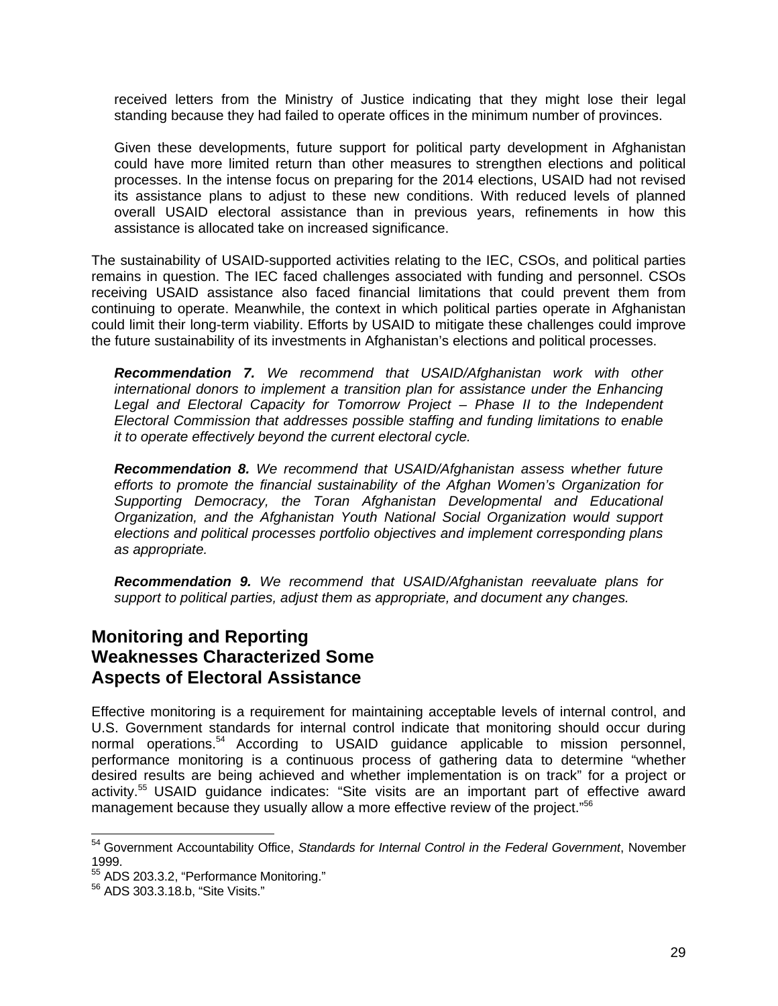received letters from the Ministry of Justice indicating that they might lose their legal standing because they had failed to operate offices in the minimum number of provinces.

Given these developments, future support for political party development in Afghanistan could have more limited return than other measures to strengthen elections and political processes. In the intense focus on preparing for the 2014 elections, USAID had not revised its assistance plans to adjust to these new conditions. With reduced levels of planned overall USAID electoral assistance than in previous years, refinements in how this assistance is allocated take on increased significance.

The sustainability of USAID-supported activities relating to the IEC, CSOs, and political parties remains in question. The IEC faced challenges associated with funding and personnel. CSOs receiving USAID assistance also faced financial limitations that could prevent them from continuing to operate. Meanwhile, the context in which political parties operate in Afghanistan could limit their long-term viability. Efforts by USAID to mitigate these challenges could improve the future sustainability of its investments in Afghanistan's elections and political processes.

*Recommendation 7. We recommend that USAID/Afghanistan work with other international donors to implement a transition plan for assistance under the Enhancing Legal and Electoral Capacity for Tomorrow Project – Phase II to the Independent Electoral Commission that addresses possible staffing and funding limitations to enable it to operate effectively beyond the current electoral cycle.* 

*Recommendation 8. We recommend that USAID/Afghanistan assess whether future efforts to promote the financial sustainability of the Afghan Women's Organization for Supporting Democracy, the Toran Afghanistan Developmental and Educational Organization, and the Afghanistan Youth National Social Organization would support elections and political processes portfolio objectives and implement corresponding plans as appropriate.* 

*Recommendation 9. We recommend that USAID/Afghanistan reevaluate plans for support to political parties, adjust them as appropriate, and document any changes.* 

### **Monitoring and Reporting Weaknesses Characterized Some Aspects of Electoral Assistance**

management because they usually allow a more effective review of the project."<sup>56</sup> Effective monitoring is a requirement for maintaining acceptable levels of internal control, and U.S. Government standards for internal control indicate that monitoring should occur during normal operations.<sup>54</sup> According to USAID guidance applicable to mission personnel, performance monitoring is a continuous process of gathering data to determine "whether desired results are being achieved and whether implementation is on track" for a project or activity.<sup>55</sup> USAID guidance indicates: "Site visits are an important part of effective award

-

<sup>54</sup> Government Accountability Office, *Standards for Internal Control in the Federal Government*, November 1999.

<sup>&</sup>lt;sup>55</sup> ADS 203.3.2, "Performance Monitoring."<br><sup>56</sup> ADS 303.3.18.b, "Site Visits."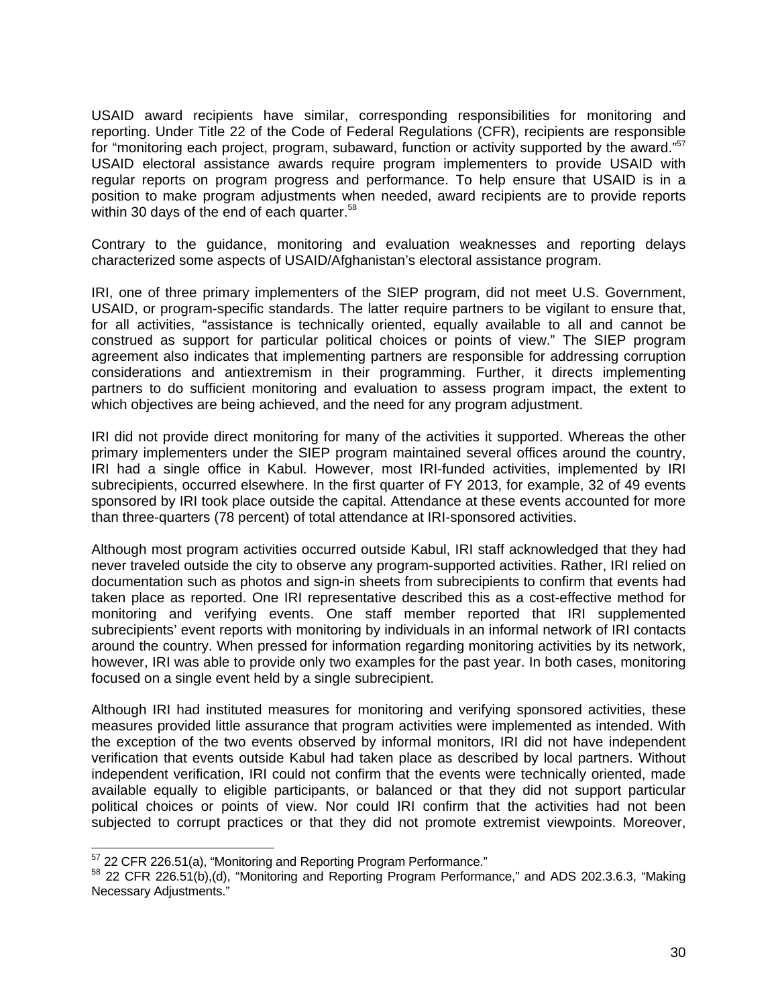USAID award recipients have similar, corresponding responsibilities for monitoring and reporting. Under Title 22 of the Code of Federal Regulations (CFR), recipients are responsible for "monitoring each project, program, subaward, function or activity supported by the award."<sup>57</sup> USAID electoral assistance awards require program implementers to provide USAID with regular reports on program progress and performance. To help ensure that USAID is in a position to make program adjustments when needed, award recipients are to provide reports within 30 days of the end of each quarter.<sup>58</sup>

Contrary to the guidance, monitoring and evaluation weaknesses and reporting delays characterized some aspects of USAID/Afghanistan's electoral assistance program.

IRI, one of three primary implementers of the SIEP program, did not meet U.S. Government, USAID, or program-specific standards. The latter require partners to be vigilant to ensure that, for all activities, "assistance is technically oriented, equally available to all and cannot be construed as support for particular political choices or points of view." The SIEP program agreement also indicates that implementing partners are responsible for addressing corruption considerations and antiextremism in their programming. Further, it directs implementing partners to do sufficient monitoring and evaluation to assess program impact, the extent to which objectives are being achieved, and the need for any program adjustment.

IRI did not provide direct monitoring for many of the activities it supported. Whereas the other primary implementers under the SIEP program maintained several offices around the country, IRI had a single office in Kabul. However, most IRI-funded activities, implemented by IRI subrecipients, occurred elsewhere. In the first quarter of FY 2013, for example, 32 of 49 events sponsored by IRI took place outside the capital. Attendance at these events accounted for more than three-quarters (78 percent) of total attendance at IRI-sponsored activities.

Although most program activities occurred outside Kabul, IRI staff acknowledged that they had never traveled outside the city to observe any program-supported activities. Rather, IRI relied on documentation such as photos and sign-in sheets from subrecipients to confirm that events had taken place as reported. One IRI representative described this as a cost-effective method for monitoring and verifying events. One staff member reported that IRI supplemented subrecipients' event reports with monitoring by individuals in an informal network of IRI contacts around the country. When pressed for information regarding monitoring activities by its network, however, IRI was able to provide only two examples for the past year. In both cases, monitoring focused on a single event held by a single subrecipient.

Although IRI had instituted measures for monitoring and verifying sponsored activities, these measures provided little assurance that program activities were implemented as intended. With the exception of the two events observed by informal monitors, IRI did not have independent verification that events outside Kabul had taken place as described by local partners. Without independent verification, IRI could not confirm that the events were technically oriented, made available equally to eligible participants, or balanced or that they did not support particular political choices or points of view. Nor could IRI confirm that the activities had not been subjected to corrupt practices or that they did not promote extremist viewpoints. Moreover,

<sup>57 22</sup> CFR 226.51(a), "Monitoring and Reporting Program Performance."

<sup>&</sup>lt;sup>57</sup> 22 CFR 226.51(a), "Monitoring and Reporting Program Performance."<br><sup>58</sup> 22 CFR 226.51(b),(d), "Monitoring and Reporting Program Performance," and ADS 202.3.6.3, "Making Necessary Adjustments."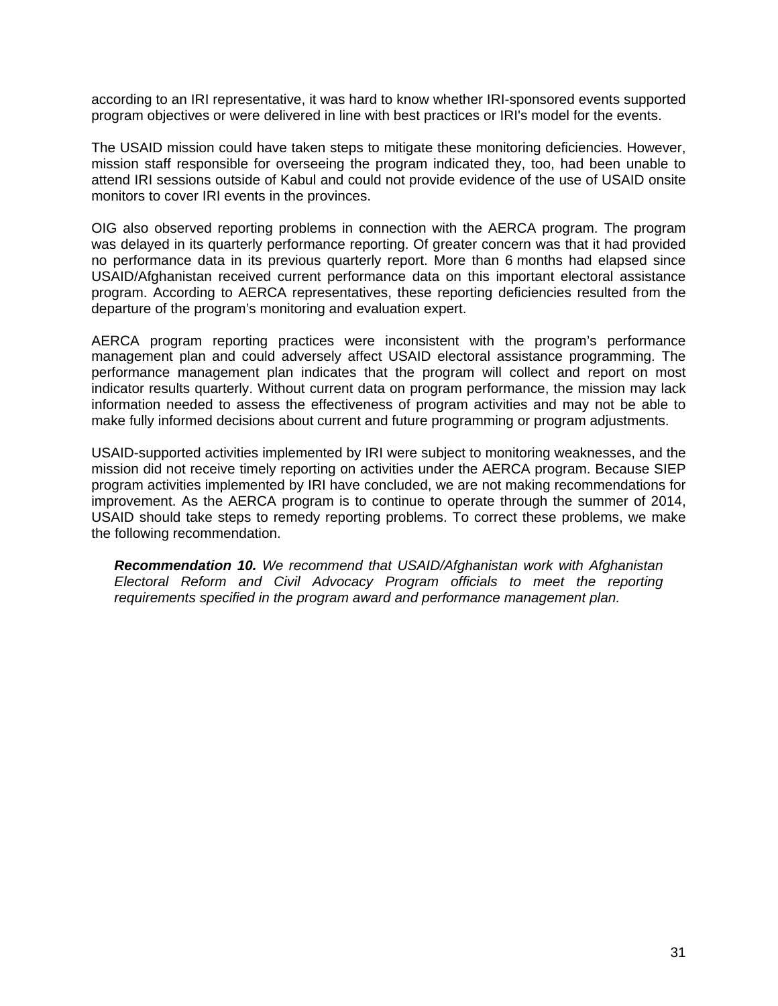according to an IRI representative, it was hard to know whether IRI-sponsored events supported program objectives or were delivered in line with best practices or IRI's model for the events.

The USAID mission could have taken steps to mitigate these monitoring deficiencies. However, mission staff responsible for overseeing the program indicated they, too, had been unable to attend IRI sessions outside of Kabul and could not provide evidence of the use of USAID onsite monitors to cover IRI events in the provinces.

OIG also observed reporting problems in connection with the AERCA program. The program was delayed in its quarterly performance reporting. Of greater concern was that it had provided no performance data in its previous quarterly report. More than 6 months had elapsed since USAID/Afghanistan received current performance data on this important electoral assistance program. According to AERCA representatives, these reporting deficiencies resulted from the departure of the program's monitoring and evaluation expert.

AERCA program reporting practices were inconsistent with the program's performance management plan and could adversely affect USAID electoral assistance programming. The performance management plan indicates that the program will collect and report on most indicator results quarterly. Without current data on program performance, the mission may lack information needed to assess the effectiveness of program activities and may not be able to make fully informed decisions about current and future programming or program adjustments.

USAID-supported activities implemented by IRI were subject to monitoring weaknesses, and the mission did not receive timely reporting on activities under the AERCA program. Because SIEP program activities implemented by IRI have concluded, we are not making recommendations for improvement. As the AERCA program is to continue to operate through the summer of 2014, USAID should take steps to remedy reporting problems. To correct these problems, we make the following recommendation.

*Recommendation 10. We recommend that USAID/Afghanistan work with Afghanistan Electoral Reform and Civil Advocacy Program officials to meet the reporting requirements specified in the program award and performance management plan.*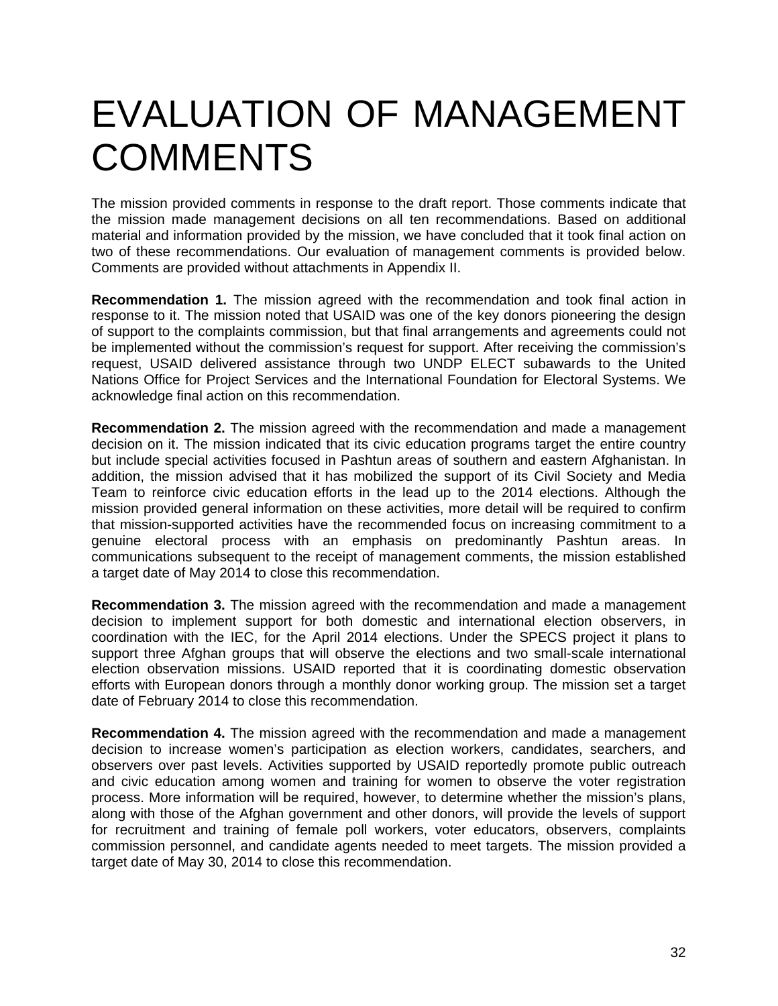# EVALUATION OF MANAGEMENT **COMMENTS**

The mission provided comments in response to the draft report. Those comments indicate that the mission made management decisions on all ten recommendations. Based on additional material and information provided by the mission, we have concluded that it took final action on two of these recommendations. Our evaluation of management comments is provided below. Comments are provided without attachments in Appendix II.

**Recommendation 1.** The mission agreed with the recommendation and took final action in response to it. The mission noted that USAID was one of the key donors pioneering the design of support to the complaints commission, but that final arrangements and agreements could not be implemented without the commission's request for support. After receiving the commission's request, USAID delivered assistance through two UNDP ELECT subawards to the United Nations Office for Project Services and the International Foundation for Electoral Systems. We acknowledge final action on this recommendation.

**Recommendation 2.** The mission agreed with the recommendation and made a management decision on it. The mission indicated that its civic education programs target the entire country but include special activities focused in Pashtun areas of southern and eastern Afghanistan. In addition, the mission advised that it has mobilized the support of its Civil Society and Media Team to reinforce civic education efforts in the lead up to the 2014 elections. Although the mission provided general information on these activities, more detail will be required to confirm that mission-supported activities have the recommended focus on increasing commitment to a genuine electoral process with an emphasis on predominantly Pashtun areas. In communications subsequent to the receipt of management comments, the mission established a target date of May 2014 to close this recommendation.

**Recommendation 3.** The mission agreed with the recommendation and made a management decision to implement support for both domestic and international election observers, in coordination with the IEC, for the April 2014 elections. Under the SPECS project it plans to support three Afghan groups that will observe the elections and two small-scale international election observation missions. USAID reported that it is coordinating domestic observation efforts with European donors through a monthly donor working group. The mission set a target date of February 2014 to close this recommendation.

**Recommendation 4.** The mission agreed with the recommendation and made a management decision to increase women's participation as election workers, candidates, searchers, and observers over past levels. Activities supported by USAID reportedly promote public outreach and civic education among women and training for women to observe the voter registration process. More information will be required, however, to determine whether the mission's plans, along with those of the Afghan government and other donors, will provide the levels of support for recruitment and training of female poll workers, voter educators, observers, complaints commission personnel, and candidate agents needed to meet targets. The mission provided a target date of May 30, 2014 to close this recommendation.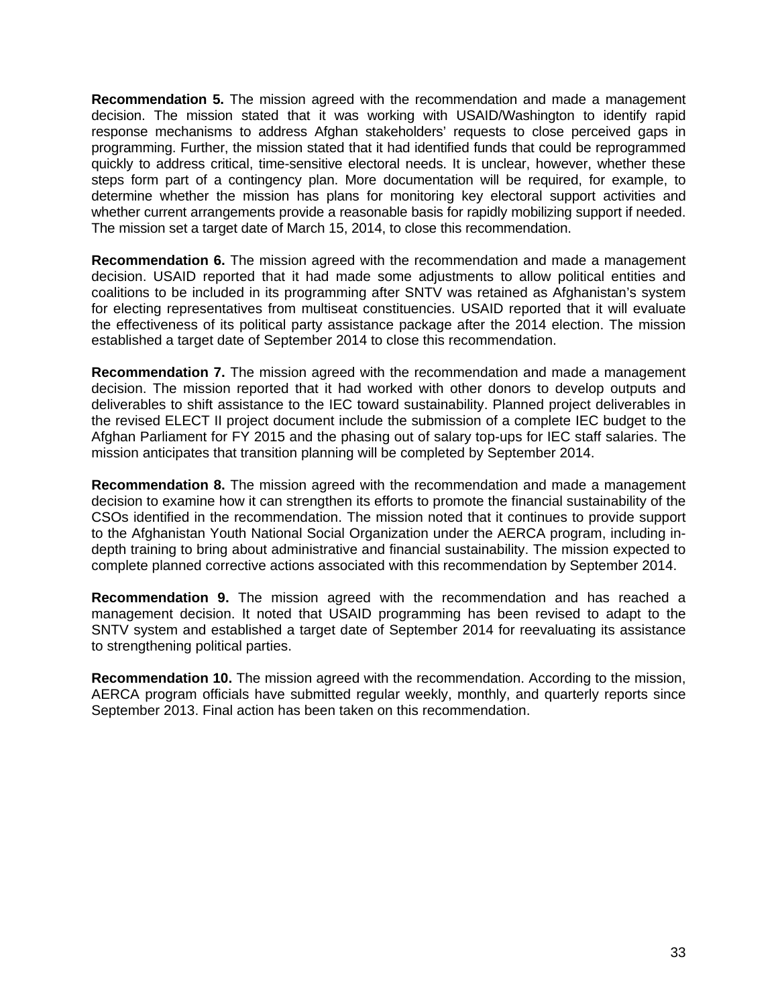The mission set a target date of March 15, 2014, to close this recommendation. **Recommendation 5.** The mission agreed with the recommendation and made a management decision. The mission stated that it was working with USAID/Washington to identify rapid response mechanisms to address Afghan stakeholders' requests to close perceived gaps in programming. Further, the mission stated that it had identified funds that could be reprogrammed quickly to address critical, time-sensitive electoral needs. It is unclear, however, whether these steps form part of a contingency plan. More documentation will be required, for example, to determine whether the mission has plans for monitoring key electoral support activities and whether current arrangements provide a reasonable basis for rapidly mobilizing support if needed.

**Recommendation 6.** The mission agreed with the recommendation and made a management decision. USAID reported that it had made some adjustments to allow political entities and coalitions to be included in its programming after SNTV was retained as Afghanistan's system for electing representatives from multiseat constituencies. USAID reported that it will evaluate the effectiveness of its political party assistance package after the 2014 election. The mission established a target date of September 2014 to close this recommendation.

**Recommendation 7.** The mission agreed with the recommendation and made a management decision. The mission reported that it had worked with other donors to develop outputs and deliverables to shift assistance to the IEC toward sustainability. Planned project deliverables in the revised ELECT II project document include the submission of a complete IEC budget to the Afghan Parliament for FY 2015 and the phasing out of salary top-ups for IEC staff salaries. The mission anticipates that transition planning will be completed by September 2014.

**Recommendation 8.** The mission agreed with the recommendation and made a management decision to examine how it can strengthen its efforts to promote the financial sustainability of the CSOs identified in the recommendation. The mission noted that it continues to provide support to the Afghanistan Youth National Social Organization under the AERCA program, including indepth training to bring about administrative and financial sustainability. The mission expected to complete planned corrective actions associated with this recommendation by September 2014.

**Recommendation 9.** The mission agreed with the recommendation and has reached a management decision. It noted that USAID programming has been revised to adapt to the SNTV system and established a target date of September 2014 for reevaluating its assistance to strengthening political parties.

**Recommendation 10.** The mission agreed with the recommendation. According to the mission, AERCA program officials have submitted regular weekly, monthly, and quarterly reports since September 2013. Final action has been taken on this recommendation.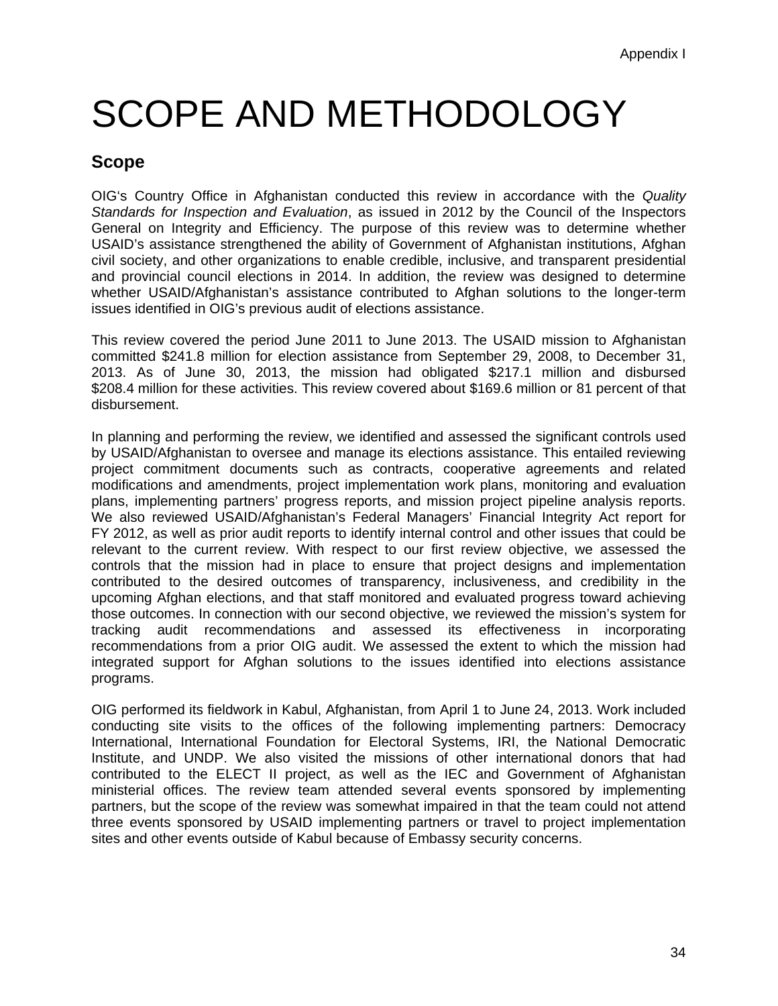# SCOPE AND METHODOLOGY

## **Scope**

OIG's Country Office in Afghanistan conducted this review in accordance with the *Quality Standards for Inspection and Evaluation*, as issued in 2012 by the Council of the Inspectors General on Integrity and Efficiency. The purpose of this review was to determine whether USAID's assistance strengthened the ability of Government of Afghanistan institutions, Afghan civil society, and other organizations to enable credible, inclusive, and transparent presidential and provincial council elections in 2014. In addition, the review was designed to determine whether USAID/Afghanistan's assistance contributed to Afghan solutions to the longer-term issues identified in OIG's previous audit of elections assistance.

This review covered the period June 2011 to June 2013. The USAID mission to Afghanistan committed \$241.8 million for election assistance from September 29, 2008, to December 31, 2013. As of June 30, 2013, the mission had obligated \$217.1 million and disbursed \$208.4 million for these activities. This review covered about \$169.6 million or 81 percent of that disbursement.

In planning and performing the review, we identified and assessed the significant controls used by USAID/Afghanistan to oversee and manage its elections assistance. This entailed reviewing project commitment documents such as contracts, cooperative agreements and related modifications and amendments, project implementation work plans, monitoring and evaluation plans, implementing partners' progress reports, and mission project pipeline analysis reports. We also reviewed USAID/Afghanistan's Federal Managers' Financial Integrity Act report for FY 2012, as well as prior audit reports to identify internal control and other issues that could be relevant to the current review. With respect to our first review objective, we assessed the controls that the mission had in place to ensure that project designs and implementation contributed to the desired outcomes of transparency, inclusiveness, and credibility in the upcoming Afghan elections, and that staff monitored and evaluated progress toward achieving those outcomes. In connection with our second objective, we reviewed the mission's system for tracking audit recommendations and assessed its effectiveness in incorporating recommendations from a prior OIG audit. We assessed the extent to which the mission had integrated support for Afghan solutions to the issues identified into elections assistance programs.

OIG performed its fieldwork in Kabul, Afghanistan, from April 1 to June 24, 2013. Work included conducting site visits to the offices of the following implementing partners: Democracy International, International Foundation for Electoral Systems, IRI, the National Democratic Institute, and UNDP. We also visited the missions of other international donors that had contributed to the ELECT II project, as well as the IEC and Government of Afghanistan ministerial offices. The review team attended several events sponsored by implementing partners, but the scope of the review was somewhat impaired in that the team could not attend three events sponsored by USAID implementing partners or travel to project implementation sites and other events outside of Kabul because of Embassy security concerns.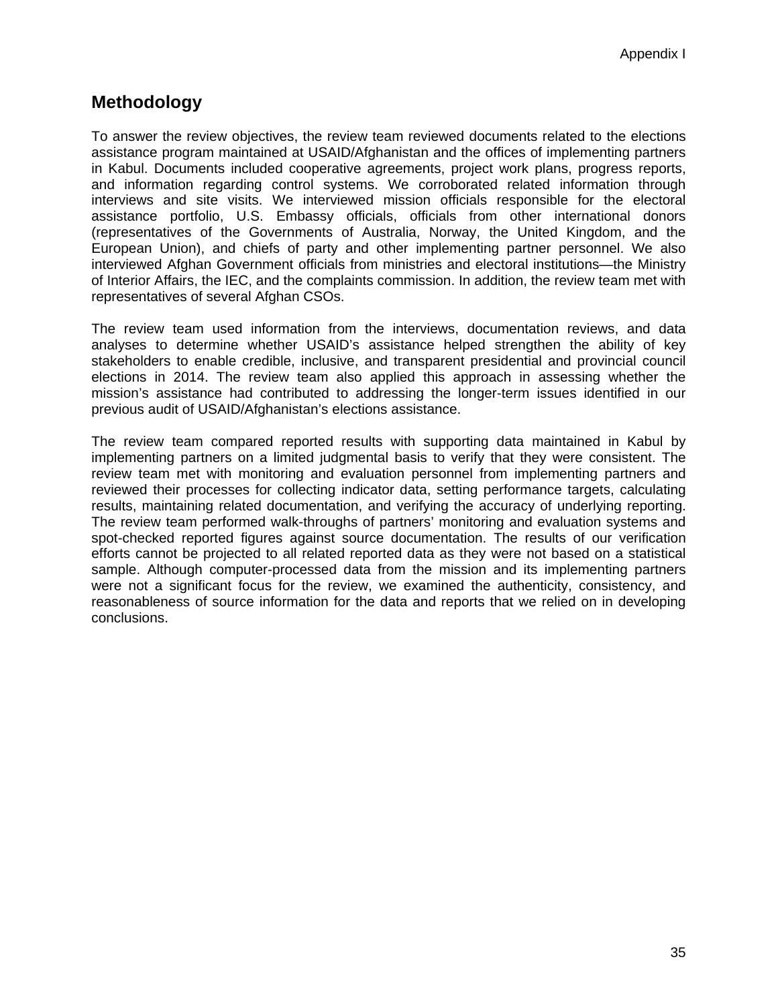## **Methodology**

To answer the review objectives, the review team reviewed documents related to the elections assistance program maintained at USAID/Afghanistan and the offices of implementing partners in Kabul. Documents included cooperative agreements, project work plans, progress reports, and information regarding control systems. We corroborated related information through interviews and site visits. We interviewed mission officials responsible for the electoral assistance portfolio, U.S. Embassy officials, officials from other international donors (representatives of the Governments of Australia, Norway, the United Kingdom, and the European Union), and chiefs of party and other implementing partner personnel. We also interviewed Afghan Government officials from ministries and electoral institutions—the Ministry of Interior Affairs, the IEC, and the complaints commission. In addition, the review team met with representatives of several Afghan CSOs.

The review team used information from the interviews, documentation reviews, and data analyses to determine whether USAID's assistance helped strengthen the ability of key stakeholders to enable credible, inclusive, and transparent presidential and provincial council elections in 2014. The review team also applied this approach in assessing whether the mission's assistance had contributed to addressing the longer-term issues identified in our previous audit of USAID/Afghanistan's elections assistance.

The review team compared reported results with supporting data maintained in Kabul by implementing partners on a limited judgmental basis to verify that they were consistent. The review team met with monitoring and evaluation personnel from implementing partners and reviewed their processes for collecting indicator data, setting performance targets, calculating results, maintaining related documentation, and verifying the accuracy of underlying reporting. The review team performed walk-throughs of partners' monitoring and evaluation systems and spot-checked reported figures against source documentation. The results of our verification efforts cannot be projected to all related reported data as they were not based on a statistical sample. Although computer-processed data from the mission and its implementing partners were not a significant focus for the review, we examined the authenticity, consistency, and reasonableness of source information for the data and reports that we relied on in developing conclusions.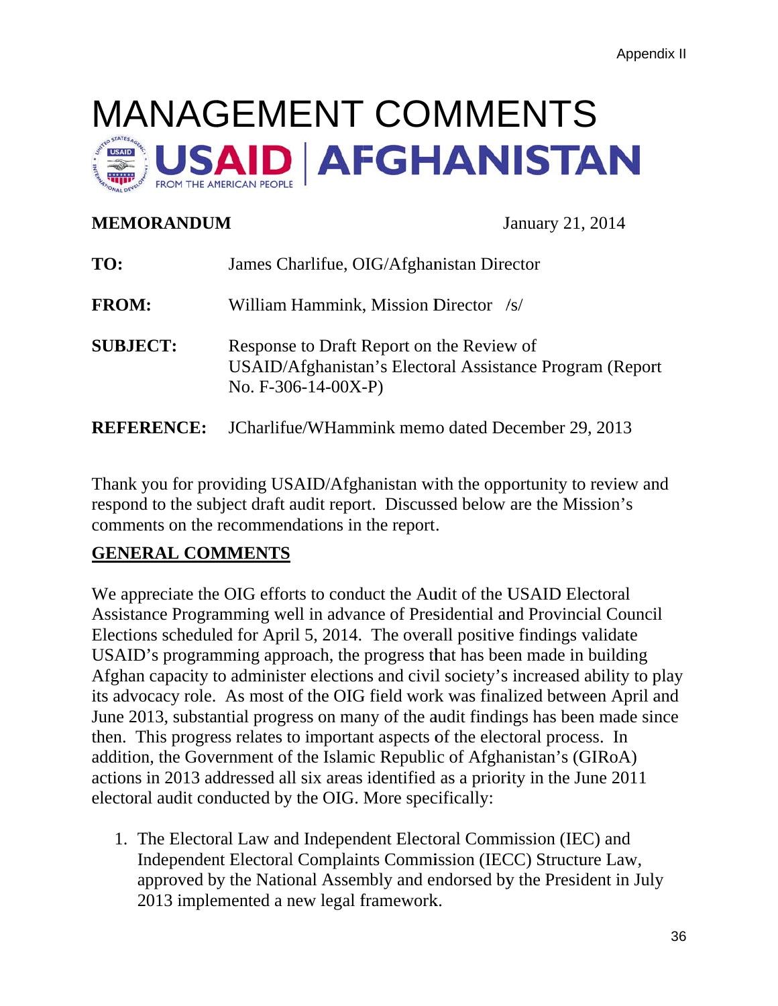# MANAGEMENT COMMENTS AID AFGHANISTAN

# **MEMORANDUM** January 21, 2014

| TO:               | James Charlifue, OIG/Afghanistan Director                                                                                     |
|-------------------|-------------------------------------------------------------------------------------------------------------------------------|
| <b>FROM:</b>      | William Hammink, Mission Director /s/                                                                                         |
| <b>SUBJECT:</b>   | Response to Draft Report on the Review of<br>USAID/Afghanistan's Electoral Assistance Program (Report<br>No. $F-306-14-00X-P$ |
| <b>REFERENCE:</b> | JCharlifue/WHammink memo dated December 29, 2013                                                                              |

Thank you for providing USAID/Afghanistan with the opportunity to review and respond to the subject draft audit report. Discussed below are the Mission's comments on the recommendations in the report.

# **GENERAL COMMENTS**

We appreciate the OIG efforts to conduct the Audit of the USAID Electoral Assistance Programming well in advance of Presidential and Provincial Council Elections scheduled for April 5, 2014. The overall positive findings validate USAID's programming approach, the progress that has been made in building Afghan capacity to administer elections and civil society's increased ability to play its advocacy role. As most of the OIG field work was finalized between April and June 2013, substantial progress on many of the audit findings has been made since then. This progress relates to important aspects of the electoral process. In addition, the Government of the Islamic Republic of Afghanistan's (GIRoA) actions in 2013 addressed all six areas identified as a priority in the June 2011 electoral audit conducted by the OIG. More specifically:

1. The Electoral Law and Independent Electoral Commission (IEC) and Independent Electoral Complaints Commission (IECC) Structure Law, approved by the National Assembly and endorsed by the President in July 2013 implemented a new legal framework.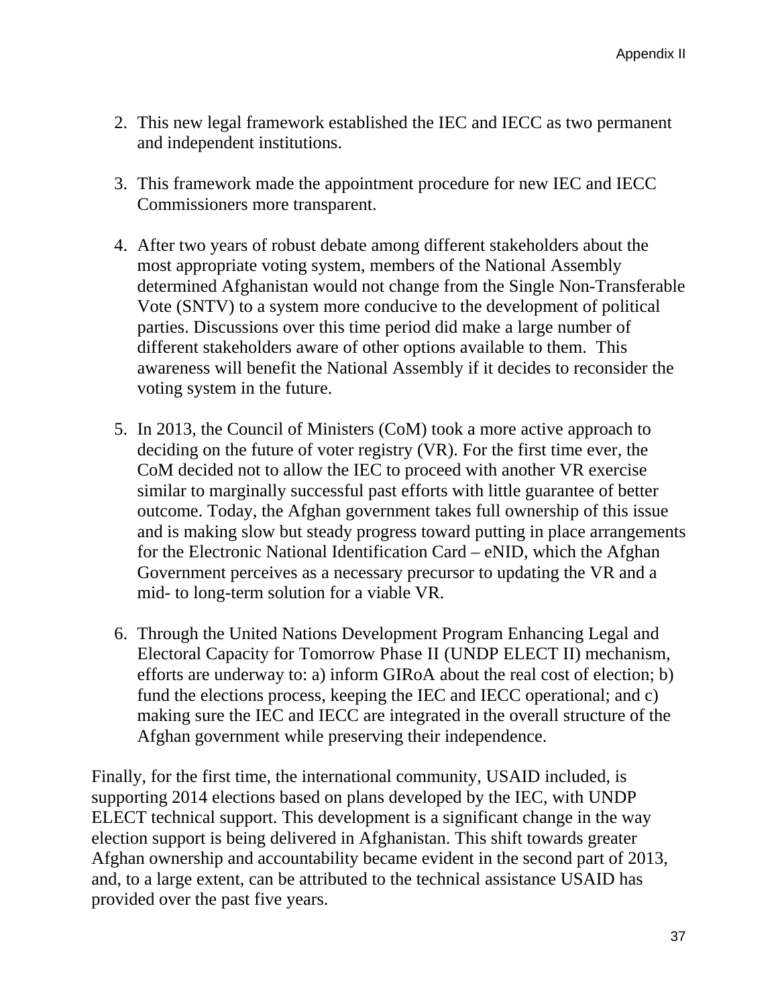- 2. This new legal framework established the IEC and IECC as two permanent and independent institutions.
- 3. This framework made the appointment procedure for new IEC and IECC Commissioners more transparent.
- 4. After two years of robust debate among different stakeholders about the most appropriate voting system, members of the National Assembly determined Afghanistan would not change from the Single Non-Transferable Vote (SNTV) to a system more conducive to the development of political parties. Discussions over this time period did make a large number of different stakeholders aware of other options available to them. This awareness will benefit the National Assembly if it decides to reconsider the voting system in the future.
- 5. In 2013, the Council of Ministers (CoM) took a more active approach to deciding on the future of voter registry (VR). For the first time ever, the CoM decided not to allow the IEC to proceed with another VR exercise similar to marginally successful past efforts with little guarantee of better outcome. Today, the Afghan government takes full ownership of this issue and is making slow but steady progress toward putting in place arrangements for the Electronic National Identification Card – eNID, which the Afghan Government perceives as a necessary precursor to updating the VR and a mid- to long-term solution for a viable VR.
- Electoral Capacity for Tomorrow Phase II (UNDP ELECT II) mechanism, 6. Through the United Nations Development Program Enhancing Legal and efforts are underway to: a) inform GIRoA about the real cost of election; b) fund the elections process, keeping the IEC and IECC operational; and c) making sure the IEC and IECC are integrated in the overall structure of the Afghan government while preserving their independence.

Finally, for the first time, the international community, USAID included, is supporting 2014 elections based on plans developed by the IEC, with UNDP ELECT technical support. This development is a significant change in the way election support is being delivered in Afghanistan. This shift towards greater Afghan ownership and accountability became evident in the second part of 2013, and, to a large extent, can be attributed to the technical assistance USAID has provided over the past five years.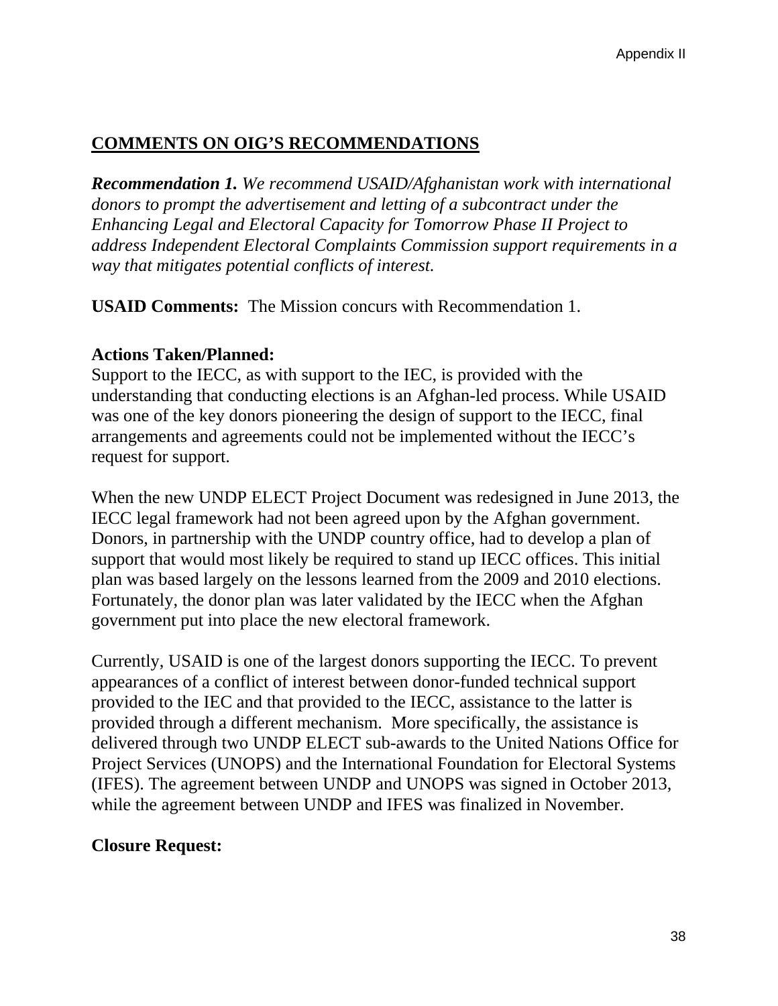# **COMMENTS ON OIG'S RECOMMENDATIONS**

*Recommendation 1. We recommend USAID/Afghanistan work with international donors to prompt the advertisement and letting of a subcontract under the Enhancing Legal and Electoral Capacity for Tomorrow Phase II Project to address Independent Electoral Complaints Commission support requirements in a way that mitigates potential conflicts of interest.* 

**USAID Comments:** The Mission concurs with Recommendation 1.

## **Actions Taken/Planned:**

Support to the IECC, as with support to the IEC, is provided with the understanding that conducting elections is an Afghan-led process. While USAID was one of the key donors pioneering the design of support to the IECC, final arrangements and agreements could not be implemented without the IECC's request for support.

When the new UNDP ELECT Project Document was redesigned in June 2013, the IECC legal framework had not been agreed upon by the Afghan government. Donors, in partnership with the UNDP country office, had to develop a plan of support that would most likely be required to stand up IECC offices. This initial plan was based largely on the lessons learned from the 2009 and 2010 elections. Fortunately, the donor plan was later validated by the IECC when the Afghan government put into place the new electoral framework.

Currently, USAID is one of the largest donors supporting the IECC. To prevent appearances of a conflict of interest between donor-funded technical support provided to the IEC and that provided to the IECC, assistance to the latter is provided through a different mechanism. More specifically, the assistance is delivered through two UNDP ELECT sub-awards to the United Nations Office for Project Services (UNOPS) and the International Foundation for Electoral Systems (IFES). The agreement between UNDP and UNOPS was signed in October 2013, while the agreement between UNDP and IFES was finalized in November.

### **Closure Request:**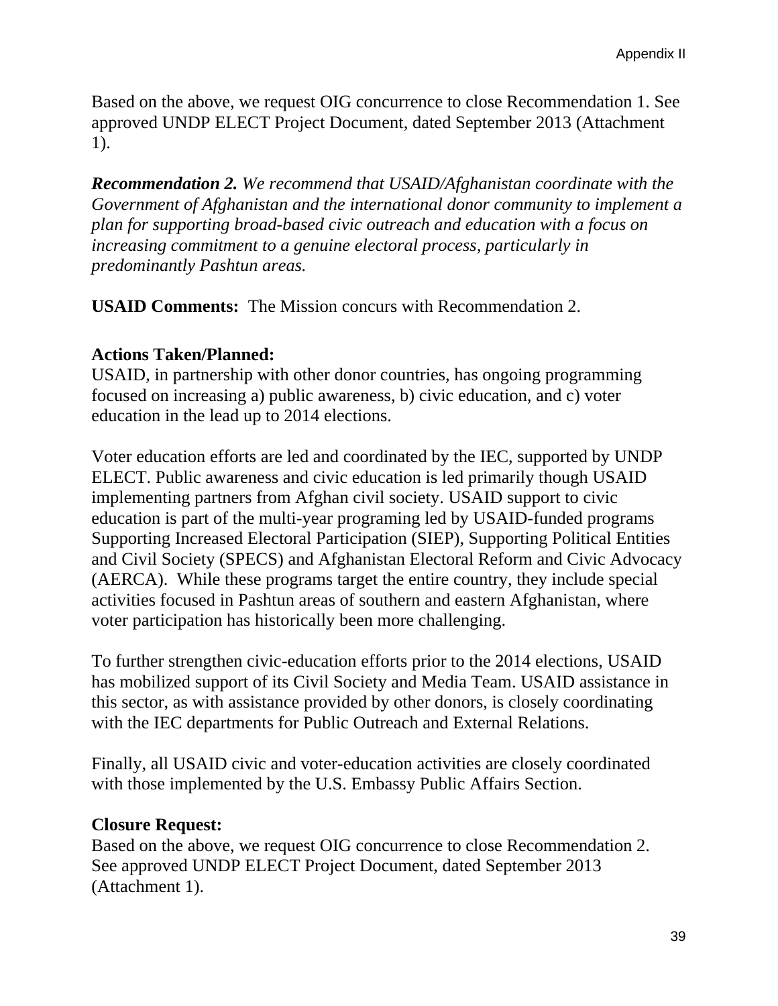Based on the above, we request OIG concurrence to close Recommendation 1. See approved UNDP ELECT Project Document, dated September 2013 (Attachment 1).

*Recommendation 2. We recommend that USAID/Afghanistan coordinate with the Government of Afghanistan and the international donor community to implement a plan for supporting broad-based civic outreach and education with a focus on increasing commitment to a genuine electoral process, particularly in predominantly Pashtun areas.* 

**USAID Comments:** The Mission concurs with Recommendation 2.

# **Actions Taken/Planned:**

USAID, in partnership with other donor countries, has ongoing programming focused on increasing a) public awareness, b) civic education, and c) voter education in the lead up to 2014 elections.

Voter education efforts are led and coordinated by the IEC, supported by UNDP ELECT. Public awareness and civic education is led primarily though USAID implementing partners from Afghan civil society. USAID support to civic education is part of the multi-year programing led by USAID-funded programs Supporting Increased Electoral Participation (SIEP), Supporting Political Entities and Civil Society (SPECS) and Afghanistan Electoral Reform and Civic Advocacy (AERCA). While these programs target the entire country, they include special activities focused in Pashtun areas of southern and eastern Afghanistan, where voter participation has historically been more challenging.

To further strengthen civic-education efforts prior to the 2014 elections, USAID has mobilized support of its Civil Society and Media Team. USAID assistance in this sector, as with assistance provided by other donors, is closely coordinating with the IEC departments for Public Outreach and External Relations.

Finally, all USAID civic and voter-education activities are closely coordinated with those implemented by the U.S. Embassy Public Affairs Section.

### **Closure Request:**

Based on the above, we request OIG concurrence to close Recommendation 2. See approved UNDP ELECT Project Document, dated September 2013 (Attachment 1).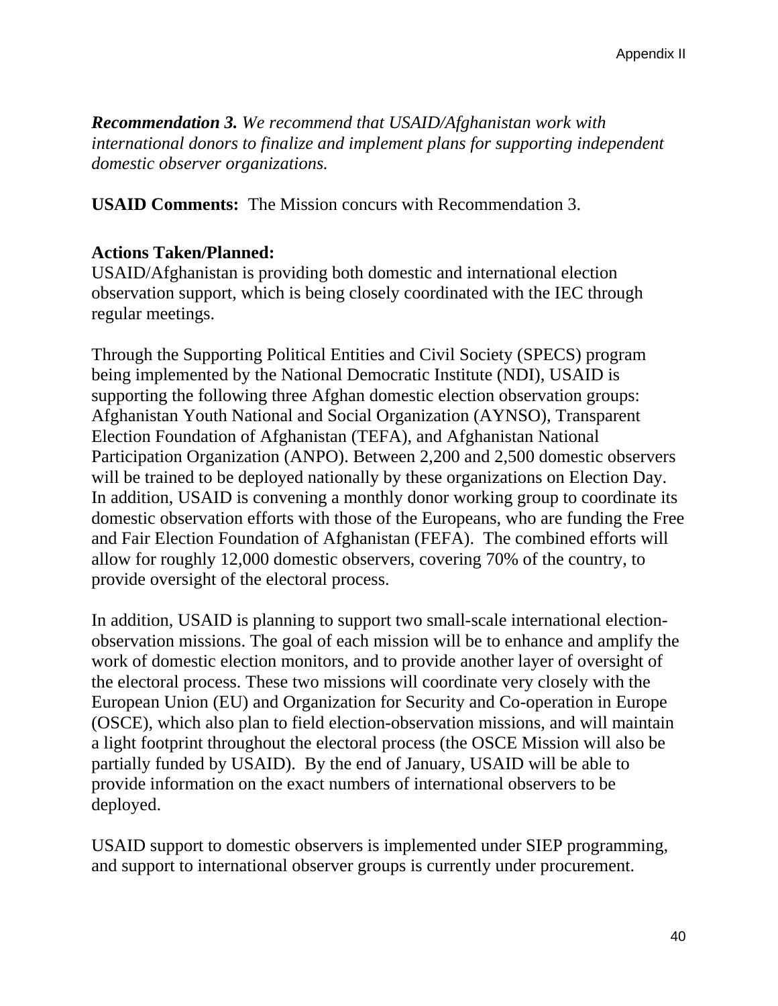*Recommendation 3. We recommend that USAID/Afghanistan work with international donors to finalize and implement plans for supporting independent domestic observer organizations.* 

**USAID Comments:** The Mission concurs with Recommendation 3.

## **Actions Taken/Planned:**

USAID/Afghanistan is providing both domestic and international election observation support, which is being closely coordinated with the IEC through regular meetings.

Through the Supporting Political Entities and Civil Society (SPECS) program being implemented by the National Democratic Institute (NDI), USAID is supporting the following three Afghan domestic election observation groups: Afghanistan Youth National and Social Organization (AYNSO), Transparent Election Foundation of Afghanistan (TEFA), and Afghanistan National Participation Organization (ANPO). Between 2,200 and 2,500 domestic observers will be trained to be deployed nationally by these organizations on Election Day. In addition, USAID is convening a monthly donor working group to coordinate its domestic observation efforts with those of the Europeans, who are funding the Free and Fair Election Foundation of Afghanistan (FEFA). The combined efforts will allow for roughly 12,000 domestic observers, covering 70% of the country, to provide oversight of the electoral process.

In addition, USAID is planning to support two small-scale international electionobservation missions. The goal of each mission will be to enhance and amplify the work of domestic election monitors, and to provide another layer of oversight of the electoral process. These two missions will coordinate very closely with the European Union (EU) and Organization for Security and Co-operation in Europe (OSCE), which also plan to field election-observation missions, and will maintain a light footprint throughout the electoral process (the OSCE Mission will also be partially funded by USAID). By the end of January, USAID will be able to provide information on the exact numbers of international observers to be deployed.

USAID support to domestic observers is implemented under SIEP programming, and support to international observer groups is currently under procurement.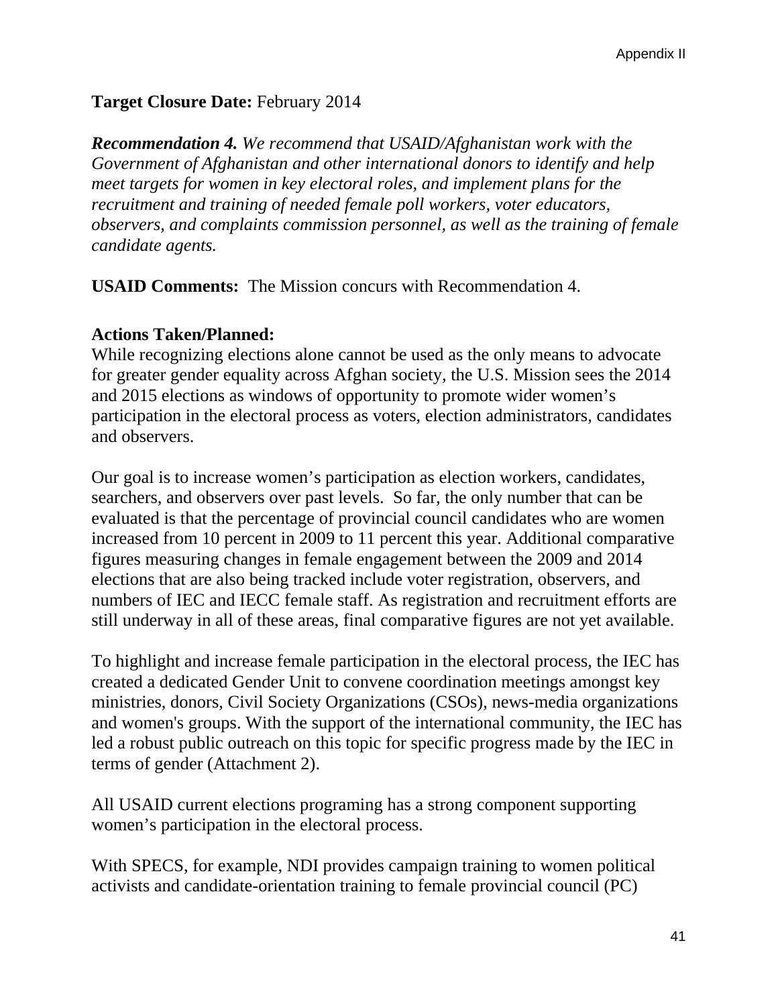# **Target Closure Date:** February 2014

*Recommendation 4. We recommend that USAID/Afghanistan work with the Government of Afghanistan and other international donors to identify and help meet targets for women in key electoral roles, and implement plans for the recruitment and training of needed female poll workers, voter educators, observers, and complaints commission personnel, as well as the training of female candidate agents.* 

**USAID Comments:** The Mission concurs with Recommendation 4.

#### **Actions Taken/Planned:**

While recognizing elections alone cannot be used as the only means to advocate for greater gender equality across Afghan society, the U.S. Mission sees the 2014 and 2015 elections as windows of opportunity to promote wider women's participation in the electoral process as voters, election administrators, candidates and observers.

Our goal is to increase women's participation as election workers, candidates, searchers, and observers over past levels. So far, the only number that can be evaluated is that the percentage of provincial council candidates who are women increased from 10 percent in 2009 to 11 percent this year. Additional comparative figures measuring changes in female engagement between the 2009 and 2014 elections that are also being tracked include voter registration, observers, and numbers of IEC and IECC female staff. As registration and recruitment efforts are still underway in all of these areas, final comparative figures are not yet available.

To highlight and increase female participation in the electoral process, the IEC has created a dedicated Gender Unit to convene coordination meetings amongst key ministries, donors, Civil Society Organizations (CSOs), news-media organizations and women's groups. With the support of the international community, the IEC has led a robust public outreach on this topic for specific progress made by the IEC in terms of gender (Attachment 2).

All USAID current elections programing has a strong component supporting women's participation in the electoral process.

With SPECS, for example, NDI provides campaign training to women political activists and candidate-orientation training to female provincial council (PC)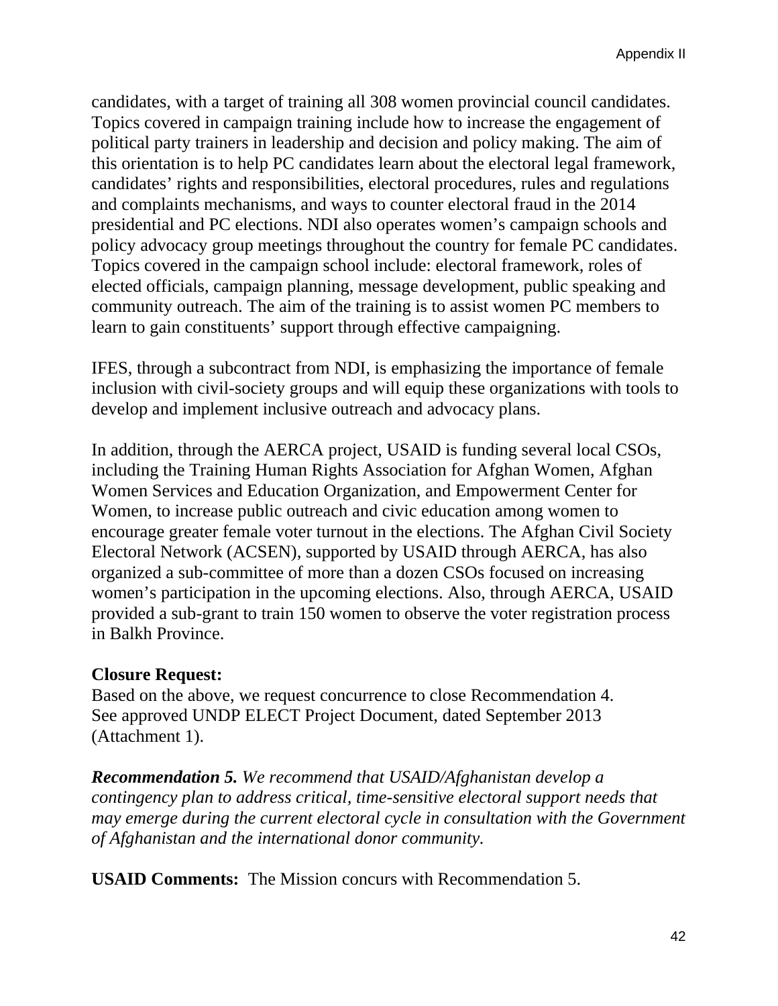candidates, with a target of training all 308 women provincial council candidates. Topics covered in campaign training include how to increase the engagement of political party trainers in leadership and decision and policy making. The aim of this orientation is to help PC candidates learn about the electoral legal framework, candidates' rights and responsibilities, electoral procedures, rules and regulations and complaints mechanisms, and ways to counter electoral fraud in the 2014 presidential and PC elections. NDI also operates women's campaign schools and policy advocacy group meetings throughout the country for female PC candidates. Topics covered in the campaign school include: electoral framework, roles of elected officials, campaign planning, message development, public speaking and community outreach. The aim of the training is to assist women PC members to learn to gain constituents' support through effective campaigning.

IFES, through a subcontract from NDI, is emphasizing the importance of female inclusion with civil-society groups and will equip these organizations with tools to develop and implement inclusive outreach and advocacy plans.

In addition, through the AERCA project, USAID is funding several local CSOs, including the Training Human Rights Association for Afghan Women, Afghan Women Services and Education Organization, and Empowerment Center for Women, to increase public outreach and civic education among women to encourage greater female voter turnout in the elections. The Afghan Civil Society Electoral Network (ACSEN), supported by USAID through AERCA, has also organized a sub-committee of more than a dozen CSOs focused on increasing women's participation in the upcoming elections. Also, through AERCA, USAID provided a sub-grant to train 150 women to observe the voter registration process in Balkh Province.

### **Closure Request:**

Based on the above, we request concurrence to close Recommendation 4. See approved UNDP ELECT Project Document, dated September 2013 (Attachment 1).

*Recommendation 5. We recommend that USAID/Afghanistan develop a contingency plan to address critical, time-sensitive electoral support needs that may emerge during the current electoral cycle in consultation with the Government of Afghanistan and the international donor community.* 

**USAID Comments:** The Mission concurs with Recommendation 5.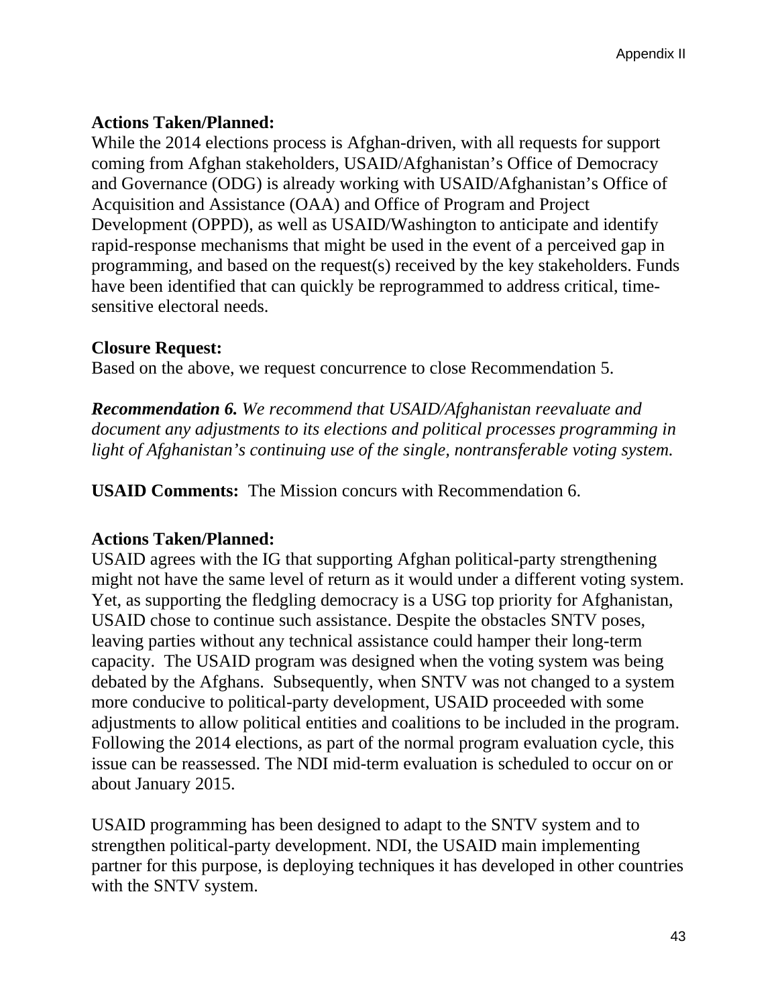# **Actions Taken/Planned:**

While the 2014 elections process is Afghan-driven, with all requests for support coming from Afghan stakeholders, USAID/Afghanistan's Office of Democracy and Governance (ODG) is already working with USAID/Afghanistan's Office of Acquisition and Assistance (OAA) and Office of Program and Project Development (OPPD), as well as USAID/Washington to anticipate and identify rapid-response mechanisms that might be used in the event of a perceived gap in programming, and based on the request(s) received by the key stakeholders. Funds have been identified that can quickly be reprogrammed to address critical, timesensitive electoral needs.

# **Closure Request:**

Based on the above, we request concurrence to close Recommendation 5.

*Recommendation 6. We recommend that USAID/Afghanistan reevaluate and document any adjustments to its elections and political processes programming in light of Afghanistan's continuing use of the single, nontransferable voting system.* 

**USAID Comments:** The Mission concurs with Recommendation 6.

# **Actions Taken/Planned:**

USAID agrees with the IG that supporting Afghan political-party strengthening might not have the same level of return as it would under a different voting system. Yet, as supporting the fledgling democracy is a USG top priority for Afghanistan, USAID chose to continue such assistance. Despite the obstacles SNTV poses, leaving parties without any technical assistance could hamper their long-term capacity. The USAID program was designed when the voting system was being debated by the Afghans. Subsequently, when SNTV was not changed to a system more conducive to political-party development, USAID proceeded with some adjustments to allow political entities and coalitions to be included in the program. Following the 2014 elections, as part of the normal program evaluation cycle, this issue can be reassessed. The NDI mid-term evaluation is scheduled to occur on or about January 2015.

USAID programming has been designed to adapt to the SNTV system and to strengthen political-party development. NDI, the USAID main implementing partner for this purpose, is deploying techniques it has developed in other countries with the SNTV system.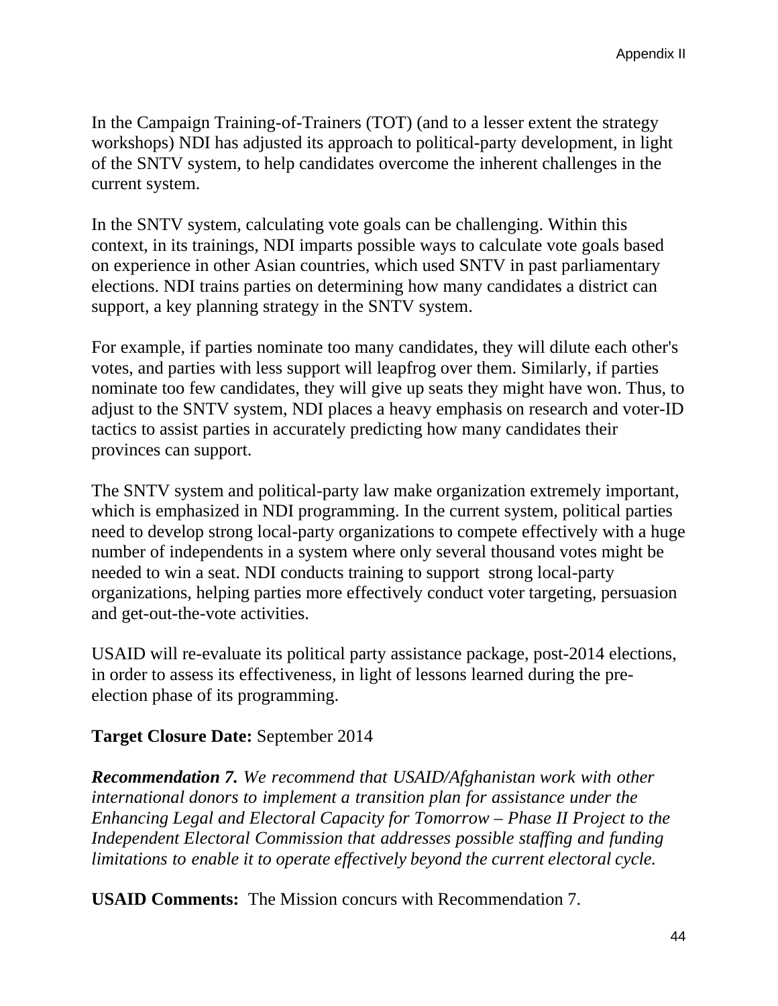In the Campaign Training-of-Trainers (TOT) (and to a lesser extent the strategy workshops) NDI has adjusted its approach to political-party development, in light of the SNTV system, to help candidates overcome the inherent challenges in the current system.

In the SNTV system, calculating vote goals can be challenging. Within this context, in its trainings, NDI imparts possible ways to calculate vote goals based on experience in other Asian countries, which used SNTV in past parliamentary elections. NDI trains parties on determining how many candidates a district can support, a key planning strategy in the SNTV system.

For example, if parties nominate too many candidates, they will dilute each other's votes, and parties with less support will leapfrog over them. Similarly, if parties nominate too few candidates, they will give up seats they might have won. Thus, to adjust to the SNTV system, NDI places a heavy emphasis on research and voter-ID tactics to assist parties in accurately predicting how many candidates their provinces can support.

The SNTV system and political-party law make organization extremely important, which is emphasized in NDI programming. In the current system, political parties need to develop strong local-party organizations to compete effectively with a huge number of independents in a system where only several thousand votes might be needed to win a seat. NDI conducts training to support strong local-party organizations, helping parties more effectively conduct voter targeting, persuasion and get-out-the-vote activities.

USAID will re-evaluate its political party assistance package, post-2014 elections, in order to assess its effectiveness, in light of lessons learned during the preelection phase of its programming.

# **Target Closure Date:** September 2014

*Recommendation 7. We recommend that USAID/Afghanistan work with other international donors to implement a transition plan for assistance under the Enhancing Legal and Electoral Capacity for Tomorrow – Phase II Project to the Independent Electoral Commission that addresses possible staffing and funding limitations to enable it to operate effectively beyond the current electoral cycle.* 

**USAID Comments:** The Mission concurs with Recommendation 7.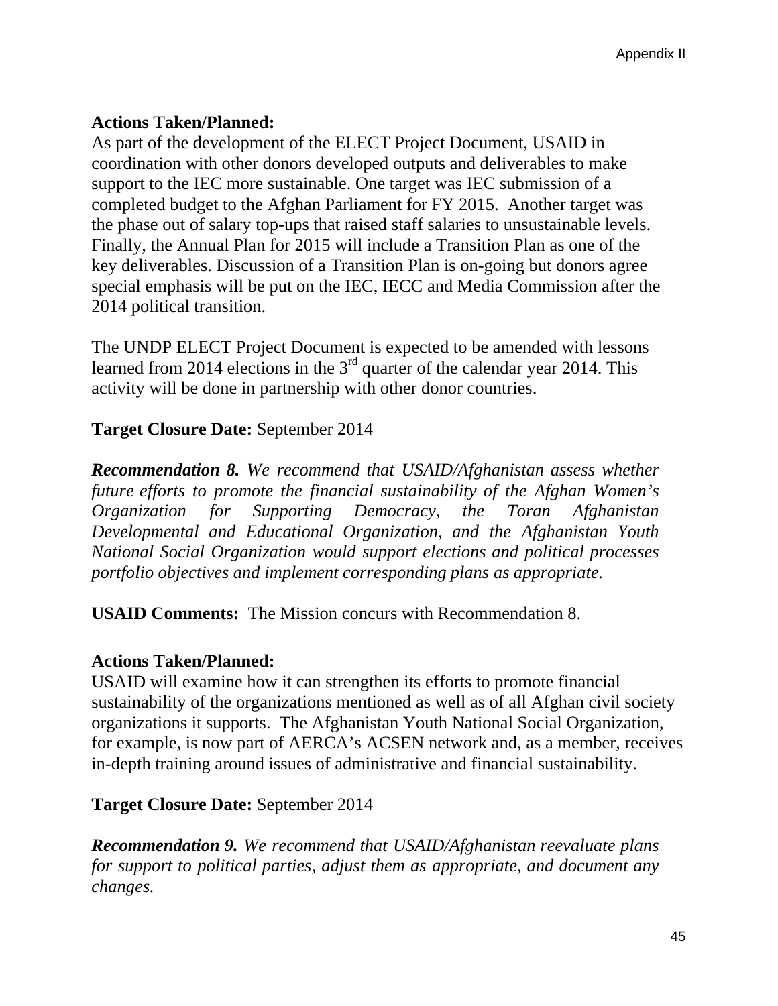# **Actions Taken/Planned:**

As part of the development of the ELECT Project Document, USAID in coordination with other donors developed outputs and deliverables to make support to the IEC more sustainable. One target was IEC submission of a completed budget to the Afghan Parliament for FY 2015. Another target was the phase out of salary top-ups that raised staff salaries to unsustainable levels. Finally, the Annual Plan for 2015 will include a Transition Plan as one of the key deliverables. Discussion of a Transition Plan is on-going but donors agree special emphasis will be put on the IEC, IECC and Media Commission after the 2014 political transition.

The UNDP ELECT Project Document is expected to be amended with lessons learned from 2014 elections in the  $3<sup>rd</sup>$  quarter of the calendar year 2014. This activity will be done in partnership with other donor countries.

# **Target Closure Date:** September 2014

*Recommendation 8. We recommend that USAID/Afghanistan assess whether future efforts to promote the financial sustainability of the Afghan Women's Organization for Supporting Democracy, the Toran Afghanistan Developmental and Educational Organization, and the Afghanistan Youth National Social Organization would support elections and political processes portfolio objectives and implement corresponding plans as appropriate.* 

**USAID Comments:** The Mission concurs with Recommendation 8.

### **Actions Taken/Planned:**

USAID will examine how it can strengthen its efforts to promote financial sustainability of the organizations mentioned as well as of all Afghan civil society organizations it supports. The Afghanistan Youth National Social Organization, for example, is now part of AERCA's ACSEN network and, as a member, receives in-depth training around issues of administrative and financial sustainability.

### **Target Closure Date:** September 2014

*Recommendation 9. We recommend that USAID/Afghanistan reevaluate plans for support to political parties, adjust them as appropriate, and document any changes.*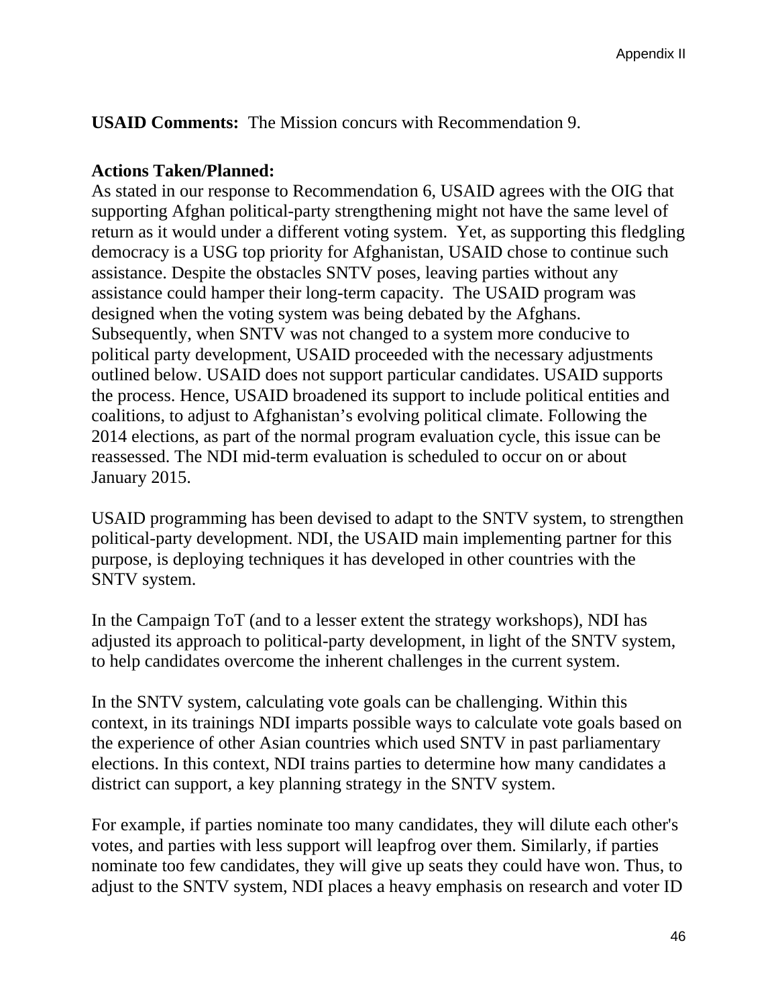**USAID Comments:** The Mission concurs with Recommendation 9.

### **Actions Taken/Planned:**

As stated in our response to Recommendation 6, USAID agrees with the OIG that supporting Afghan political-party strengthening might not have the same level of return as it would under a different voting system. Yet, as supporting this fledgling democracy is a USG top priority for Afghanistan, USAID chose to continue such assistance. Despite the obstacles SNTV poses, leaving parties without any assistance could hamper their long-term capacity. The USAID program was designed when the voting system was being debated by the Afghans. Subsequently, when SNTV was not changed to a system more conducive to political party development, USAID proceeded with the necessary adjustments outlined below. USAID does not support particular candidates. USAID supports the process. Hence, USAID broadened its support to include political entities and coalitions, to adjust to Afghanistan's evolving political climate. Following the 2014 elections, as part of the normal program evaluation cycle, this issue can be reassessed. The NDI mid-term evaluation is scheduled to occur on or about January 2015.

USAID programming has been devised to adapt to the SNTV system, to strengthen political-party development. NDI, the USAID main implementing partner for this purpose, is deploying techniques it has developed in other countries with the SNTV system.

In the Campaign ToT (and to a lesser extent the strategy workshops), NDI has adjusted its approach to political-party development, in light of the SNTV system, to help candidates overcome the inherent challenges in the current system.

In the SNTV system, calculating vote goals can be challenging. Within this context, in its trainings NDI imparts possible ways to calculate vote goals based on the experience of other Asian countries which used SNTV in past parliamentary elections. In this context, NDI trains parties to determine how many candidates a district can support, a key planning strategy in the SNTV system.

For example, if parties nominate too many candidates, they will dilute each other's votes, and parties with less support will leapfrog over them. Similarly, if parties nominate too few candidates, they will give up seats they could have won. Thus, to adjust to the SNTV system, NDI places a heavy emphasis on research and voter ID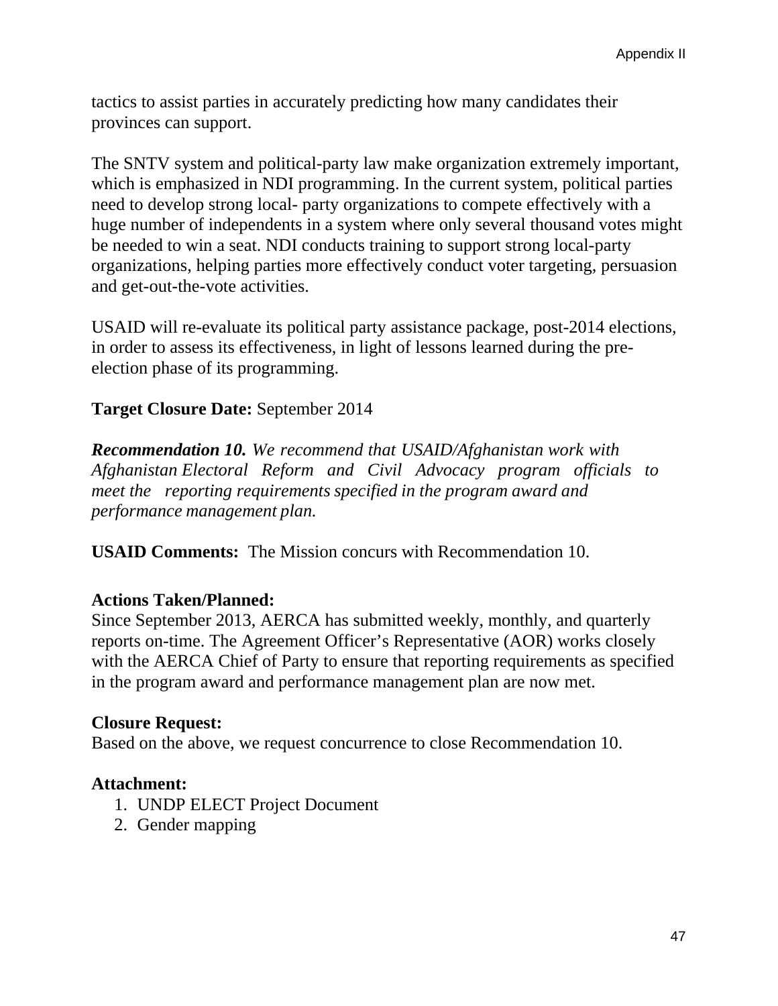tactics to assist parties in accurately predicting how many candidates their provinces can support.

The SNTV system and political-party law make organization extremely important, which is emphasized in NDI programming. In the current system, political parties need to develop strong local- party organizations to compete effectively with a huge number of independents in a system where only several thousand votes might be needed to win a seat. NDI conducts training to support strong local-party organizations, helping parties more effectively conduct voter targeting, persuasion and get-out-the-vote activities.

USAID will re-evaluate its political party assistance package, post-2014 elections, in order to assess its effectiveness, in light of lessons learned during the preelection phase of its programming.

## **Target Closure Date:** September 2014

 *Afghanistan Electoral Reform and Civil Advocacy program officials to Recommendation 10. We recommend that USAID/Afghanistan work with meet the reporting requirements specified in the program award and performance management plan.* 

**USAID Comments:** The Mission concurs with Recommendation 10.

### **Actions Taken/Planned:**

Since September 2013, AERCA has submitted weekly, monthly, and quarterly reports on-time. The Agreement Officer's Representative (AOR) works closely with the AERCA Chief of Party to ensure that reporting requirements as specified in the program award and performance management plan are now met.

### **Closure Request:**

Based on the above, we request concurrence to close Recommendation 10.

### **Attachment:**

- 1. UNDP ELECT Project Document
- 2. Gender mapping